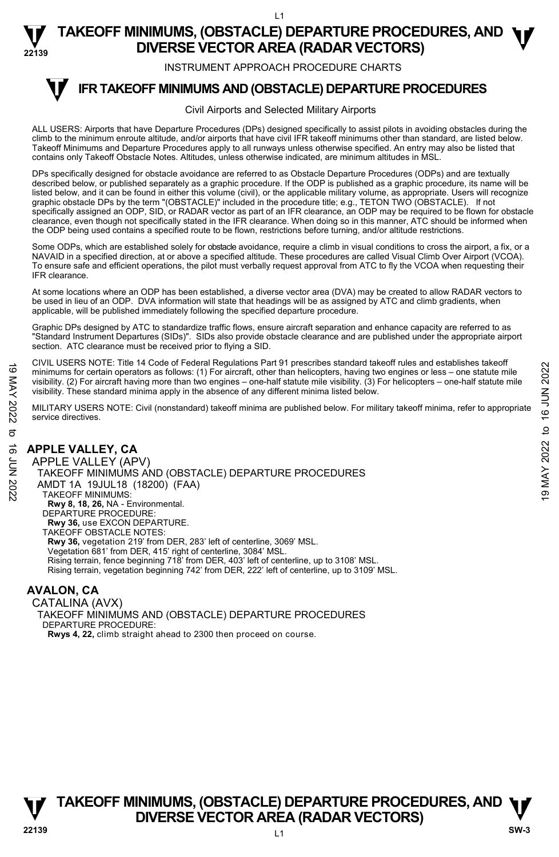**22139 TAKEOFF MINIMUMS, (OBSTACLE) DEPARTURE PROCEDURES, AND <b>W**<br>DIVERSE VECTOR AREA (RADAR VECTORS) **DIVERSE VECTOR AREA (RADAR VECTORS)** 

INSTRUMENT APPROACH PROCEDURE CHARTS

#### **IFR TAKEOFF MINIMUMS AND (OBSTACLE) DEPARTURE PROCEDURES T**

#### Civil Airports and Selected Military Airports

ALL USERS: Airports that have Departure Procedures (DPs) designed specifically to assist pilots in avoiding obstacles during the climb to the minimum enroute altitude, and/or airports that have civil IFR takeoff minimums other than standard, are listed below. Takeoff Minimums and Departure Procedures apply to all runways unless otherwise specified. An entry may also be listed that contains only Takeoff Obstacle Notes. Altitudes, unless otherwise indicated, are minimum altitudes in MSL.

DPs specifically designed for obstacle avoidance are referred to as Obstacle Departure Procedures (ODPs) and are textually described below, or published separately as a graphic procedure. If the ODP is published as a graphic procedure, its name will be listed below, and it can be found in either this volume (civil), or the applicable military volume, as appropriate. Users will recognize graphic obstacle DPs by the term "(OBSTACLE)" included in the procedure title; e.g., TETON TWO (OBSTACLE). If not specifically assigned an ODP, SID, or RADAR vector as part of an IFR clearance, an ODP may be required to be flown for obstacle clearance, even though not specifically stated in the IFR clearance. When doing so in this manner, ATC should be informed when the ODP being used contains a specified route to be flown, restrictions before turning, and/or altitude restrictions.

Some ODPs, which are established solely for obstacle avoidance, require a climb in visual conditions to cross the airport, a fix, or a NAVAID in a specified direction, at or above a specified altitude. These procedures are called Visual Climb Over Airport (VCOA). To ensure safe and efficient operations, the pilot must verbally request approval from ATC to fly the VCOA when requesting their IFR clearance.

At some locations where an ODP has been established, a diverse vector area (DVA) may be created to allow RADAR vectors to be used in lieu of an ODP. DVA information will state that headings will be as assigned by ATC and climb gradients, when applicable, will be published immediately following the specified departure procedure.

Graphic DPs designed by ATC to standardize traffic flows, ensure aircraft separation and enhance capacity are referred to as "Standard Instrument Departures (SIDs)". SIDs also provide obstacle clearance and are published under the appropriate airport section. ATC clearance must be received prior to flying a SID.

CIVIL USERS NOTE: Title 14 Code of Federal Regulations Part 91 prescribes standard takeoff rules and establishes takeoff minimums for certain operators as follows: (1) For aircraft, other than helicopters, having two engines or less – one statute mile visibility. (2) For aircraft having more than two engines – one-half statute mile visibility. (3) For helicopters – one-half statute mile visibility. These standard minima apply in the absence of any different minima listed below.

MILITARY USERS NOTE: Civil (nonstandard) takeoff minima are published below. For military takeoff minima, refer to appropriate service directives.

### **APPLE VALLEY, CA**

APPLE VALLEY (APV) TAKEOFF MINIMUMS AND (OBSTACLE) DEPARTURE PROCEDURES AMDT 1A 19JUL18 (18200) (FAA) TAKEOFF MINIMUMS: **Rwy 8, 18, 26,** NA - Environmental. DEPARTURE PROCEDURE: **Rwy 36,** use EXCON DEPARTURE. TAKEOFF OBSTACLE NOTES: **Rwy 36,** vegetation 219' from DER, 283' left of centerline, 3069' MSL. Vegetation 681' from DER, 415' right of centerline, 3084' MSL. Rising terrain, fence beginning 718' from DER, 403' left of centerline, up to 3108' MSL. Rising terrain, vegetation beginning 742' from DER, 222' left of centerline, up to 3109' MSL. For the CHE THE CONDUCT CONTROLL TO THE CONDUCT CONTROLL TO THE CONDUCT CONTROLL TO THE CONDUCT CONTROLL TO THE CONDUCT CONDUCT CONDUCT CONDUCT TO THE CONDUCT OF THE CONDUCT OF THE CONDUCT OF THE CONDUCT OF THE CONDUCT O

### **AVALON, CA**

CATALINA (AVX) TAKEOFF MINIMUMS AND (OBSTACLE) DEPARTURE PROCEDURES DEPARTURE PROCEDURE: **Rwys 4, 22,** climb straight ahead to 2300 then proceed on course.

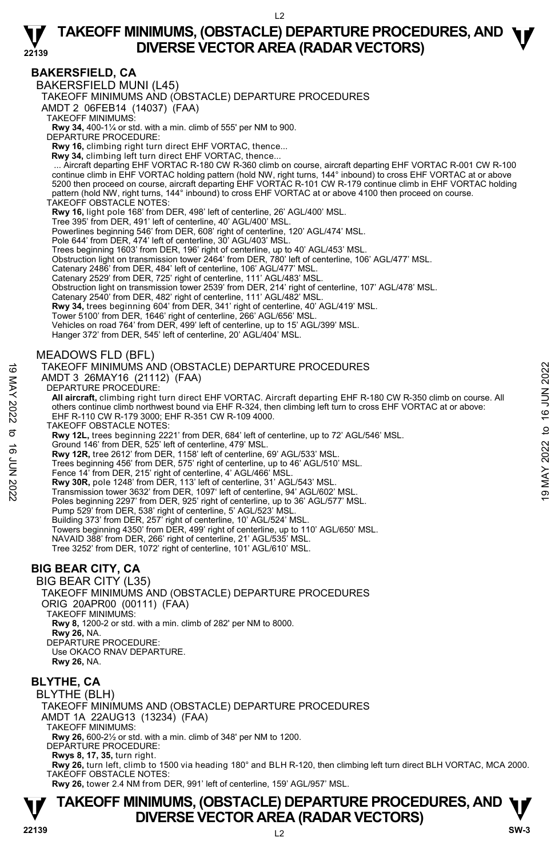### **BAKERSFIELD, CA**

**22139** 

BAKERSFIELD MUNI (L45)

TAKEOFF MINIMUMS AND (OBSTACLE) DEPARTURE PROCEDURES

AMDT 2 06FEB14 (14037) (FAA)

TAKEOFF MINIMUMS:

**Rwy 34,** 400-1¼ or std. with a min. climb of 555' per NM to 900. DEPARTURE PROCEDURE:

**Rwy 16,** climbing right turn direct EHF VORTAC, thence...

 **Rwy 34,** climbing left turn direct EHF VORTAC, thence...

Aircraft departing EHF VORTAC R-180 CW R-360 climb on course, aircraft departing EHF VORTAC R-001 CW R-100. ..<br>Continue climb in EHF VORTAC holding pattern (hold NW, right turns, 144° inbound) to cross EHF VORTAC at or abo 5200 then proceed on course, aircraft departing EHF VORTAC R-101 CW R-179 continue climb in EHF VORTAC holding pattern (hold NW, right turns, 144° inbound) to cross EHF VORTAC at or above 4100 then proceed on course. TAKEOFF OBSTACLE NOTES:

**Rwy 16,** light pole 168' from DER, 498' left of centerline, 26' AGL/400' MSL.

Tree 395' from DER, 491' left of centerline, 40' AGL/400' MSL.

Powerlines beginning 546' from DER, 608' right of centerline, 120' AGL/474' MSL.

Pole 644' from DER, 474' left of centerline, 30' AGL/403' MSL.

Trees beginning 1603' from DER, 196' right of centerline, up to 40' AGL/453' MSL.

Obstruction light on transmission tower 2464' from DER, 780' left of centerline, 106' AGL/477' MSL.

Catenary 2486' from DER, 484' left of centerline, 106' AGL/477' MSL. Catenary 2529' from DER, 725' right of centerline, 111' AGL/483' MSL.

Obstruction light on transmission tower 2539' from DER, 214' right of centerline, 107' AGL/478' MSL.

Catenary 2540' from DER, 482' right of centerline, 111' AGL/482' MSL.

**Rwy 34,** trees beginning 604' from DER, 341' right of centerline, 40' AGL/419' MSL.

Tower 5100' from DER, 1646' right of centerline, 266' AGL/656' MSL.

Vehicles on road 764' from DER, 499' left of centerline, up to 15' AGL/399' MSL.

Hanger 372' from DER, 545' left of centerline, 20' AGL/404' MSL.

#### MEADOWS FLD (BFL)

#### TAKEOFF MINIMUMS AND (OBSTACLE) DEPARTURE PROCEDURES

AMDT 3 26MAY16 (21112) (FAA)

DEPARTURE PROCEDURE:

**All aircraft,** climbing right turn direct EHF VORTAC. Aircraft departing EHF R-180 CW R-350 climb on course. All others continue climb northwest bound via EHF R-324, then climbing left turn to cross EHF VORTAC at or above: EHF R-110 CW R-179 3000; EHF R-351 CW R-109 4000. TAKEOFF MINIMUMS AND (OBSTACLE) DEPARTURE PROCEDURES<br>
AMDT 3 26MAY16 (21112) (FAA)<br>
DEPARTURE PROCEDURE:<br>
All aircraft, climbing right turn direct EHF VORTAC. Aircraft departing EHF R-180 CW R-350 climb on course. All<br>
th

TAKEOFF OBSTACLE NOTES:

**Rwy 12L,** trees beginning 2221' from DER, 684' left of centerline, up to 72' AGL/546' MSL. Ground 146' from DER, 525' left of centerline, 479' MSL.

**Rwy 12R,** tree 2612' from DER, 1158' left of centerline, 69' AGL/533' MSL.

Trees beginning 456' from DER, 575' right of centerline, up to 46' AGL/510' MSL.

Fence 14' from DER, 215' right of centerline, 4' AGL/466' MSL.

**Rwy 30R,** pole 1248' from DER, 113' left of centerline, 31' AGL/543' MSL.

Transmission tower 3632' from DER, 1097' left of centerline, 94' AGL/602' MSL.

Poles beginning 2297' from DER, 925' right of centerline, up to 36' AGL/577' MSL.

Pump 529' from DER, 538' right of centerline, 5' AGL/523' MSL. Building 373' from DER, 257' right of centerline, 10' AGL/524' MSL.

Towers beginning 4350' from DER, 499' right of centerline, up to 110' AGL/650' MSL.

NAVAID 388' from DER, 266' right of centerline, 21' AGL/535' MSL.

Tree 3252' from DER, 1072' right of centerline, 101' AGL/610' MSL.

### **BIG BEAR CITY, CA**

#### BIG BEAR CITY (L35)

TAKEOFF MINIMUMS AND (OBSTACLE) DEPARTURE PROCEDURES

ORIG 20APR00 (00111) (FAA) TAKEOFF MINIMUMS:

**Rwy 8,** 1200-2 or std. with a min. climb of 282' per NM to 8000.

**Rwy 26,** NA.

DEPARTURE PROCEDURE:

Use OKACO RNAV DEPARTURE.

**Rwy 26,** NA.

#### **BLYTHE, CA**

BLYTHE (BLH) TAKEOFF MINIMUMS AND (OBSTACLE) DEPARTURE PROCEDURES AMDT 1A 22AUG13 (13234) (FAA) TAKEOFF MINIMUMS: **Rwy 26,** 600-2½ or std. with a min. climb of 348' per NM to 1200. DEPARTURE PROCEDURE:

**Rwys 8, 17, 35,** turn right.

**Rwy 26,** turn left, climb to 1500 via heading 180° and BLH R-120, then climbing left turn direct BLH VORTAC, MCA 2000. TAKEOFF OBSTACLE NOTES:

**Rwy 26,** tower 2.4 NM from DER, 991' left of centerline, 159' AGL/957' MSL.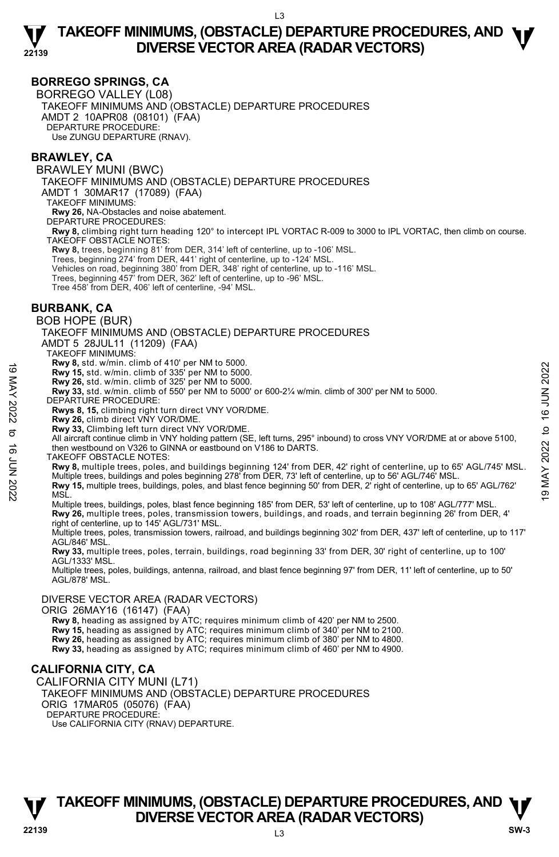### **BORREGO SPRINGS, CA**

BORREGO VALLEY (L08) TAKEOFF MINIMUMS AND (OBSTACLE) DEPARTURE PROCEDURES AMDT 2 10APR08 (08101) (FAA) DEPARTURE PROCEDURE: Use ZUNGU DEPARTURE (RNAV).

#### **BRAWLEY, CA**

BRAWLEY MUNI (BWC) TAKEOFF MINIMUMS AND (OBSTACLE) DEPARTURE PROCEDURES AMDT 1 30MAR17 (17089) (FAA) TAKEOFF MINIMUMS: **Rwy 26,** NA-Obstacles and noise abatement. DEPARTURE PROCEDURES: **Rwy 8,** climbing right turn heading 120° to intercept IPL VORTAC R-009 to 3000 to IPL VORTAC, then climb on course. TAKEOFF OBSTACLE NOTES: **Rwy 8,** trees, beginning 81' from DER, 314' left of centerline, up to -106' MSL. Trees, beginning 274' from DER, 441' right of centerline, up to -124' MSL.<br>Vehicles on road, beginning 380' from DER, 348' right of centerline, up to -116' MSL.<br>Trees, beginning 457' from DER, 362' left of centerline, up t Tree 458' from DER, 406' left of centerline, -94' MSL. **BURBANK, CA**  BOB HOPE (BUR) TAKEOFF MINIMUMS AND (OBSTACLE) DEPARTURE PROCEDURES AMDT 5 28JUL11 (11209) (FAA) TAKEOFF MINIMUMS: **Rwy 8,** std. w/min. climb of 410' per NM to 5000. **Rwy 15,** std. w/min. climb of 335' per NM to 5000.<br>**Rwy 26,** std. w/min. climb of 325' per NM to 5000.<br>**Rwy 33,** std. w/min. climb of 550' per NM to 5000' or 600-2¼ w/min. climb of 300' per NM to 5000. DEPARTURE PROCEDURE: **Rwys 8, 15,** climbing right turn direct VNY VOR/DME. **Rwy 26,** climb direct VNY VOR/DME. **Rwy 33,** Climbing left turn direct VNY VOR/DME. All aircraft continue climb in VNY holding pattern (SE, left turns, 295° inbound) to cross VNY VOR/DME at or above 5100, then westbound on V326 to GINNA or eastbound on V186 to DARTS. TAKEOFF OBSTACLE NOTES: **Rwy 8,** multiple trees, poles, and buildings beginning 124' from DER, 42' right of centerline, up to 65' AGL/745' MSL. Multiple trees, buildings and poles beginning 278' from DER, 73' left of centerline, up to 56' AGL/746' MSL. **Rwy 15,** multiple trees, buildings, poles, and blast fence beginning 50' from DER, 2' right of centerline, up to 65' AGL/762' MSL. Multiple trees, buildings, poles, blast fence beginning 185' from DER, 53' left of centerline, up to 108' AGL/777' MSL. **Rwy 26,** multiple trees, poles, transmission towers, buildings, and roads, and terrain beginning 26' from DER, 4'<br>right of centerline, up to 145' AGL/731' MSL. Multiple trees, poles, transmission towers, railroad, and buildings beginning 302' from DER, 437' left of centerline, up to 117' AGL/846' MSL. **Rwy 33,** multiple trees, poles, terrain, buildings, road beginning 33' from DER, 30' right of centerline, up to 100' AGL/1333' MSL. Multiple trees, poles, buildings, antenna, railroad, and blast fence beginning 97' from DER, 11' left of centerline, up to 50' AGL/878' MSL. **EVALUATE CONSTRAIL CONDUCT THE WAY ORT ANTION OF THAT CONDUCT THE WAY ASSAM WAS SET AND CONDUCT THAT CONDUCT THAT CONDUCT THAT CONDUCT THAT CONDUCT THAT CONDUCT THAT CONDUCT THAT CONDUCT THAT CONDUCT THAT CONDUCT THAT CO** 

#### DIVERSE VECTOR AREA (RADAR VECTORS)

ORIG 26MAY16 (16147) (FAA)

 **Rwy 8,** heading as assigned by ATC; requires minimum climb of 420' per NM to 2500.

**Rwy 15,** heading as assigned by ATC; requires minimum climb of 340' per NM to 2100.

**Rwy 26,** heading as assigned by ATC; requires minimum climb of 380' per NM to 4800. **Rwy 33,** heading as assigned by ATC; requires minimum climb of 460' per NM to 4900.

# **CALIFORNIA CITY, CA**

CALIFORNIA CITY MUNI (L71) TAKEOFF MINIMUMS AND (OBSTACLE) DEPARTURE PROCEDURES ORIG 17MAR05 (05076) (FAA) DEPARTURE PROCEDURE: Use CALIFORNIA CITY (RNAV) DEPARTURE.

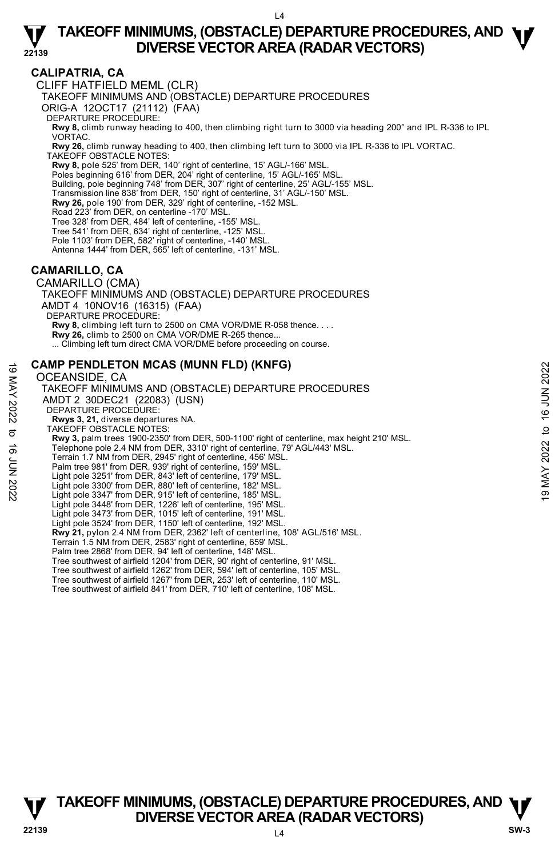### **CALIPATRIA, CA**

**22139** 

CLIFF HATFIELD MEML (CLR)

TAKEOFF MINIMUMS AND (OBSTACLE) DEPARTURE PROCEDURES

ORIG-A 12OCT17 (21112) (FAA)

DEPARTURE PROCEDURE:

**Rwy 8,** climb runway heading to 400, then climbing right turn to 3000 via heading 200° and IPL R-336 to IPL VORTAC.

**Rwy 26,** climb runway heading to 400, then climbing left turn to 3000 via IPL R-336 to IPL VORTAC. TAKEOFF OBSTACLE NOTES:

**Rwy 8,** pole 525' from DER, 140' right of centerline, 15' AGL/-166' MSL. Poles beginning 616' from DER, 204' right of centerline, 15' AGL/-165' MSL.

Building, pole beginning 748' from DER, 307' right of centerline, 25' AGL/-155' MSL.

- Transmission line 838' from DER, 150' right of centerline, 31' AGL/-150' MSL.
- **Rwy 26,** pole 190' from DER, 329' right of centerline, -152 MSL.

Road 223' from DER, on centerline -170' MSL.

- 
- Tree 328' from DER, 484' left of centerline, -155' MSL. Tree 541' from DER, 634' right of centerline, -125' MSL.

Pole 1103' from DER, 582' right of centerline, -140' MSL.

Antenna 1444' from DER, 565' left of centerline, -131' MSL.

### **CAMARILLO, CA**

CAMARILLO (CMA) TAKEOFF MINIMUMS AND (OBSTACLE) DEPARTURE PROCEDURES AMDT 4 10NOV16 (16315) (FAA) DEPARTURE PROCEDURE: **Rwy 8,** climbing left turn to 2500 on CMA VOR/DME R-058 thence. . . . **Rwy 26,** climb to 2500 on CMA VOR/DME R-265 thence... ... Climbing left turn direct CMA VOR/DME before proceeding on course.

### **CAMP PENDLETON MCAS (MUNN FLD) (KNFG)**

#### OCEANSIDE, CA

TAKEOFF MINIMUMS AND (OBSTACLE) DEPARTURE PROCEDURES AMDT 2 30DEC21 (22083) (USN) DEPARTURE PROCEDURE: **Rwys 3, 21,** diverse departures NA. TAKEOFF OBSTACLE NOTES: **Rwy 3,** palm trees 1900-2350' from DER, 500-1100' right of centerline, max height 210' MSL. Telephone pole 2.4 NM from DER, 3310' right of centerline, 79' AGL/443' MSL. Terrain 1.7 NM from DER, 2945' right of centerline, 456' MSL. Palm tree 981' from DER, 939' right of centerline, 159' MSL. Light pole 3251' from DER, 843' left of centerline, 179' MSL. Light pole 3300' from DER, 880' left of centerline, 182' MSL. Light pole 3347' from DER, 915' left of centerline, 185' MSL. Light pole 3448' from DER, 1226' left of centerline, 195' MSL. Light pole 3473' from DER, 1015' left of centerline, 191' MSL. Light pole 3524' from DER, 1150' left of centerline, 192' MSL. **Rwy 21,** pylon 2.4 NM from DER, 2362' left of centerline, 108' AGL/516' MSL. Terrain 1.5 NM from DER, 2583' right of centerline, 659' MSL. Palm tree 2868' from DER, 94' left of centerline, 148' MSL. Tree southwest of airfield 1204' from DER, 90' right of centerline, 91' MSL. Tree southwest of airfield 1262' from DER, 594' left of centerline, 105' MSL. Tree southwest of airfield 1267' from DER, 253' left of centerline, 110' MSL. Tree southwest of airfield 841' from DER, 710' left of centerline, 108' MSL. **CAMP PENDLETON MCAS (MUNN FLD) (KNFG)**<br>
OCEANSIDE, CA TAKEOFF MINIMUMS AND (OBSTACLE) DEPARTURE PROCEDURES<br>
TAKEOFF MINIMUMS AND (OBSTACLE) DEPARTURE PROCEDURES<br>
AMDT 2 30DEC21 (22083) (USN)<br>
DEPARTURE PROCEDURE:<br>
RWYS 3

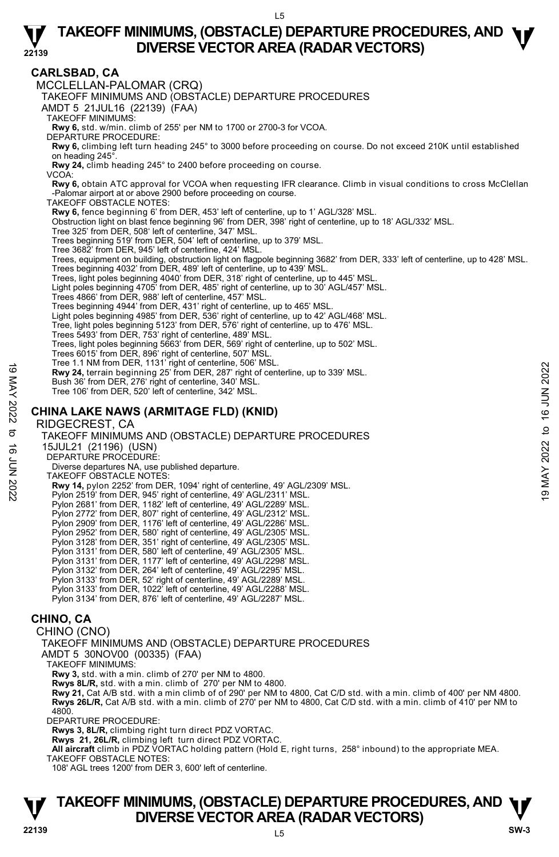#### **CARLSBAD, CA**

**22139** 

MCCLELLAN-PALOMAR (CRQ) TAKEOFF MINIMUMS AND (OBSTACLE) DEPARTURE PROCEDURES AMDT 5 21JUL16 (22139) (FAA) TAKEOFF MINIMUMS: **Rwy 6,** std. w/min. climb of 255' per NM to 1700 or 2700-3 for VCOA. DEPARTURE PROCEDURE: **Rwy 6,** climbing left turn heading 245° to 3000 before proceeding on course. Do not exceed 210K until established on heading 245°. **Rwy 24,** climb heading 245° to 2400 before proceeding on course. VCOA: **Rwy 6,** obtain ATC approval for VCOA when requesting IFR clearance. Climb in visual conditions to cross McClellan -Palomar airport at or above 2900 before proceeding on course. TAKEOFF OBSTACLE NOTES: **Rwy 6,** fence beginning 6' from DER, 453' left of centerline, up to 1' AGL/328' MSL. Obstruction light on blast fence beginning 96' from DER, 398' right of centerline, up to 18' AGL/332' MSL. Tree 325' from DER, 508' left of centerline, 347' MSL. Trees beginning 519' from DER, 504' left of centerline, up to 379' MSL. Tree 3682' from DER, 945' left of centerline, 424' MSL. Trees, equipment on building, obstruction light on flagpole beginning 3682' from DER, 333' left of centerline, up to 428' MSL.<br>Trees beginning 4032' from DER, 489' left of centerline, up to 439' MSL. Trees, light poles beginning 4040' from DER, 318' right of centerline, up to 445' MSL. Light poles beginning 4705' from DER, 485' right of centerline, up to 30' AGL/457' MSL. Trees 4866' from DER, 988' left of centerline, 457' MSL. Trees beginning 4944' from DER, 431' right of centerline, up to 465' MSL. Light poles beginning 4985' from DER, 536' right of centerline, up to 42' AGL/468' MSL. Tree, light poles beginning 5123' from DER, 576' right of centerline, up to 476' MSL. Trees 5493' from DER, 753' right of centerline, 489' MSL. Trees, light poles beginning 5663' from DER, 569' right of centerline, up to 502' MSL. Trees 6015' from DER, 896' right of centerline, 507' MSL. Tree 1.1 NM from DER, 1131' right of centerline, 506' MSL. **Rwy 24,** terrain beginning 25' from DER, 287' right of centerline, up to 339' MSL. Bush 36' from DER, 276' right of centerline, 340' MSL. Tree 106' from DER, 520' left of centerline, 342' MSL. **CHINA LAKE NAWS (ARMITAGE FLD) (KNID)**  RIDGECREST, CA TAKEOFF MINIMUMS AND (OBSTACLE) DEPARTURE PROCEDURES 15JUL21 (21196) (USN) DEPARTURE PROCEDURE: Diverse departures NA, use published departure. TAKEOFF OBSTACLE NOTES: **Rwy 14,** pylon 2252' from DER, 1094' right of centerline, 49' AGL/2309' MSL.<br>Pylon 2519' from DER, 945' right of centerline, 49' AGL/2311' MSL. Pylon 2681' from DER, 1182' left of centerline, 49' AGL/2289' MSL. Pylon 2772' from DER, 807' right of centerline, 49' AGL/2312' MSL. Pylon 2909' from DER, 1176' left of centerline, 49' AGL/2286' MSL. Pylon 2952' from DER, 580' right of centerline, 49' AGL/2305' MSL. Pylon 3128' from DER, 351' right of centerline, 49' AGL/2305' MSL. Pylon 3131' from DER, 580' left of centerline, 49' AGL/2305' MSL. Pylon 3131' from DER, 1177' left of centerline, 49' AGL/2298' MSL. Pylon 3132' from DER, 264' left of centerline, 49' AGL/2295' MSL. Pylon 3133' from DER, 52' right of centerline, 49' AGL/2289' MSL. Pylon 3133' from DER, 1022' left of centerline, 49' AGL/2288' MSL. Pylon 3134' from DER, 876' left of centerline, 49' AGL/2287' MSL. **CHINO, CA**  CHINO (CNO) TAKEOFF MINIMUMS AND (OBSTACLE) DEPARTURE PROCEDURES AMDT 5 30NOV00 (00335) (FAA) 19 May 14, pylon DER, 19 May 10 Oceanians, 115 May 10 Oceanians, 19 May 24, terrain beginning 25' from DER, 287' right of centerline, up to 339' MSL.<br>
Bush 36' from DER, 276' right of centerline, 342' MSL.<br>
Tree 106' from

TAKEOFF MINIMUMS:

**Rwy 3,** std. with a min. climb of 270' per NM to 4800. **Rwys 8L/R,** std. with a min. climb of 270' per NM to 4800.

**Rwy 21,** Cat A/B std. with a min climb of of 290' per NM to 4800, Cat C/D std. with a min. climb of 400' per NM 4800. **Rwys 26L/R,** Cat A/B std. with a min. climb of 270' per NM to 4800, Cat C/D std. with a min. climb of 410' per NM to 4800.

DEPARTURE PROCEDURE:

**Rwys 3, 8L/R,** climbing right turn direct PDZ VORTAC.

**Rwys 21, 26L/R,** climbing left turn direct PDZ VORTAC. **All aircraft** climb in PDZ VORTAC holding pattern (Hold E, right turns, 258° inbound) to the appropriate MEA. TAKEOFF OBSTACLE NOTES:

108' AGL trees 1200' from DER 3, 600' left of centerline.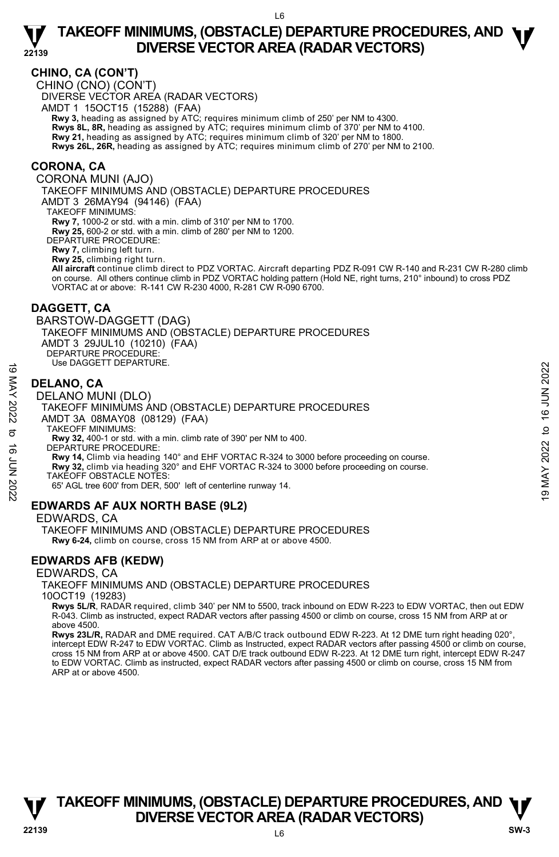### **CHINO, CA (CON'T)**

**22139** 

CHINO (CNO) (CON'T) DIVERSE VECTOR AREA (RADAR VECTORS) AMDT 1 15OCT15 (15288) (FAA)  **Rwy 3,** heading as assigned by ATC; requires minimum climb of 250' per NM to 4300. **Rwys 8L, 8R,** heading as assigned by ATC; requires minimum climb of 370' per NM to 4100.<br>**Rwy 21,** heading as assigned by ATC; requires minimum climb of 320' per NM to 1800. **Rwys 26L, 26R,** heading as assigned by ATC; requires minimum climb of 270' per NM to 2100.

#### **CORONA, CA**

CORONA MUNI (AJO)

TAKEOFF MINIMUMS AND (OBSTACLE) DEPARTURE PROCEDURES

AMDT 3 26MAY94 (94146) (FAA)

TAKEOFF MINIMUMS:

**Rwy 7,** 1000-2 or std. with a min. climb of 310' per NM to 1700. **Rwy 25,** 600-2 or std. with a min. climb of 280' per NM to 1200.

DEPARTURE PROCEDURE:

**Rwy 7,** climbing left turn.

**Rwy 25,** climbing right turn.

**All aircraft** continue climb direct to PDZ VORTAC. Aircraft departing PDZ R-091 CW R-140 and R-231 CW R-280 climb on course. All others continue climb in PDZ VORTAC holding pattern (Hold NE, right turns, 210° inbound) to cross PDZ VORTAC at or above: R-141 CW R-230 4000, R-281 CW R-090 6700.

#### **DAGGETT, CA**

BARSTOW-DAGGETT (DAG) TAKEOFF MINIMUMS AND (OBSTACLE) DEPARTURE PROCEDURES AMDT 3 29JUL10 (10210) (FAA) DEPARTURE PROCEDURE: Use DAGGETT DEPARTURE.

### **DELANO, CA**

#### DELANO MUNI (DLO)

TAKEOFF MINIMUMS AND (OBSTACLE) DEPARTURE PROCEDURES AMDT 3A 08MAY08 (08129) (FAA) **DELANO, CA**<br> **DELANO MUNI (DLO)**<br>
TAKEOFF MINIMUMS AND (OBSTACLE) DEPARTURE PROCEDURES<br>
AND T 3A 08MAY 08 (08129) (FAA)<br>
AND TAXEOFF MINIMUMS:<br>
TAKEOFF MINIMUMS:<br>
TAKEOFF MINIMUMS:<br>
TAXEOFF MINIMUMS:<br>
TAXEOFF MINIMUMS:<br>

TAKEOFF MINIMUMS:

**Rwy 32,** 400-1 or std. with a min. climb rate of 390' per NM to 400.

DEPARTURE PROCEDURE:

**Rwy 14,** Climb via heading 140° and EHF VORTAC R-324 to 3000 before proceeding on course.

**Rwy 32,** climb via heading 320° and EHF VORTAC R-324 to 3000 before proceeding on course.

TAKEOFF OBSTACLE NOTES:

65' AGL tree 600' from DER, 500' left of centerline runway 14.

### **EDWARDS AF AUX NORTH BASE (9L2)**

EDWARDS, CA

TAKEOFF MINIMUMS AND (OBSTACLE) DEPARTURE PROCEDURES  **Rwy 6-24,** climb on course, cross 15 NM from ARP at or above 4500.

### **EDWARDS AFB (KEDW)**

#### EDWARDS, CA

TAKEOFF MINIMUMS AND (OBSTACLE) DEPARTURE PROCEDURES

10OCT19 (19283)

 **Rwys 5L/R**, RADAR required, climb 340' per NM to 5500, track inbound on EDW R-223 to EDW VORTAC, then out EDW R-043. Climb as instructed, expect RADAR vectors after passing 4500 or climb on course, cross 15 NM from ARP at or above 4500.

**Rwys 23L/R,** RADAR and DME required. CAT A/B/C track outbound EDW R-223. At 12 DME turn right heading 020°, intercept EDW R-247 to EDW VORTAC. Climb as Instructed, expect RADAR vectors after passing 4500 or climb on course, cross 15 NM from ARP at or above 4500. CAT D/E track outbound EDW R-223. At 12 DME turn right, intercept EDW R-247 to EDW VORTAC. Climb as instructed, expect RADAR vectors after passing 4500 or climb on course, cross 15 NM from ARP at or above 4500.

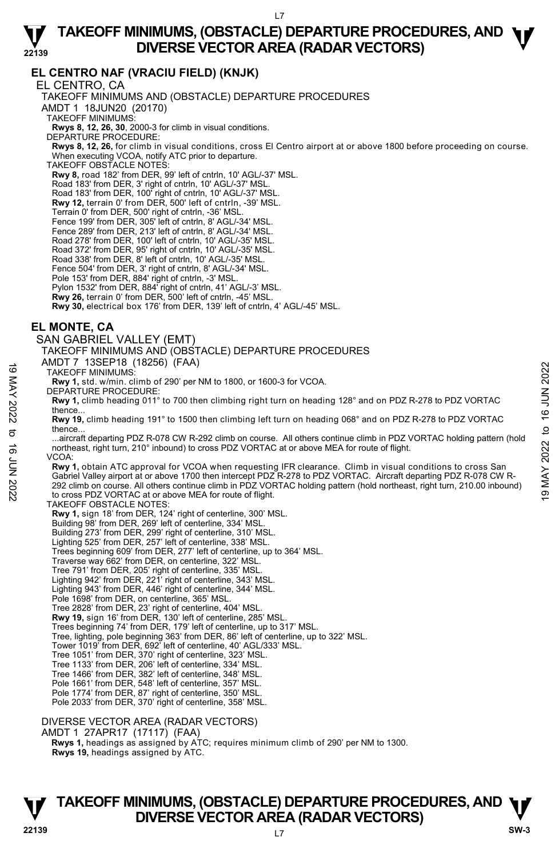### **EL CENTRO NAF (VRACIU FIELD) (KNJK)**

**22139** 

EL CENTRO, CA TAKEOFF MINIMUMS AND (OBSTACLE) DEPARTURE PROCEDURES AMDT 1 18JUN20 (20170) TAKEOFF MINIMUMS: **Rwys 8, 12, 26, 30**, 2000-3 for climb in visual conditions. DEPARTURE PROCEDURE: **Rwys 8, 12, 26,** for climb in visual conditions, cross El Centro airport at or above 1800 before proceeding on course. When executing VCOA, notify ATC prior to departure. TAKEOFF OBSTACLE NOTES: **Rwy 8,** road 182' from DER, 99' left of cntrln, 10' AGL/-37' MSL. Road 183' from DER, 3' right of cntrln, 10' AGL/-37' MSL. Road 183' from DER, 100' right of cntrln, 10' AGL/-37' MSL. **Rwy 12,** terrain 0' from DER, 500' left of cntrln, -39' MSL. Terrain 0' from DER, 500' right of cntrln, -36' MSL. Fence 199' from DER, 305' left of cntrln, 8' AGL/-34' MSL. Fence 289' from DER, 213' left of cntrln, 8' AGL/-34' MSL. Road 278' from DER, 100' left of cntrln, 10' AGL/-35' MSL. Road 372' from DER, 95' right of cntrln, 10' AGL/-35' MSL. Road 338' from DER, 8' left of cntrln, 10' AGL/-35' MSL. Fence 504' from DER, 3' right of cntrln, 8' AGL/-34' MSL. Pole 153' from DER, 884' right of cntrln, -3' MSL. Pylon 1532' from DER, 884' right of cntrln, 41' AGL/-3' MSL. **Rwy 26,** terrain 0' from DER, 500' left of cntrln, -45' MSL. **Rwy 30,** electrical box 176' from DER, 139' left of cntrln, 4' AGL/-45' MSL. **EL MONTE, CA**  SAN GABRIEL VALLEY (EMT) TAKEOFF MINIMUMS AND (OBSTACLE) DEPARTURE PROCEDURES AMDT 7 13SEP18 (18256) (FAA) TAKEOFF MINIMUMS: **Rwy 1,** std. w/min. climb of 290' per NM to 1800, or 1600-3 for VCOA. DEPARTURE PROCEDURE: **Rwy 1,** climb heading 011° to 700 then climbing right turn on heading 128° and on PDZ R-278 to PDZ VORTAC thence. **Rwy 19,** climb heading 191° to 1500 then climbing left turn on heading 068° and on PDZ R-278 to PDZ VORTAC thence. ...aircraft departing PDZ R-078 CW R-292 climb on course. All others continue climb in PDZ VORTAC holding pattern (hold northeast, right turn, 210° inbound) to cross PDZ VORTAC at or above MEA for route of flight. VCOA: **Rwy 1,** obtain ATC approval for VCOA when requesting IFR clearance. Climb in visual conditions to cross San Gabriel Valley airport at or above 1700 then intercept PDZ R-278 to PDZ VORTAC. Aircraft departing PDZ R-078 CW R-292 climb on course. All others continue climb in PDZ VORTAC holding pattern (hold northeast, right turn, 210.00 inbound) to cross PDZ VORTAC at or above MEA for route of flight. TAKEOFF OBSTACLE NOTES: **Rwy 1,** sign 18' from DER, 124' right of centerline, 300' MSL. Building 98' from DER, 269' left of centerline, 334' MSL. Building 273' from DER, 299' right of centerline, 310' MSL. Lighting 525' from DER, 257' left of centerline, 338' MSL. Trees beginning 609' from DER, 277' left of centerline, up to 364' MSL. Traverse way 662' from DER, on centerline, 322' MSL. Tree 791' from DER, 205' right of centerline, 335' MSL. Lighting 942' from DER, 221' right of centerline, 343' MSL. Lighting 943' from DER, 446' right of centerline, 344' MSL. Pole 1698' from DER, on centerline, 365' MSL. Tree 2828' from DER, 23' right of centerline, 404' MSL. **Rwy 19,** sign 16' from DER, 130' left of centerline, 285' MSL. Trees beginning 74' from DER, 179' left of centerline, up to 317' MSL. Tree, lighting, pole beginning 363' from DER, 86' left of centerline, up to 322' MSL. Tower 1019' from DER, 692' left of centerline, 40' AGL/333' MSL. Tree 1051' from DER, 370' right of centerline, 323' MSL. Tree 1133' from DER, 206' left of centerline, 334' MSL. Tree 1466' from DER, 382' left of centerline, 348' MSL. Pole 1661' from DER, 548' left of centerline, 357' MSL. Pole 1774' from DER, 87' right of centerline, 350' MSL. Pole 2033' from DER, 370' right of centerline, 358' MSL. TAKEOFF MINIMUMS:<br>
TAKEOFF MINIMUMS:<br> **EVALUATION 2022** TO 19 ON the CHO 200 per NM to 1800, or 1600-3 for VCOA.<br>
DEPARTURE PROCEDURE:<br> **EVALUATION 2022** TO then climbing right turn on heading 128° and on PDZ R-278 to PDZ

DIVERSE VECTOR AREA (RADAR VECTORS)

AMDT 1 27APR17 (17117) (FAA)

 **Rwys 1,** headings as assigned by ATC; requires minimum climb of 290' per NM to 1300. **Rwys 19,** headings assigned by ATC.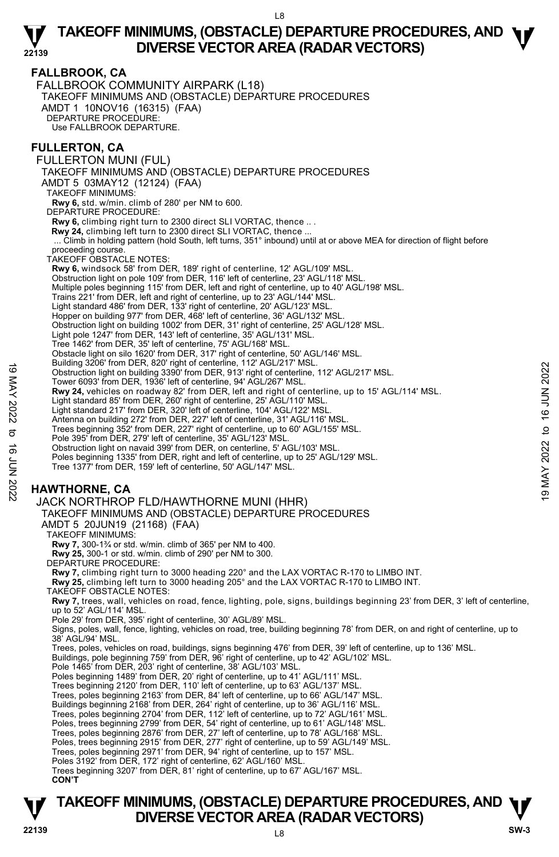### **FALLBROOK, CA**

**22139** 

FALLBROOK COMMUNITY AIRPARK (L18) TAKEOFF MINIMUMS AND (OBSTACLE) DEPARTURE PROCEDURES AMDT 1 10NOV16 (16315) (FAA) DEPARTURE PROCEDURE: Use FALLBROOK DEPARTURE.

#### **FULLERTON, CA**

FULLERTON MUNI (FUL) TAKEOFF MINIMUMS AND (OBSTACLE) DEPARTURE PROCEDURES AMDT 5 03MAY12 (12124) (FAA) TAKEOFF MINIMUMS: **Rwy 6,** std. w/min. climb of 280' per NM to 600. DEPARTURE PROCEDURE: **Rwy 6,** climbing right turn to 2300 direct SLI VORTAC, thence .. .  **Rwy 24,** climbing left turn to 2300 direct SLI VORTAC, thence ... ... Climb in holding pattern (hold South, left turns, 351° inbound) until at or above MEA for direction of flight before proceeding course. TAKEOFF OBSTACLE NOTES: **Rwy 6,** windsock 58' from DER, 189' right of centerline, 12' AGL/109' MSL. Obstruction light on pole 109' from DER, 116' left of centerline, 23' AGL/118' MSL. Multiple poles beginning 115' from DER, left and right of centerline, up to 40' AGL/198' MSL. Trains 221' from DER, left and right of centerline, up to 23' AGL/144' MSL. Light standard 486' from DER, 133' right of centerline, 20' AGL/123' MSL. Hopper on building 977' from DER, 468' left of centerline, 36' AGL/132' MSL. Obstruction light on building 1002' from DER, 31' right of centerline, 25' AGL/128' MSL. Light pole 1247' from DER, 143' left of centerline, 35' AGL/131' MSL. Tree 1462' from DER, 35' left of centerline, 75' AGL/168' MSL. Obstacle light on silo 1620' from DER, 317' right of centerline, 50' AGL/146' MSL. Building 3206' from DER, 820' right of centerline, 112' AGL/217' MSL. Obstruction light on building 3390' from DER, 913' right of centerline, 112' AGL/217' MSL. Tower 6093' from DER, 1936' left of centerline, 94' AGL/267' MSL. **Rwy 24,** vehicles on roadway 82' from DER, left and right of centerline, up to 15' AGL/114' MSL. Light standard 85' from DER, 260' right of centerline, 25' AGL/110' MSL. Light standard 217' from DER, 320' left of centerline, 104' AGL/122' MSL. Antenna on building 272' from DER, 227' left of centerline, 31' AGL/116' MSL. Trees beginning 352' from DER, 227' right of centerline, up to 60' AGL/155' MSL. Pole 395' from DER, 279' left of centerline, 35' AGL/123' MSL. Obstruction light on navaid 399' from DER, on centerline, 5' AGL/103' MSL. Poles beginning 1335' from DER, right and left of centerline, up to 25' AGL/129' MSL. Tree 1377' from DER, 159' left of centerline, 50' AGL/147' MSL. **HAWTHORNE, CA**  bounding 3200 form DER, 920 tips (and the center and right of center and right of center and right of center and right of center and right of center and right of center and right of center and right of center and right of

### JACK NORTHROP FLD/HAWTHORNE MUNI (HHR)

TAKEOFF MINIMUMS AND (OBSTACLE) DEPARTURE PROCEDURES AMDT 5 20JUN19 (21168) (FAA)

TAKEOFF MINIMUMS:

**Rwy 7,** 300-1¾ or std. w/min. climb of 365' per NM to 400.

**Rwy 25,** 300-1 or std. w/min. climb of 290' per NM to 300. DEPARTURE PROCEDURE:

**Rwy 7,** climbing right turn to 3000 heading 220° and the LAX VORTAC R-170 to LIMBO INT.

**Rwy 25,** climbing left turn to 3000 heading 205° and the LAX VORTAC R-170 to LIMBO INT.

TAKEOFF OBSTACLE NOTES:

**Rwy 7,** trees, wall, vehicles on road, fence, lighting, pole, signs, buildings beginning 23' from DER, 3' left of centerline, up to 52' AGL/114' MSL.

Pole 29' from DER, 395' right of centerline, 30' AGL/89' MSL.

Signs, poles, wall, fence, lighting, vehicles on road, tree, building beginning 78' from DER, on and right of centerline, up to 38' AGL/94' MSL.

Trees, poles, vehicles on road, buildings, signs beginning 476' from DER, 39' left of centerline, up to 136' MSL.<br>Buildings, pole beginning 759' from DER, 96' right of centerline, up to 42' AGL/102' MSL.

Pole 1465' from DER, 203' right of centerline, 38' AGL/103' MSL.

Poles beginning 1489' from DER, 20' right of centerline, up to 41' AGL/111' MSL.

Trees beginning 2120' from DER, 110' left of centerline, up to 63' AGL/137' MSL. Trees, poles beginning 2163' from DER, 84' left of centerline, up to 66' AGL/147' MSL.

Buildings beginning 2168' from DER, 264' right of centerline, up to 36' AGL/116' MSL.

Trees, poles beginning 2704' from DER, 112' left of centerline, up to 72' AGL/161' MSL. Poles, trees beginning 2799' from DER, 54' right of centerline, up to 61' AGL/148' MSL.

Trees, poles beginning 2876' from DER, 27' left of centerline, up to 78' AGL/168' MSL

Poles, trees beginning 2915' from DER, 277' right of centerline, up to 59' AGL/149' MSL.

Trees, poles beginning 2971' from DER, 94' right of centerline, up to 157' MSL.

Poles 3192' from DER, 172' right of centerline, 62' AGL/160' MSL

Trees beginning 3207' from DER, 81' right of centerline, up to 67' AGL/167' MSL.

**CON'T**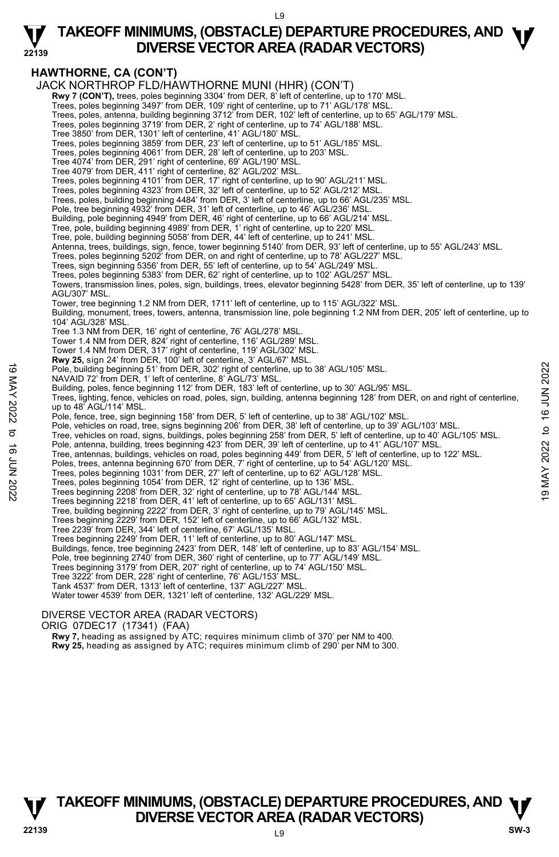### **TAKEOFF MINIMUMS, (OBSTACLE) DEPARTURE PROCEDURES, AND <b>W**<br>DIVERSE VECTOR AREA (RADAR VECTORS) **DIVERSE VECTOR AREA (RADAR VECTORS)**

### **HAWTHORNE, CA (CON'T)**

**22139** 

JACK NORTHROP FLD/HAWTHORNE MUNI (HHR) (CON'T)

**Rwy 7 (CON'T),** trees, poles beginning 3304' from DER, 8' left of centerline, up to 170' MSL.<br>Trees, poles beginning 3497' from DER, 109' right of centerline, up to 71' AGL/178' MSL.

Trees, poles, antenna, building beginning 3712' from DER, 102' left of centerline, up to 65' AGL/179' MSL.

Trees, poles beginning 3719' from DER, 2' right of centerline, up to 74' AGL/188' MSL.

Tree 3850' from DER, 1301' left of centerline, 41' AGL/180' MSL.

Trees, poles beginning 3859' from DER, 23' left of centerline, up to 51' AGL/185' MSL. Trees, poles beginning 4061' from DER, 28' left of centerline, up to 203' MSL.

Tree 4074' from DER, 291' right of centerline, 69' AGL/190' MSL. Tree 4079' from DER, 411' right of centerline, 82' AGL/202' MSL.

Trees, poles beginning 4101' from DER, 17' right of centerline, up to 90' AGL/211' MSL.

Trees, poles beginning 4323' from DER, 32' left of centerline, up to 52' AGL/212' MSL.

Trees, poles, building beginning 4484' from DER, 3' left of centerline, up to 66' AGL/235' MSL.

Pole, tree beginning 4932' from DER, 31' left of centerline, up to 46' AGL/236' MSL.

Building, pole beginning 4949' from DER, 46' right of centerline, up to 66' AGL/214' MSL.

Tree, pole, building beginning 4989' from DER, 1' right of centerline, up to 220' MSL. Tree, pole, building beginning 5058' from DER, 44' left of centerline, up to 241' MSL.

Antenna, trees, buildings, sign, fence, tower beginning 5140' from DER, 93' left of centerline, up to 55' AGL/243' MSL.

Trees, poles beginning 5202' from DER, on and right of centerline, up to 78' AGL/227' MSL.

Trees, sign beginning 5356' from DER, 55' left of centerline, up to 54' AGL/249' MSL.

Trees, poles beginning 5383' from DER, 62' right of centerline, up to 102' AGL/257' MSL.

Towers, transmission lines, poles, sign, buildings, trees, elevator beginning 5428' from DER, 35' left of centerline, up to 139' AGL/307' MSL.

Tower, tree beginning 1.2 NM from DER, 1711' left of centerline, up to 115' AGL/322' MSL.

Building, monument, trees, towers, antenna, transmission line, pole beginning 1.2 NM from DER, 205' left of centerline, up to 104' AGL/328' MSL.

Tree 1.3 NM from DER, 16' right of centerline, 76' AGL/278' MSL.

Tower 1.4 NM from DER, 824' right of centerline, 116' AGL/289' MSL.

Tower 1.4 NM from DER, 317' right of centerline, 119' AGL/302' MSL. **Rwy 25,** sign 24' from DER, 100' left of centerline, 3' AGL/67' MSL.

Pole, building beginning 51' from DER, 302' right of centerline, up to 38' AGL/105' MSL.

NAVAID 72' from DER, 1' left of centerline, 8' AGL/73' MSL.

Building, poles, fence beginning 112' from DER, 183' left of centerline, up to 30' AGL/95' MSL.<br>Trees, lighting, fence, vehicles on road, poles, sign, building, antenna beginning 128' from DER, on and right of centerline, up to 48' AGL/114' MSL. 19 May 2022 Tools beginning 51' from DER, 302' right of centerline, up to 38' AGL/105' MSL.<br>
NAVAID 72' from DER, 19 tel of centerline, 8' AGL/13' MSL.<br>
Building, poles, fence beginning 112' from DER, 183' left of centerl

Pole, fence, tree, sign beginning 158' from DER, 5' left of centerline, up to 38' AGL/102' MSL.

Pole, vehicles on road, tree, signs beginning 206' from DER, 38' left of centerline, up to 39' AGL/103' MSL.

Tree, vehicles on road, signs, buildings, poles beginning 258' from DER, 5' left of centerline, up to 40' AGL/105' MSL.

Pole, antenna, building, trees beginning 423' from DER, 39' left of centerline, up to 41' AGL/107' MSL.

Tree, antennas, buildings, vehicles on road, poles beginning 449' from DER, 5' left of centerline, up to 122' MSL.

Poles, trees, antenna beginning 670' from DER, 7' right of centerline, up to 54' AGL/120' MSL.

Trees, poles beginning 1031' from DER, 27' left of centerline, up to 62' AGL/128' MSL.

Trees, poles beginning 1054' from DER, 12' right of centerline, up to 136' MSL. Trees beginning 2208' from DER, 32' right of centerline, up to 78' AGL/144' MSL.

Trees beginning 2218' from DER, 41' left of centerline, up to 65' AGL/131' MSL.

Tree, building beginning 2222' from DER, 3' right of centerline, up to 79' AGL/145' MSL. Trees beginning 2229' from DER, 152' left of centerline, up to 66' AGL/132' MSL.

Tree 2239' from DER, 344' left of centerline, 67' AGL/135' MSL.

Trees beginning 2249' from DER, 11' left of centerline, up to 80' AGL/147' MSL.

Buildings, fence, tree beginning 2423' from DER, 148' left of centerline, up to 83' AGL/154' MSL.<br>Pole, tree beginning 2740' from DER, 360' right of centerline, up to 77' AGL/149' MSL.

Trees beginning 3179' from DER, 207' right of centerline, up to 74' AGL/150' MSL.

Tree 3222' from DER, 228' right of centerline, 76' AGL/153' MSL. Tank 4537' from DER, 1313' left of centerline, 137' AGL/227' MSL.

Water tower 4539' from DER, 1321' left of centerline, 132' AGL/229' MSL.

#### DIVERSE VECTOR AREA (RADAR VECTORS)

ORIG 07DEC17 (17341) (FAA)

 **Rwy 7,** heading as assigned by ATC; requires minimum climb of 370' per NM to 400.

**Rwy 25,** heading as assigned by ATC; requires minimum climb of 290' per NM to 300.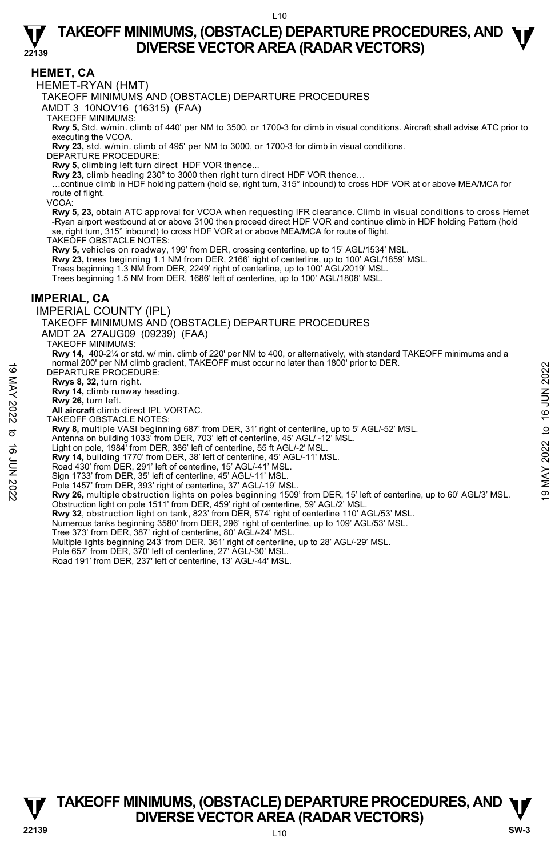#### **HEMET, CA**

**22139** 

HEMET-RYAN (HMT)

TAKEOFF MINIMUMS AND (OBSTACLE) DEPARTURE PROCEDURES

AMDT 3 10NOV16 (16315) (FAA)

TAKEOFF MINIMUMS:

**Rwy 5,** Std. w/min. climb of 440' per NM to 3500, or 1700-3 for climb in visual conditions. Aircraft shall advise ATC prior to executing the VCOA.

**Rwy 23,** std. w/min. climb of 495' per NM to 3000, or 1700-3 for climb in visual conditions.

DEPARTURE PROCEDURE:

**Rwy 5,** climbing left turn direct HDF VOR thence...

**Rwy 23,** climb heading 230° to 3000 then right turn direct HDF VOR thence…

…continue climb in HDF holding pattern (hold se, right turn, 315° inbound) to cross HDF VOR at or above MEA/MCA for route of flight.

VCOA:

**Rwy 5, 23,** obtain ATC approval for VCOA when requesting IFR clearance. Climb in visual conditions to cross Hemet -Ryan airport westbound at or above 3100 then proceed direct HDF VOR and continue climb in HDF holding Pattern (hold se, right turn, 315° inbound) to cross HDF VOR at or above MEA/MCA for route of flight.

TAKEOFF OBSTACLE NOTES:

**Rwy 5,** vehicles on roadway, 199' from DER, crossing centerline, up to 15' AGL/1534' MSL.

**Rwy 23,** trees beginning 1.1 NM from DER, 2166' right of centerline, up to 100' AGL/1859' MSL.<br>Trees beginning 1.3 NM from DER, 2249' right of centerline, up to 100' AGL/2019' MSL.

Trees beginning 1.5 NM from DER, 1686' left of centerline, up to 100' AGL/1808' MSL.

#### **IMPERIAL, CA**

IMPERIAL COUNTY (IPL)

TAKEOFF MINIMUMS AND (OBSTACLE) DEPARTURE PROCEDURES

AMDT 2A 27AUG09 (09239) (FAA)

TAKEOFF MINIMUMS:

**Rwy 14,** 400-2¼ or std. w/ min. climb of 220' per NM to 400, or alternatively, with standard TAKEOFF minimums and a normal 200' per NM climb gradient, TAKEOFF must occur no later than 1800' prior to DER.

DEPARTURE PROCEDURE:

**Rwys 8, 32,** turn right. **Rwy 14,** climb runway heading.

**Rwy 26,** turn left.

**All aircraft** climb direct IPL VORTAC.

TAKEOFF OBSTACLE NOTES:

**Rwy 8,** multiple VASI beginning 687' from DER, 31' right of centerline, up to 5' AGL/-52' MSL.

Antenna on building 1033' from DER, 703' left of centerline, 45' AGL/ -12' MSL.

Light on pole, 1984' from DER, 386' left of centerline, 55 ft AGL/-2' MSL.

**Rwy 14,** building 1770' from DER, 38' left of centerline, 45' AGL/-11' MSL.

Road 430' from DER, 291' left of centerline, 15' AGL/-41' MSL.

- Sign 1733' from DER, 35' left of centerline, 45' AGL/-11' MSL.
- Pole 1457' from DER, 393' right of centerline, 37' AGL/-19' MSL
- **Rwy 26,** multiple obstruction lights on poles beginning 1509' from DER, 15' left of centerline, up to 60' AGL/3' MSL. Obstruction light on pole 1511' from DER, 459' right of centerline, 59' AGL/2' MSL. THE DEPARTURE PROCEDURE:<br>
DEPARTURE PROCEDURE:<br> **Rwys 8, 32, turn right.**<br> **Rwy 14**, climb turnway heading.<br> **Rwy 26**, turn left.<br> **RWY 202**, turn left.<br> **RWY 2022** to 16 Here.<br> **RWY 2022** to 16 DES TACLE NORTAC.<br> **RWY 8,** 
	- **Rwy 32**, obstruction light on tank, 823' from DER, 574' right of centerline 110' AGL/53' MSL.

Numerous tanks beginning 3580' from DER, 296' right of centerline, up to 109' AGL/53' MSL.

- Tree 373' from DER, 387' right of centerline, 80' AGL/-24' MSL.
- Multiple lights beginning 243' from DER, 361' right of centerline, up to 28' AGL/-29' MSL.
- Pole 657' from DER, 370' left of centerline, 27' AGL/-30' MSL.
- Road 191' from DER, 237' left of centerline, 13' AGL/-44' MSL.

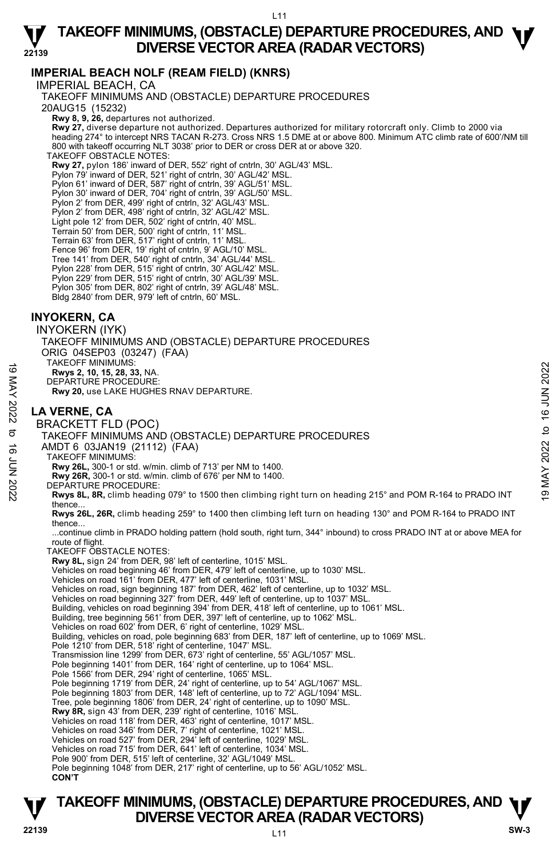### **IMPERIAL BEACH NOLF (REAM FIELD) (KNRS)**

IMPERIAL BEACH, CA TAKEOFF MINIMUMS AND (OBSTACLE) DEPARTURE PROCEDURES 20AUG15 (15232)  **Rwy 8, 9, 26,** departures not authorized.  **Rwy 27,** diverse departure not authorized. Departures authorized for military rotorcraft only. Climb to 2000 via heading 274° to intercept NRS TACAN R-273. Cross NRS 1.5 DME at or above 800. Minimum ATC climb rate of 600'/NM till 800 with takeoff occurring NLT 3038' prior to DER or cross DER at or above 320. TAKEOFF OBSTACLE NOTES: **Rwy 27,** pylon 186' inward of DER, 552' right of cntrln, 30' AGL/43' MSL.<br>Pylon 79' inward of DER, 521' right of cntrln, 30' AGL/42' MSL. Pylon 61' inward of DER, 587' right of cntrln, 39' AGL/51' MSL. Pylon 30' inward of DER, 704' right of cntrln, 39' AGL/50' MSL. Pylon 2' from DER, 499' right of cntrln, 32' AGL/43' MSL. Pylon 2' from DER, 498' right of cntrln, 32' AGL/42' MSL. Light pole 12' from DER, 502' right of cntrln, 40' MSL. Terrain 50' from DER, 500' right of cntrln, 11' MSL. Terrain 63' from DER, 517' right of cntrln, 11' MSL. Fence 96' from DER, 19' right of cntrln, 9' AGL/10' MSL. Tree 141' from DER, 540' right of cntrln, 34' AGL/44' MSL. Pylon 228' from DER, 515' right of cntrln, 30' AGL/42' MSL. Pylon 229' from DER, 515' right of cntrln, 30' AGL/39' MSL. ylon 305' from DER, 802' right of cntrln, 39' AGL/48' MSL. Bldg 2840' from DER, 979' left of cntrln, 60' MSL. **INYOKERN, CA**  INYOKERN (IYK) TAKEOFF MINIMUMS AND (OBSTACLE) DEPARTURE PROCEDURES ORIG 04SEP03 (03247) (FAA) TAKEOFF MINIMUMS: **Rwys 2, 10, 15, 28, 33,** NA. DEPARTURE PROCEDURE: **Rwy 20,** use LAKE HUGHES RNAV DEPARTURE. **LA VERNE, CA**  BRACKETT FLD (POC) TAKEOFF MINIMUMS AND (OBSTACLE) DEPARTURE PROCEDURES AMDT 6 03JAN19 (21112) (FAA) TAKEOFF MINIMUMS: **Rwy 26L,** 300-1 or std. w/min. climb of 713' per NM to 1400. **Rwy 26R,** 300-1 or std. w/min. climb of 676' per NM to 1400. DEPARTURE PROCEDURE: **Rwys 8L, 8R,** climb heading 079° to 1500 then climbing right turn on heading 215° and POM R-164 to PRADO INT thence. **Rwys 26L, 26R,** climb heading 259° to 1400 then climbing left turn on heading 130° and POM R-164 to PRADO INT thence... ...continue climb in PRADO holding pattern (hold south, right turn, 344° inbound) to cross PRADO INT at or above MEA for route of flight. TAKEOFF OBSTACLE NOTES: **Rwy 8L,** sign 24' from DER, 98' left of centerline, 1015' MSL. Vehicles on road beginning 46' from DER, 479' left of centerline, up to 1030' MSL. Vehicles on road 161' from DER, 477' left of centerline, 1031' MSL. Vehicles on road, sign beginning 187' from DER, 462' left of centerline, up to 1032' MSL. Vehicles on road beginning 327' from DER, 449' left of centerline, up to 1037' MSL. Building, vehicles on road beginning 394' from DER, 418' left of centerline, up to 1061' MSL.<br>Building, tree beginning 561' from DER, 397' left of centerline, up to 1062' MSL. Vehicles on road 602' from DER, 6' right of centerline, 1029' MSL. Building, vehicles on road, pole beginning 683' from DER, 187' left of centerline, up to 1069' MSL. Pole 1210' from DER, 518' right of centerline, 1047' MSL. Transmission line 1299' from DER, 673' right of centerline, 55' AGL/1057' MSL. Pole beginning 1401' from DER, 164' right of centerline, up to 1064' MSL. Pole 1566' from DER, 294' right of centerline, 1065' MSL. Pole beginning 1719' from DER, 24' right of centerline, up to 54' AGL/1067' MSL. Pole beginning 1803' from DER, 148' left of centerline, up to 72' AGL/1094' MSL. Tree, pole beginning 1806' from DER, 24' right of centerline, up to 1090' MSL. **Rwy 8R,** sign 43' from DER, 239' right of centerline, 1016' MSL. Vehicles on road 118' from DER, 463' right of centerline, 1017' MSL. Vehicles on road 346' from DER, 7' right of centerline, 1021' MSL. Vehicles on road 527' from DER, 294' left of centerline, 1029' MSL. Vehicles on road 715' from DER, 641' left of centerline, 1034' MSL. Pole 900' from DER, 515' left of centerline, 32' AGL/1049' MSL Pole beginning 1048' from DER, 217' right of centerline, up to 56' AGL/1052' MSL. 19 TANCOFF MINIMUMS:<br>
IN 2022 10, 15, 28, 33, NA.<br>
DEPARTURE PROCEDURE:<br>
RW 20, use LAKE HUGHES RNAV DEPARTURE.<br> **LA VERNE, CA**<br>
BRACKETT FLD (POC)<br>
TAKEOFF MINIMUMS AND (OBSTACLE) DEPARTURE PROCEDURES<br>
∴<br>
TAKEOFF MINIMUM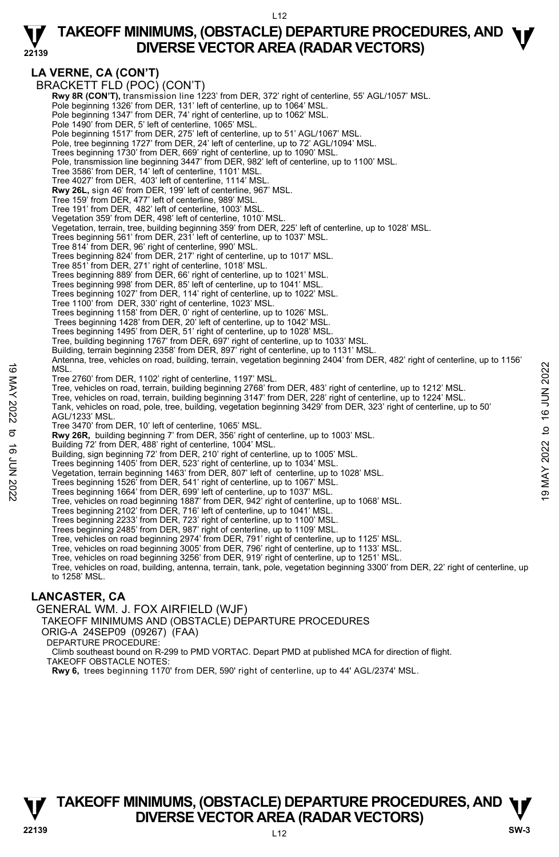|                    | LA VERNE, CA (CON'T)                                                                                                                 |                |
|--------------------|--------------------------------------------------------------------------------------------------------------------------------------|----------------|
|                    | BRACKETT FLD (POC) (CON'T)                                                                                                           |                |
|                    |                                                                                                                                      |                |
|                    | Rwy 8R (CON'T), transmission line 1223' from DER, 372' right of centerline, 55' AGL/1057' MSL.                                       |                |
|                    | Pole beginning 1326' from DER, 131' left of centerline, up to 1064' MSL.                                                             |                |
|                    | Pole beginning 1347' from DER, 74' right of centerline, up to 1062' MSL.                                                             |                |
|                    | Pole 1490' from DER, 5' left of centerline, 1065' MSL.                                                                               |                |
|                    | Pole beginning 1517' from DER, 275' left of centerline, up to 51' AGL/1067' MSL.                                                     |                |
|                    | Pole, tree beginning 1727' from DER, 24' left of centerline, up to 72' AGL/1094' MSL.                                                |                |
|                    | Trees beginning 1730' from DER, 669' right of centerline, up to 1090' MSL.                                                           |                |
|                    | Pole, transmission line beginning 3447' from DER, 982' left of centerline, up to 1100' MSL.                                          |                |
|                    | Tree 3586' from DER, 14' left of centerline, 1101' MSL.                                                                              |                |
|                    | Tree 4027' from DER, 403' left of centerline, 1114' MSL.                                                                             |                |
|                    | <b>Rwy 26L, sign 46' from DER, 199' left of centerline, 967' MSL.</b>                                                                |                |
|                    | Tree 159' from DER, 477' left of centerline, 989' MSL.                                                                               |                |
|                    | Tree 191' from DER, 482' left of centerline, 1003' MSL.                                                                              |                |
|                    | Vegetation 359' from DER, 498' left of centerline, 1010' MSL.                                                                        |                |
|                    | Vegetation, terrain, tree, building beginning 359' from DER, 225' left of centerline, up to 1028' MSL.                               |                |
|                    | Trees beginning 561' from DER, 231' left of centerline, up to 1037' MSL.                                                             |                |
|                    | Tree 814' from DER, 96' right of centerline, 990' MSL.                                                                               |                |
|                    | Trees beginning 824' from DER, 217' right of centerline, up to 1017' MSL.                                                            |                |
|                    |                                                                                                                                      |                |
|                    | Tree 851' from DER, 271' right of centerline, 1018' MSL.<br>Trees beginning 889' from DER, 66' right of centerline, up to 1021' MSL. |                |
|                    |                                                                                                                                      |                |
|                    | Trees beginning 998' from DER, 85' left of centerline, up to 1041' MSL.                                                              |                |
|                    | Trees beginning 1027' from DER, 114' right of centerline, up to 1022' MSL.                                                           |                |
|                    | Tree 1100' from DER, 330' right of centerline, 1023' MSL.                                                                            |                |
|                    | Trees beginning 1158' from DER, 0' right of centerline, up to 1026' MSL.                                                             |                |
|                    | Trees beginning 1428' from DER, 20' left of centerline, up to 1042' MSL.                                                             |                |
|                    | Trees beginning 1495' from DER, 51' right of centerline, up to 1028' MSL.                                                            |                |
|                    | Tree, building beginning 1767' from DER, 697' right of centerline, up to 1033' MSL.                                                  |                |
|                    | Building, terrain beginning 2358' from DER, 897' right of centerline, up to 1131' MSL.                                               |                |
|                    | Antenna, tree, vehicles on road, building, terrain, vegetation beginning 2404' from DER, 482' right of centerline, up to 1156'       |                |
|                    | MSL.                                                                                                                                 | 16 JUN 2022    |
|                    | Tree 2760' from DER, 1102' right of centerline, 1197' MSL.                                                                           |                |
|                    | Tree, vehicles on road, terrain, building beginning 2768' from DER, 483' right of centerline, up to 1212' MSL.                       |                |
|                    | Tree, vehicles on road, terrain, building beginning 3147' from DER, 228' right of centerline, up to 1224' MSL.                       |                |
|                    | Tank, vehicles on road, pole, tree, building, vegetation beginning 3429' from DER, 323' right of centerline, up to 50'               |                |
| 19 MAY 2022        | AGL/1233' MSL.                                                                                                                       |                |
|                    | Tree 3470' from DER, 10' left of centerline, 1065' MSL.                                                                              | $\ddot{\circ}$ |
| ರ                  | Rwy 26R, building beginning 7' from DER, 356' right of centerline, up to 1003' MSL.                                                  |                |
|                    | Building 72' from DER, 488' right of centerline, 1004' MSL.                                                                          |                |
|                    | Building, sign beginning 72' from DER, 210' right of centerline, up to 1005' MSL.                                                    | 2022           |
|                    | Trees beginning 1405' from DER, 523' right of centerline, up to 1034' MSL.                                                           |                |
|                    | Vegetation, terrain beginning 1463' from DER, 807' left of centerline, up to 1028' MSL.                                              |                |
| <b>16 JUN 2022</b> | Trees beginning 1526' from DER, 541' right of centerline, up to 1067' MSL.                                                           | MAY            |
|                    | Trees beginning 1664' from DER, 699' left of centerline, up to 1037' MSL.                                                            | G)             |
|                    | Tree, vehicles on road beginning 1887' from DER, 942' right of centerline, up to 1068' MSL.                                          |                |
|                    | Trees beginning 2102' from DER, 716' left of centerline, up to 1041' MSL.                                                            |                |
|                    | Trees beginning 2233' from DER, 723' right of centerline, up to 1100' MSL.                                                           |                |
|                    | Trees beginning 2485' from DER, 987' right of centerline, up to 1109' MSL.                                                           |                |
|                    | Tree, vehicles on road beginning 2974' from DER, 791' right of centerline, up to 1125' MSL.                                          |                |
|                    | Tree, vehicles on road beginning 3005' from DER, 796' right of centerline, up to 1133' MSL.                                          |                |
|                    | Tree, vehicles on road beginning 3256' from DER, 919' right of centerline, up to 1251' MSL.                                          |                |
|                    | Tree, vehicles on road, building, antenna, terrain, tank, pole, vegetation beginning 3300' from DER, 22' right of centerline, up     |                |
|                    | to 1258' MSL.                                                                                                                        |                |
|                    |                                                                                                                                      |                |
|                    |                                                                                                                                      |                |

### **LANCASTER, CA**

**22139** 

GENERAL WM. J. FOX AIRFIELD (WJF)

TAKEOFF MINIMUMS AND (OBSTACLE) DEPARTURE PROCEDURES

- ORIG-A 24SEP09 (09267) (FAA)
- DEPARTURE PROCEDURE:

Climb southeast bound on R-299 to PMD VORTAC. Depart PMD at published MCA for direction of flight.

- TAKEOFF OBSTACLE NOTES:
- **Rwy 6,** trees beginning 1170' from DER, 590' right of centerline, up to 44' AGL/2374' MSL.

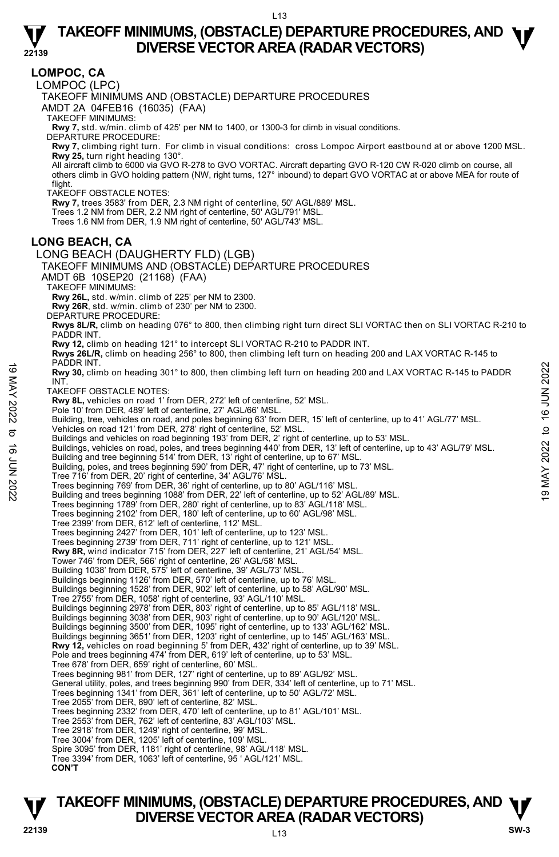**LOMPOC, CA** 

**22139** 

LOMPOC (LPC)

TAKEOFF MINIMUMS AND (OBSTACLE) DEPARTURE PROCEDURES

AMDT 2A 04FEB16 (16035) (FAA)

TAKEOFF MINIMUMS:

**Rwy 7,** std. w/min. climb of 425' per NM to 1400, or 1300-3 for climb in visual conditions. DEPARTURE PROCEDURE:

**Rwy 7,** climbing right turn. For climb in visual conditions: cross Lompoc Airport eastbound at or above 1200 MSL. **Rwy 25,** turn right heading 130°.

All aircraft climb to 6000 via GVO R-278 to GVO VORTAC. Aircraft departing GVO R-120 CW R-020 climb on course, all<br>others climb in GVO holding pattern (NW, right turns, 127° inbound) to depart GVO VORTAC at or above MEA fo flight.

TAKEOFF OBSTACLE NOTES:

**Rwy 7,** trees 3583' from DER, 2.3 NM right of centerline, 50' AGL/889' MSL.

Trees 1.2 NM from DER, 2.2 NM right of centerline, 50' AGL/791' MSL.

Trees 1.6 NM from DER, 1.9 NM right of centerline, 50' AGL/743' MSL.

#### **LONG BEACH, CA**

LONG BEACH (DAUGHERTY FLD) (LGB) TAKEOFF MINIMUMS AND (OBSTACLE) DEPARTURE PROCEDURES AMDT 6B 10SEP20 (21168) (FAA)

TAKEOFF MINIMUMS:

**Rwy 26L,** std. w/min. climb of 225' per NM to 2300.

**Rwy 26R**, std. w/min. climb of 230' per NM to 2300.

DEPARTURE PROCEDURE:

**Rwys 8L/R,** climb on heading 076° to 800, then climbing right turn direct SLI VORTAC then on SLI VORTAC R-210 to<br>PADDR INT.

**Rwy 12,** climb on heading 121° to intercept SLI VORTAC R-210 to PADDR INT.

**Rwys 26L/R,** climb on heading 256° to 800, then climbing left turn on heading 200 and LAX VORTAC R-145 to<br>PADDR INT.

**Rwy 30,** climb on heading 301° to 800, then climbing left turn on heading 200 and LAX VORTAC R-145 to PADDR **INT** 19 MAY 20 DE TRANSITION of 11 The Same of the Same of the Same of the Same of the Same of the Same of the Same of the Same of the Same of the Same of the Same of the Same of the Same of the Same of the Same of the Same of

TAKEOFF OBSTACLE NOTES:

**Rwy 8L,** vehicles on road 1' from DER, 272' left of centerline, 52' MSL.

Pole 10' from DER, 489' left of centerline, 27' AGL/66' MSL.

Building, tree, vehicles on road, and poles beginning 63' from DER, 15' left of centerline, up to 41' AGL/77' MSL.

Vehicles on road 121' from DER, 278' right of centerline, 52' MSL. Buildings and vehicles on road beginning 193' from DER, 2' right of centerline, up to 53' MSL.

Buildings, vehicles on road, poles, and trees beginning 440' from DER, 13' left of centerline, up to 43' AGL/79' MSL.<br>Building and tree beginning 514' from DER, 13' right of centerline, up to 67' MSL.

Building, poles, and trees beginning 590' from DER, 47' right of centerline, up to 73' MSL.

Tree 716' from DER, 20' right of centerline, 34' AGL/76' MSL.

Trees beginning 769' from DER, 36' right of centerline, up to 80' AGL/116' MSL.

Building and trees beginning 1088' from DER, 22' left of centerline, up to 52' AGL/89' MSL.

Trees beginning 1789' from DER, 280' right of centerline, up to 83' AGL/118' MSL.

Trees beginning 2102' from DER, 180' left of centerline, up to 60' AGL/98' MSL. Tree 2399' from DER, 612' left of centerline, 112' MSL.

Trees beginning 2427' from DER, 101' left of centerline, up to 123' MSL.

Trees beginning 2739' from DER, 711' right of centerline, up to 121' MSL.

**Rwy 8R,** wind indicator 715' from DER, 227' left of centerline, 21' AGL/54' MSL.

Tower 746' from DER, 566' right of centerline, 26' AGL/58' MSL.

Building 1038' from DER, 575' left of centerline, 39' AGL/73' MSL.

Buildings beginning 1126' from DER, 570' left of centerline, up to 76' MSL. Buildings beginning 1528' from DER, 902' left of centerline, up to 58' AGL/90' MSL.

Tree 2755' from DER, 1058' right of centerline, 93' AGL/110' MSL.

Buildings beginning 2978' from DER, 803' right of centerline, up to 85' AGL/118' MSL. Buildings beginning 3038' from DER, 903' right of centerline, up to 90' AGL/120' MSL.

Buildings beginning 3500' from DER, 1095' right of centerline, up to 133' AGL/162' MSL.

Buildings beginning 3651' from DER, 1203' right of centerline, up to 145' AGL/163' MSL.

**Rwy 12,** vehicles on road beginning 5' from DER, 432' right of centerline, up to 39' MSL.<br>Pole and trees beginning 474' from DER, 619' left of centerline, up to 53' MSL.

Tree 678' from DER, 659' right of centerline, 60' MSL.

Trees beginning 981' from DER, 127' right of centerline, up to 89' AGL/92' MSL.

General utility, poles, and trees beginning 990' from DER, 334' left of centerline, up to 71' MSL.

Trees beginning 1341' from DER, 361' left of centerline, up to 50' AGL/72' MSL.

Tree 2055' from DER, 890' left of centerline, 82' MSL.

Trees beginning 2332' from DER, 470' left of centerline, up to 81' AGL/101' MSL.

Tree 2553' from DER, 762' left of centerline, 83' AGL/103' MSL.

Tree 2918' from DER, 1249' right of centerline, 99' MSL.

Tree 3004' from DER, 1205' left of centerline, 109' MSL.

Spire 3095' from DER, 1181' right of centerline, 98' AGL/118' MSL.

Tree 3394' from DER, 1063' left of centerline, 95 ' AGL/121' MSL.

**CON'T**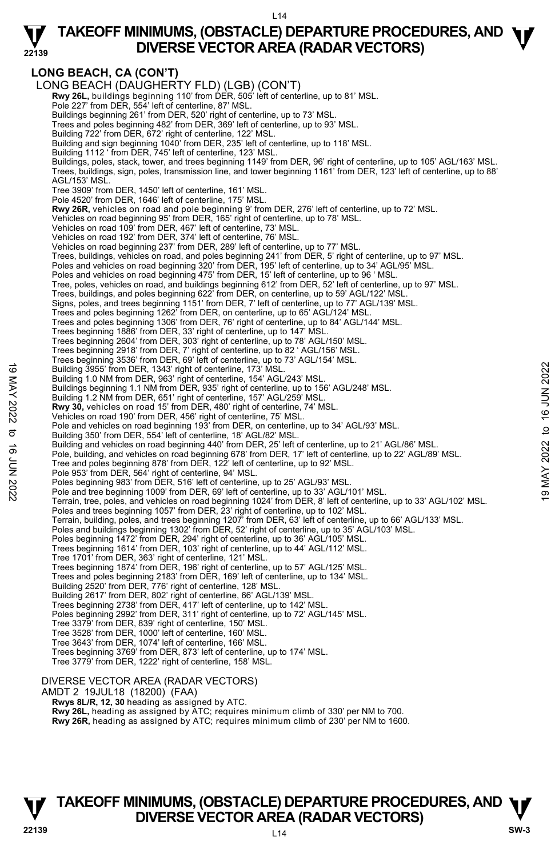### **TAKEOFF MINIMUMS, (OBSTACLE) DEPARTURE PROCEDURES, AND <b>W**<br>DIVERSE VECTOR AREA (RADAR VECTORS) **DIVERSE VECTOR AREA (RADAR VECTORS)**

### **LONG BEACH, CA (CON'T)**

**22139** 

LONG BEACH (DAUGHERTY FLD) (LGB) (CON'T)  **Rwy 26L,** buildings beginning 110' from DER, 505' left of centerline, up to 81' MSL. Pole 227' from DER, 554' left of centerline, 87' MSL. Buildings beginning 261' from DER, 520' right of centerline, up to 73' MSL. Trees and poles beginning 482' from DER, 369' left of centerline, up to 93' MSL. Building 722' from DER, 672' right of centerline, 122' MSL. Building and sign beginning 1040' from DER, 235' left of centerline, up to 118' MSL. Building 1112 ' from DER, 745' left of centerline, 123' MSL. Buildings, poles, stack, tower, and trees beginning 1149' from DER, 96' right of centerline, up to 105' AGL/163' MSL.<br>Trees, buildings, sign, poles, transmission line, and tower beginning 1161' from DER, 123' left of cente AGL/153' MSL. Tree 3909' from DER, 1450' left of centerline, 161' MSL. Pole 4520' from DER, 1646' left of centerline, 175' MSL. **Rwy 26R,** vehicles on road and pole beginning 9' from DER, 276' left of centerline, up to 72' MSL. Vehicles on road beginning 95' from DER, 165' right of centerline, up to 78' MSL. Vehicles on road 109' from DER, 467' left of centerline, 73' MSL. Vehicles on road 192' from DER, 374' left of centerline, 76' MSL. Vehicles on road beginning 237' from DER, 289' left of centerline, up to 77' MSL. Trees, buildings, vehicles on road, and poles beginning 241' from DER, 5' right of centerline, up to 97' MSL.<br>Poles and vehicles on road beginning 320' from DER, 195' left of centerline, up to 34' AGL/95' MSL. Poles and vehicles on road beginning 475' from DER, 15' left of centerline, up to 96 ' MSL. Tree, poles, vehicles on road, and buildings beginning 612' from DER, 52' left of centerline, up to 97' MSL. Trees, buildings, and poles beginning 622' from DER, on centerline, up to 59' AGL/122' MSL. Signs, poles, and trees beginning 1151' from DER, 7' left of centerline, up to 77' AGL/139' MSL. Trees and poles beginning 1262' from DER, on centerline, up to 65' AGL/124' MSL. Trees and poles beginning 1306' from DER, 76' right of centerline, up to 84' AGL/144' MSL. Trees beginning 1886' from DER, 33' right of centerline, up to 147' MSL. Trees beginning 2604' from DER, 303' right of centerline, up to 78' AGL/150' MSL. Trees beginning 2918' from DER, 7' right of centerline, up to 82 ' AGL/156' MSL. Trees beginning 3536' from DER, 69' left of centerline, up to 73' AGL/154' MSL. Building 3955' from DER, 1343' right of centerline, 173' MSL. Building 1.0 NM from DER, 963' right of centerline, 154' AGL/243' MSL. Buildings beginning 1.1 NM from DER, 935' right of centerline, up to 156' AGL/248' MSL. Building 1.2 NM from DER, 651' right of centerline, 157' AGL/259' MSL. **Rwy 30,** vehicles on road 15' from DER, 480' right of centerline, 74' MSL. Vehicles on road 190' from DER, 456' right of centerline, 75' MSL. Pole and vehicles on road beginning 193' from DER, on centerline, up to 34' AGL/93' MSL. Building 350' from DER, 554' left of centerline, 18' AGL/82' MSL. Building and vehicles on road beginning 440' from DER, 25' left of centerline, up to 21' AGL/86' MSL. Pole, building, and vehicles on road beginning 678' from DER, 17' left of centerline, up to 22' AGL/89' MSL. Tree and poles beginning 878' from DER, 122' left of centerline, up to 92' MSL. Pole 953' from DER, 564' right of centerline, 94' MSL. Poles beginning 983' from DER, 516' left of centerline, up to 25' AGL/93' MSL Pole and tree beginning 1009' from DER, 69' left of centerline, up to 33' AGL/101' MSL. Terrain, tree, poles, and vehicles on road beginning 1024' from DER, 8' left of centerline, up to 33' AGL/102' MSL. Poles and trees beginning 1057' from DER, 23' right of centerline, up to 102' MSL. Terrain, building, poles, and trees beginning 1207' from DER, 63' left of centerline, up to 66' AGL/133' MSL. Poles and buildings beginning 1302' from DER, 52' right of centerline, up to 35' AGL/103' MSL. Poles beginning 1472' from DER, 294' right of centerline, up to 36' AGL/105' MSL. Trees beginning 1614' from DER, 103' right of centerline, up to 44' AGL/112' MSL. Tree 1701' from DER, 363' right of centerline, 121' MSL. Trees beginning 1874' from DER, 196' right of centerline, up to 57' AGL/125' MSL. Trees and poles beginning 2183' from DER, 169' left of centerline, up to 134' MSL. Building 2520' from DER, 776' right of centerline, 128' MSL. Building 2617' from DER, 802' right of centerline, 66' AGL/139' MSL. Trees beginning 2738' from DER, 417' left of centerline, up to 142' MSL. Poles beginning 2992' from DER, 311' right of centerline, up to 72' AGL/145' MSL. Tree 3379' from DER, 839' right of centerline, 150' MSL. Tree 3528' from DER, 1000' left of centerline, 160' MSL. Tree 3643' from DER, 1074' left of centerline, 166' MSL. Trees beginning 3769' from DER, 873' left of centerline, up to 174' MSL. Tree 3779' from DER, 1222' right of centerline, 158' MSL. DIVERSE VECTOR AREA (RADAR VECTORS) AMDT 2 19JUL18 (18200) (FAA)  **Rwys 8L/R, 12, 30** heading as assigned by ATC. **Rwy 26L,** heading as assigned by ATC; requires minimum climb of 330' per NM to 700. Building 3955' from DER, 1343' right of centerline, 173' MSL.<br>
Building 1.0 NM from DER, 935' right of centerline, 154' AGL/243' MSL.<br>
Building 1.2 NM from DER, 935' right of centerline, 14' AGL/243' MSL.<br>
Building 1.2

# **TAKEOFF MINIMUMS, (OBSTACLE) DEPARTURE PROCEDURES, AND**  $\Psi$ **DIVERSE VECTOR AREA (RADAR VECTORS) 22139 SW-3**

**Rwy 26R,** heading as assigned by ATC; requires minimum climb of 230' per NM to 1600.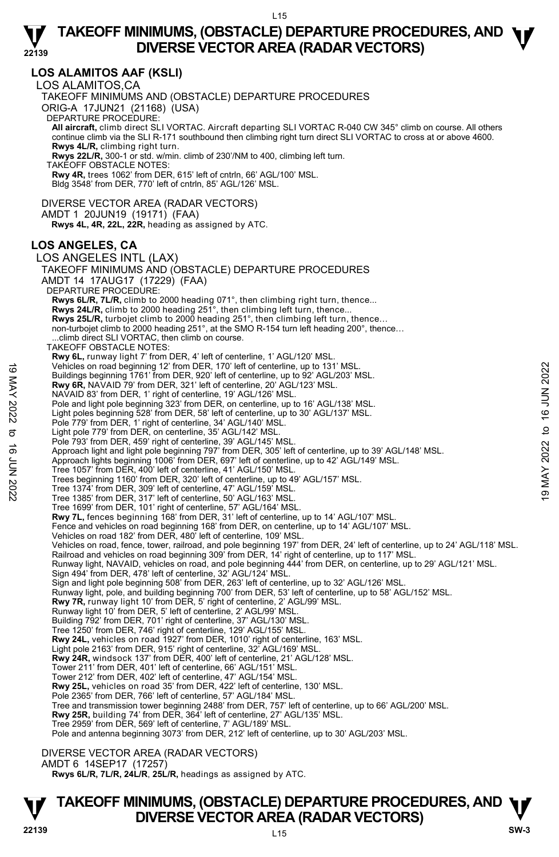#### **22139 LOS ALAMITOS AAF (KSLI)**  LOS ALAMITOS,CA TAKEOFF MINIMUMS AND (OBSTACLE) DEPARTURE PROCEDURES ORIG-A 17JUN21 (21168) (USA) DEPARTURE PROCEDURE: **All aircraft,** climb direct SLI VORTAC. Aircraft departing SLI VORTAC R-040 CW 345° climb on course. All others continue climb via the SLI R-171 southbound then climbing right turn direct SLI VORTAC to cross at or above 4600.  **Rwys 4L/R,** climbing right turn.  **Rwys 22L/R,** 300-1 or std. w/min. climb of 230'/NM to 400, climbing left turn. TAKEOFF OBSTACLE NOTES: **Rwy 4R,** trees 1062' from DER, 615' left of cntrln, 66' AGL/100' MSL. Bldg 3548' from DER, 770' left of cntrln, 85' AGL/126' MSL. DIVERSE VECTOR AREA (RADAR VECTORS) AMDT 1 20JUN19 (19171) (FAA)  **Rwys 4L, 4R, 22L, 22R,** heading as assigned by ATC. **LOS ANGELES, CA**  LOS ANGELES INTL (LAX) TAKEOFF MINIMUMS AND (OBSTACLE) DEPARTURE PROCEDURES AMDT 14 17AUG17 (17229) (FAA) DEPARTURE PROCEDURE: **Rwys 6L/R, 7L/R,** climb to 2000 heading 071°, then climbing right turn, thence... **Rwys 24L/R,** climb to 2000 heading 251°, then climbing left turn, thence... **Rwys 25L/R,** turbojet climb to 2000 heading 251°, then climbing left turn, thence…<br>non-turbojet climb to 2000 heading 251°, at the SMO R-154 turn left heading 200°, thence… .climb direct SLI VORTAC, then climb on course. TAKEOFF OBSTACLE NOTES: **Rwy 6L,** runway light 7' from DER, 4' left of centerline, 1' AGL/120' MSL. Vehicles on road beginning 12' from DER, 170' left of centerline, up to 131' MSL. Buildings beginning 1761' from DER, 920' left of centerline, up to 92' AGL/203' MSL. **Rwy 6R,** NAVAID 79' from DER, 321' left of centerline, 20' AGL/123' MSL. NAVAID 83' from DER, 1' right of centerline, 19' AGL/126' MSL. Pole and light pole beginning 323' from DER, on centerline, up to 16' AGL/138' MSL. Light poles beginning 528' from DER, 58' left of centerline, up to 30' AGL/137' MSL. Pole 779' from DER, 1' right of centerline, 34' AGL/140' MSL. Light pole 779' from DER, on centerline, 35' AGL/142' MSL. Pole 793' from DER, 459' right of centerline, 39' AGL/145' MSL. Approach light and light pole beginning 797' from DER, 305' left of centerline, up to 39' AGL/148' MSL.<br>Approach lights beginning 1006' from DER, 697' left of centerline, up to 42' AGL/149' MSL. Tree 1057' from DER, 400' left of centerline, 41' AGL/150' MSL. Trees beginning 1160' from DER, 320' left of centerline, up to 49' AGL/157' MSL. Tree 1374' from DER, 309' left of centerline, 47' AGL/159' MSL. Tree 1385' from DER, 317' left of centerline, 50' AGL/163' MSL. Tree 1699' from DER, 101' right of centerline, 57' AGL/164' MSL. Rwy 7L, fences beginning 168' from DER, 31' left of centerline, up to 14' AGL/107' MSL Fence and vehicles on road beginning 168' from DER, on centerline, up to 14' AGL/107' MSL. Vehicles on road 182' from DER, 480' left of centerline, 109' MSL. Vehicles on road, fence, tower, railroad, and pole beginning 197' from DER, 24' left of centerline, up to 24' AGL/118' MSL.<br>Railroad and vehicles on road beginning 309' from DER, 14' right of centerline, up to 117' MSL. Runway light, NAVAID, vehicles on road, and pole beginning 444' from DER, on centerline, up to 29' AGL/121' MSL. Sign 494' from DER, 478' left of centerline, 32' AGL/124' MSL. Sign and light pole beginning 508' from DER, 263' left of centerline, up to 32' AGL/126' MSL.<br>Runway light, pole, and building beginning 700' from DER, 53' left of centerline, up to 58' AGL/152' MSL. **Rwy 7R,** runway light 10' from DER, 5' right of centerline, 2' AGL/99' MSL. Runway light 10' from DER, 5' left of centerline, 2' AGL/99' MSL. Building 792' from DER, 701' right of centerline, 37' AGL/130' MSL. Tree 1250' from DER, 746' right of centerline, 129' AGL/155' MSL. **Rwy 24L,** vehicles on road 1927' from DER, 1010' right of centerline, 163' MSL. Light pole 2163' from DER, 915' right of centerline, 32' AGL/169' MSL. **Rwy 24R,** windsock 137' from DER, 400' left of centerline, 21' AGL/128' MSL. Tower 211' from DER, 401' left of centerline, 66' AGL/151' MSL. Tower 212' from DER, 402' left of centerline, 47' AGL/154' MSL. **Rwy 25L,** vehicles on road 35' from DER, 422' left of centerline, 130' MSL. Pole 2365' from DER, 766' left of centerline, 57' AGL/184' MSL. Tree and transmission tower beginning 2488' from DER, 757' left of centerline, up to 66' AGL/200' MSL.<br>**Rwy 25R,** building 74' from DER, 364' left of centerline, 27' AGL/135' MSL. Tree 2959' from DER, 569' left of centerline, 7' AGL/189' MSL. Pole and antenna beginning 3073' from DER, 212' left of centerline, up to 30' AGL/203' MSL. Vehicles on road beginning 12° from DER, 170° left of centerline, up to 131° MSL.<br>
Buy 6R, NAVAID 79° from DER, 320° left of centerline, 20° AGL/123° MSL.<br>
Ruy 6R, NAVAID 79° from DER, 321° left of centerline, 20° AGL/123

DIVERSE VECTOR AREA (RADAR VECTORS)

AMDT 6 14SEP17 (17257)

 **Rwys 6L/R, 7L/R, 24L/R**, **25L/R,** headings as assigned by ATC.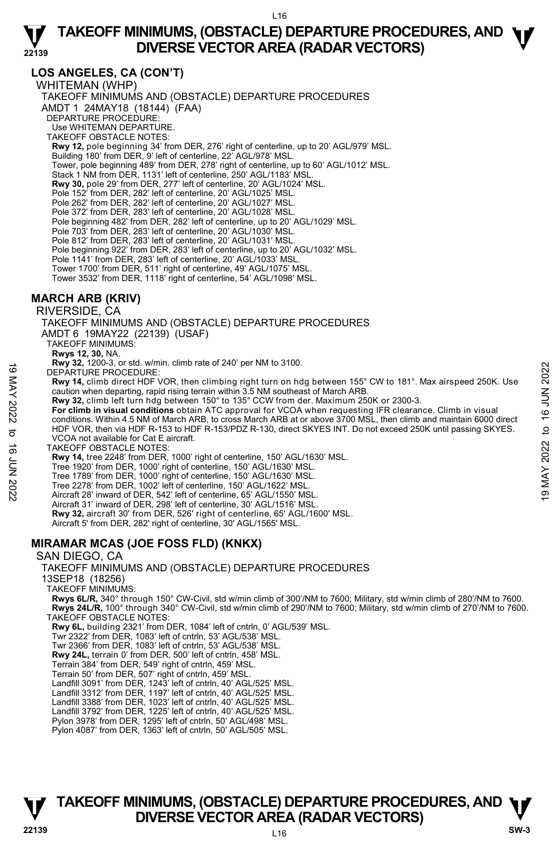### **LOS ANGELES, CA (CON'T)**

WHITEMAN (WHP)

**22139** 

TAKEOFF MINIMUMS AND (OBSTACLE) DEPARTURE PROCEDURES AMDT 1 24MAY18 (18144) (FAA) DEPARTURE PROCEDURE: Use WHITEMAN DEPARTURE. TAKEOFF OBSTACLE NOTES: **Rwy 12,** pole beginning 34' from DER, 276' right of centerline, up to 20' AGL/979' MSL. Building 180' from DER, 9' left of centerline, 22' AGL/978' MSL. Tower, pole beginning 489' from DER, 278' right of centerline, up to 60' AGL/1012' MSL. Stack 1 NM from DER, 1131' left of centerline, 250' AGL/1183' MSL. **Rwy 30,** pole 29' from DER, 277' left of centerline, 20' AGL/1024' MSL. Pole 152' from DER, 282' left of centerline, 20' AGL/1025' MSL. Pole 262' from DER, 282' left of centerline, 20' AGL/1027' MSL. Pole 372' from DER, 283' left of centerline, 20' AGL/1028' MSL. Pole beginning 482' from DER, 282' left of centerline, up to 20' AGL/1029' MSL. Pole 703' from DER, 283' left of centerline, 20' AGL/1030' MSL. Pole 812' from DER, 283' left of centerline, 20' AGL/1031' MSL. Pole beginning 922' from DER, 283' left of centerline, up to 20' AGL/1032' MSL. Pole 1141' from DER, 283' left of centerline, 20' AGL/1033' MSL Tower 1700' from DER, 511' right of centerline, 49' AGL/1075' MSL. Tower 3532' from DER, 1118' right of centerline, 54' AGL/1098' MSL.

### **MARCH ARB (KRIV)**

RIVERSIDE, CA

TAKEOFF MINIMUMS AND (OBSTACLE) DEPARTURE PROCEDURES AMDT 6 19MAY22 (22139) (USAF)

TAKEOFF MINIMUMS:

**Rwys 12, 30,** NA.

 **Rwy 32,** 1200-3, or std. w/min. climb rate of 240' per NM to 3100.

DEPARTURE PROCEDURE:

**Rwy 14,** climb direct HDF VOR, then climbing right turn on hdg between 155° CW to 181°. Max airspeed 250K. Use caution when departing, rapid rising terrain within 3.5 NM southeast of March ARB.

 **Rwy 32,** climb left turn hdg between 150° to 135° CCW from der. Maximum 250K or 2300-3.

**For climb in visual conditions** obtain ATC approval for VCOA when requesting IFR clearance. Climb in visual conditions. Within 4.5 NM of March ARB, to cross March ARB at or above 3700 MSL, then climb and maintain 6000 direct HDF VOR, then via HDF R-153 to HDF R-153/PDZ R-130, direct SKYES INT. Do not exceed 250K until passing SKYES. VCOA not available for Cat E aircraft. The and the Procedure of DEPARTURE PROCEDURE:<br>
The and with direct HDF VOR, then climbing right turn on hdg between 155° CW to 181°. Max airspeed 250K. Use<br>
caution when departing, rapid rising terrain within 3.5 NM south

TAKEOFF OBSTACLE NOTES:

**Rwy 14,** tree 2248' from DER, 1000' right of centerline, 150' AGL/1630' MSL.

Tree 1920' from DER, 1000' right of centerline, 150' AGL/1630' MSL.

Tree 1789' from DER, 1000' right of centerline, 150' AGL/1630' MSL.

Tree 2278' from DER, 1002' left of centerline, 150' AGL/1622' MSL.

Aircraft 28' inward of DER, 542' left of centerline, 65' AGL/1550' MSL.

Aircraft 31' inward of DER, 298' left of centerline, 30' AGL/1516' MSL.

**Rwy 32,** aircraft 30' from DER, 526' right of centerline, 65' AGL/1600' MSL.<br>Aircraft 5' from DER, 282' right of centerline, 30' AGL/1565' MSL.

### **MIRAMAR MCAS (JOE FOSS FLD) (KNKX)**

#### SAN DIEGO, CA

TAKEOFF MINIMUMS AND (OBSTACLE) DEPARTURE PROCEDURES

13SEP18 (18256)

TAKEOFF MINIMUMS:

**Rwys 6L/R,** 340° through 150° CW-Civil, std w/min climb of 300'/NM to 7600; Military, std w/min climb of 280'/NM to 7600. **Rwys 24L/R,** 100° through 340° CW-Civil, std w/min climb of 290'/NM to 7600; Military, std w/min climb of 270'/NM to 7600. TAKEOFF OBSTACLE NOTES:

**Rwy 6L,** building 2321' from DER, 1084' left of cntrln, 0' AGL/539' MSL.

Twr 2322' from DER, 1083' left of cntrln, 53' AGL/538' MSL.

Twr 2366' from DER, 1083' left of cntrln, 53' AGL/538' MSL.

**Rwy 24L,** terrain 0' from DER, 500' left of cntrln, 458' MSL.

Terrain 384' from DER, 549' right of cntrln, 459' MSL.

Terrain 50' from DER, 507' right of cntrln, 459' MSL. Landfill 3091' from DER, 1243' left of cntrln, 40' AGL/525' MSL.

Landfill 3312' from DER, 1197' left of cntrln, 40' AGL/525' MSL.

Landfill 3388' from DER, 1023' left of cntrln, 40' AGL/525' MSL. Landfill 3792' from DER, 1225' left of cntrln, 40' AGL/525' MSL.

Pylon 3978' from DER, 1295' left of cntrln, 50' AGL/498' MSL.

Pylon 4087' from DER, 1363' left of cntrln, 50' AGL/505' MSL.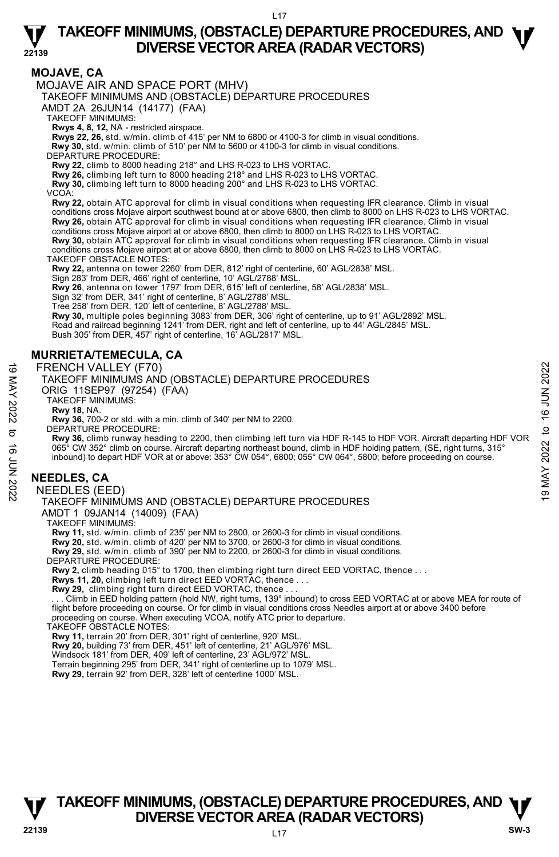# **22139**

# **TAKEOFF MINIMUMS, (OBSTACLE) DEPARTURE PROCEDURES, AND <b>W**<br>DIVERSE VECTOR AREA (RADAR VECTORS) **DIVERSE VECTOR AREA (RADAR VECTORS)**

### **MOJAVE, CA**

MOJAVE AIR AND SPACE PORT (MHV)

TAKEOFF MINIMUMS AND (OBSTACLE) DEPARTURE PROCEDURES

AMDT 2A 26JUN14 (14177) (FAA)

TAKEOFF MINIMUMS:

**Rwys 4, 8, 12,** NA - restricted airspace.

**Rwys 22, 26,** std. w/min. climb of 415' per NM to 6800 or 4100-3 for climb in visual conditions.

- **Rwy 30,** std. w/min. climb of 510' per NM to 5600 or 4100-3 for climb in visual conditions.
- DEPARTURE PROCEDURE:

**Rwy 22,** climb to 8000 heading 218° and LHS R-023 to LHS VORTAC.

**Rwy 26,** climbing left turn to 8000 heading 218° and LHS R-023 to LHS VORTAC.

**Rwy 30,** climbing left turn to 8000 heading 200° and LHS R-023 to LHS VORTAC.

VCOA:

**Rwy 22,** obtain ATC approval for climb in visual conditions when requesting IFR clearance. Climb in visual conditions cross Mojave airport southwest bound at or above 6800, then climb to 8000 on LHS R-023 to LHS VORTAC. **Rwy 26,** obtain ATC approval for climb in visual conditions when requesting IFR clearance. Climb in visual conditions cross Mojave airport at or above 6800, then climb to 8000 on LHS R-023 to LHS VORTAC. **Rwy 30,** obtain ATC approval for climb in visual conditions when requesting IFR clearance. Climb in visual

conditions cross Mojave airport at or above 6800, then climb to 8000 on LHS R-023 to LHS VORTAC.

TAKEOFF OBSTACLE NOTES:

**Rwy 22,** antenna on tower 2260' from DER, 812' right of centerline, 60' AGL/2838' MSL.

Sign 283' from DER, 466' right of centerline, 10' AGL/2788' MSL.

**Rwy 26**, antenna on tower 1797' from DER, 615' left of centerline, 58' AGL/2838' MSL.

Sign 32' from DER, 341' right of centerline, 8' AGL/2788' MSL.

Tree 258' from DER, 120' left of centerline, 8' AGL/2788' MSL.

**Rwy 30,** multiple poles beginning 3083' from DER, 306' right of centerline, up to 91' AGL/2892' MSL.

Road and railroad beginning 1241' from DER, right and left of centerline, up to 44' AGL/2845' MSL. Bush 305' from DER, 457' right of centerline, 16' AGL/2817' MSL.

### **MURRIETA/TEMECULA, CA**

FRENCH VALLEY (F70)

TAKEOFF MINIMUMS AND (OBSTACLE) DEPARTURE PROCEDURES

ORIG 11SEP97 (97254) (FAA)

TAKEOFF MINIMUMS:

**Rwy 18,** NA.

**Rwy 36,** 700-2 or std. with a min. climb of 340' per NM to 2200. DEPARTURE PROCEDURE:

**Rwy 36,** climb runway heading to 2200, then climbing left turn via HDF R-145 to HDF VOR. Aircraft departing HDF VOR 065° CW 352° climb on course. Aircraft departing northeast bound, climb in HDF holding pattern, (SE, right turns, 315°<br>inbound) to depart HDF VOR at or above: 353° CW 054°, 6800; 055° CW 064°, 5800; before proceeding on co FRENCH VALLEY (F70)<br>
TAKEOFF MINIMUMS AND (OBSTACLE) DEPARTURE PROCEDURES<br>
ORIG 11SEP97 (97254) (FAA)<br>
TAKEOFF MINIMUMS:<br>
TAKEOFF MINIMUMS:<br>
TAKEOFF MINIMUMS:<br>
TAKEOFF MINIMUMS:<br>
TAKEOFF MINIMUMS:<br>
TAKEOFF MINIMUMS:<br>
TAKE

### **NEEDLES, CA**

NEEDLES (EED)

# TAKEOFF MINIMUMS AND (OBSTACLE) DEPARTURE PROCEDURES

AMDT 1 09JAN14 (14009) (FAA)

TAKEOFF MINIMUMS:

**Rwy 11,** std. w/min. climb of 235' per NM to 2800, or 2600-3 for climb in visual conditions.<br>**Rwy 20,** std. w/min. climb of 420' per NM to 3700, or 2600-3 for climb in visual conditions.<br>**Rwy 29,** std. w/min. climb of 390

DEPARTURE PROCEDURE:

**Rwy 2,** climb heading 015° to 1700, then climbing right turn direct EED VORTAC, thence . . .

**Rwys 11, 20,** climbing left turn direct EED VORTAC, thence . . .

**Rwy 29,** climbing right turn direct EED VORTAC, thence . . .

 . . . Climb in EED holding pattern (hold NW, right turns, 139° inbound) to cross EED VORTAC at or above MEA for route of flight before proceeding on course. Or for climb in visual conditions cross Needles airport at or above 3400 before proceeding on course. When executing VCOA, notify ATC prior to departure.

TAKEOFF OBSTACLE NOTES:

**Rwy 11,** terrain 20' from DER, 301' right of centerline, 920' MSL.

**Rwy 20,** building 73' from DER, 451' left of centerline, 21' AGL/976' MSL. Windsock 181' from DER, 409' left of centerline, 23' AGL/972' MSL.

Terrain beginning 295' from DER, 341' right of centerline up to 1079' MSL. **Rwy 29,** terrain 92' from DER, 328' left of centerline 1000' MSL.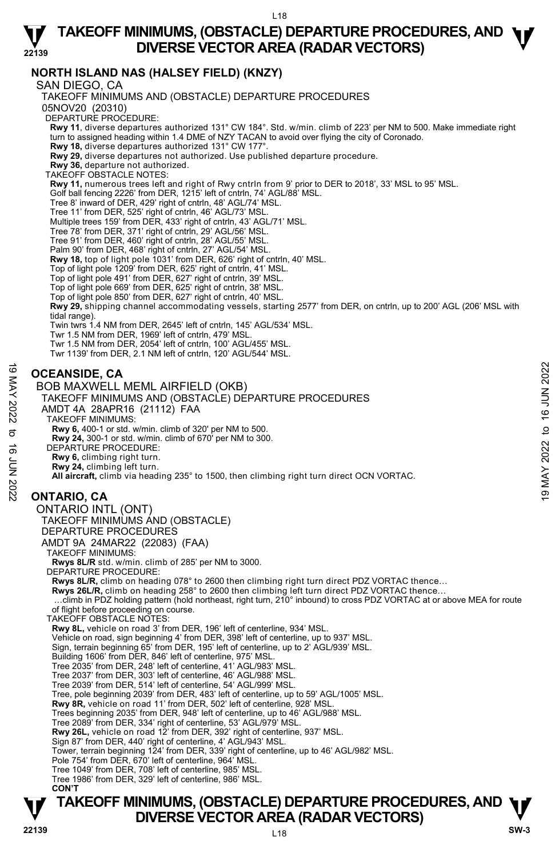### **TAKEOFF MINIMUMS, (OBSTACLE) DEPARTURE PROCEDURES, AND <b>W**<br>DIVERSE VECTOR AREA (RADAR VECTORS) **DIVERSE VECTOR AREA (RADAR VECTORS)**

### **NORTH ISLAND NAS (HALSEY FIELD) (KNZY)**

SAN DIEGO, CA

**22139** 

**TAKEOFF MINIMUMS, (OBSTACLE) DEPARTURE PROCEDURES, AND**  $\Psi$ TAKEOFF MINIMUMS AND (OBSTACLE) DEPARTURE PROCEDURES 05NOV20 (20310) DEPARTURE PROCEDURE: **Rwy 11**, diverse departures authorized 131° CW 184°. Std. w/min. climb of 223' per NM to 500. Make immediate right turn to assigned heading within 1.4 DME of NZY TACAN to avoid over flying the city of Coronado. **Rwy 18,** diverse departures authorized 131° CW 177°. **Rwy 29,** diverse departures not authorized. Use published departure procedure. **Rwy 36,** departure not authorized. TAKEOFF OBSTACLE NOTES: **Rwy 11,** numerous trees left and right of Rwy cntrln from 9' prior to DER to 2018', 33' MSL to 95' MSL. Golf ball fencing 2226' from DER, 1215' left of cntrln, 74' AGL/88' MSL. Tree 8' inward of DER, 429' right of cntrln, 48' AGL/74' MSL. Tree 11' from DER, 525' right of cntrln, 46' AGL/73' MSL. Multiple trees 159' from DER, 433' right of cntrln, 43' AGL/71' MSL. Tree 78' from DER, 371' right of cntrln, 29' AGL/56' MSL. Tree 91' from DER, 460' right of cntrln, 28' AGL/55' MSL. Palm 90' from DER, 468' right of cntrln, 27' AGL/54' MSL. **Rwy 18,** top of light pole 1031' from DER, 626' right of cntrln, 40' MSL.<br>Top of light pole 1209' from DER, 625' right of cntrln, 41' MSL. Top of light pole 491' from DER, 627' right of cntrln, 39' MSL. Top of light pole 669' from DER, 625' right of cntrln, 38' MSL. Top of light pole 850' from DER, 627' right of cntrln, 40' MSL. **Rwy 29,** shipping channel accommodating vessels, starting 2577' from DER, on cntrln, up to 200' AGL (206' MSL with tidal range). Twin twrs 1.4 NM from DER, 2645' left of cntrln, 145' AGL/534' MSL. Twr 1.5 NM from DER, 1969' left of cntrln, 479' MSL. Twr 1.5 NM from DER, 2054' left of cntrln, 100' AGL/455' MSL. Twr 1139' from DER, 2.1 NM left of cntrln, 120' AGL/544' MSL. **OCEANSIDE, CA**  BOB MAXWELL MEML AIRFIELD (OKB) TAKEOFF MINIMUMS AND (OBSTACLE) DEPARTURE PROCEDURES AMDT 4A 28APR16 (21112) FAA TAKEOFF MINIMUMS: **Rwy 6,** 400-1 or std. w/min. climb of 320' per NM to 500. **Rwy 24,** 300-1 or std. w/min. climb of 670' per NM to 300. DEPARTURE PROCEDURE: **Rwy 6,** climbing right turn. **Rwy 24,** climbing left turn. **All aircraft,** climb via heading 235° to 1500, then climbing right turn direct OCN VORTAC. **ONTARIO, CA**  ONTARIO INTL (ONT) TAKEOFF MINIMUMS AND (OBSTACLE) DEPARTURE PROCEDURES AMDT 9A 24MAR22 (22083) (FAA) TAKEOFF MINIMUMS: **Rwys 8L/R** std. w/min. climb of 285' per NM to 3000. DEPARTURE PROCEDURE: **Rwys 8L/R,** climb on heading 078° to 2600 then climbing right turn direct PDZ VORTAC thence… Rwys 26L/R, climb on heading 258° to 2600 then climbing left turn direct PDZ VORTAC thence. …climb in PDZ holding pattern (hold northeast, right turn, 210° inbound) to cross PDZ VORTAC at or above MEA for route of flight before proceeding on course. TAKEOFF OBSTACLE NOTES: **Rwy 8L,** vehicle on road 3' from DER, 196' left of centerline, 934' MSL. Vehicle on road, sign beginning 4' from DER, 398' left of centerline, up to 937' MSL. Sign, terrain beginning 65' from DER, 195' left of centerline, up to 2' AGL/939' MSL. Building 1606' from DER, 846' left of centerline, 975' MSL. Tree 2035' from DER, 248' left of centerline, 41' AGL/983' MSL. Tree 2037' from DER, 303' left of centerline, 46' AGL/988' MSL. Tree 2039' from DER, 514' left of centerline, 54' AGL/999' MSL. Tree, pole beginning 2039' from DER, 483' left of centerline, up to 59' AGL/1005' MSL. **Rwy 8R,** vehicle on road 11' from DER, 502' left of centerline, 928' MSL. Trees beginning 2035' from DER, 948' left of centerline, up to 46' AGL/988' MSL. Tree 2089' from DER, 334' right of centerline, 53' AGL/979' MSL. **Rwy 26L,** vehicle on road 12' from DER, 392' right of centerline, 937' MSL. Sign 87' from DER, 440' right of centerline, 4' AGL/943' MSL. Tower, terrain beginning 124' from DER, 339' right of centerline, up to 46' AGL/982' MSL. Pole 754' from DER, 670' left of centerline, 964' MSL. Tree 1049' from DER, 708' left of centerline, 985' MSL. Tree 1986' from DER, 329' left of centerline, 986' MSL.  **CON'T OCEANSIDE, CA**<br>
BOB MAXWELL MEML AIRFIELD (OKB)<br>
TAKEOFF MINIMUMS AND (OBSTACLE) DEPARTURE PROCEDURES<br>
AMDT 4A 28APR16 (21112) FAA<br>
TAKEOFF MINIMUMS:<br>
AMDT 4A 28APR16 (21112) FAA<br>
TAKEOFF MINIMUMS:<br>
TAKEOFF MINIMUMS:<br>
A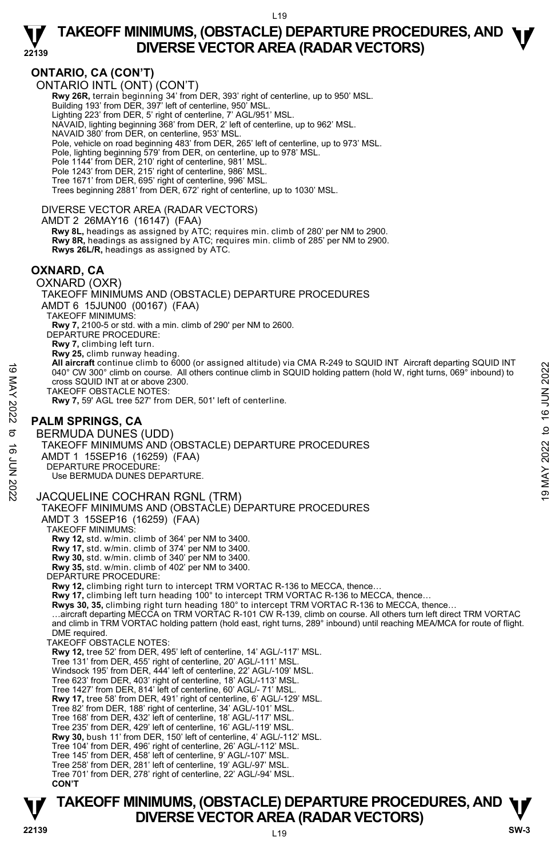

### **ONTARIO, CA (CON'T)**

ONTARIO INTL (ONT) (CON'T)

**Rwy 26R,** terrain beginning 34' from DER, 393' right of centerline, up to 950' MSL.<br>Building 193' from DER, 397' left of centerline, 950' MSL.

Lighting 223' from DER, 5' right of centerline, 7' AGL/951' MSL.

NAVAID, lighting beginning 368' from DER, 2' left of centerline, up to 962' MSL.

NAVAID 380' from DER, on centerline, 953' MSL.

Pole, vehicle on road beginning 483' from DER, 265' left of centerline, up to 973' MSL.

Pole, lighting beginning 579' from DER, on centerline, up to 978' MSL.

Pole 1144' from DER, 210' right of centerline, 981' MSL.

Pole 1243' from DER, 215' right of centerline, 986' MSL.

Tree 1671' from DER, 695' right of centerline, 996' MSL.

Trees beginning 2881' from DER, 672' right of centerline, up to 1030' MSL.

#### DIVERSE VECTOR AREA (RADAR VECTORS)

AMDT 2 26MAY16 (16147) (FAA)

 **Rwy 8L,** headings as assigned by ATC; requires min. climb of 280' per NM to 2900. **Rwy 8R,** headings as assigned by ATC; requires min. climb of 285' per NM to 2900. **Rwys 26L/R,** headings as assigned by ATC.

#### **OXNARD, CA**

OXNARD (OXR)

TAKEOFF MINIMUMS AND (OBSTACLE) DEPARTURE PROCEDURES

AMDT 6 15JUN00 (00167) (FAA)

**All aircraft** continue climb to 6000 (or assigned altitude) via CMA R-249 to SQUID INT Aircraft departing SQUID INT 040° CW 300° climb on course. All others continue climb in SQUID holding pattern (hold W, right turns, 069° inbound) to cross SQUID INT at or above 2300.

### **PALM SPRINGS, CA**

BERMUDA DUNES (UDD) TAKEOFF MINIMUMS AND (OBSTACLE) DEPARTURE PROCEDURES AMDT 1 15SEP16 (16259) (FAA) DEPARTURE PROCEDURE: Use BERMUDA DUNES DEPARTURE. 4 Marchar continue climb το south of assigned altitude) via CMA R-249 to SQUID INT Aircraft departing SQUID iNT<br>
2022<br>
TAKEOFF OBSTACLE NOTES:<br>
TAKEOFF OBSTACLE NOTES:<br>
TAKEOFF OBSTACLE NOTES:<br>
TAKEOFF OBSTACLE NOTES:<br>
T

#### JACQUELINE COCHRAN RGNL (TRM)

TAKEOFF MINIMUMS AND (OBSTACLE) DEPARTURE PROCEDURES

AMDT 3 15SEP16 (16259) (FAA)

TAKEOFF MINIMUMS:

**Rwy 12,** std. w/min. climb of 364' per NM to 3400.

**Rwy 17,** std. w/min. climb of 374' per NM to 3400. **Rwy 30,** std. w/min. climb of 340' per NM to 3400.

**Rwy 35,** std. w/min. climb of 402' per NM to 3400.

DEPARTURE PROCEDURE:

**Rwy 12,** climbing right turn to intercept TRM VORTAC R-136 to MECCA, thence…

Rwy 17, climbing left turn heading 100° to intercept TRM VORTAC R-136 to MECCA, thence..

**Rwys 30, 35,** climbing right turn heading 180° to intercept TRM VORTAC R-136 to MECCA, thence…

…aircraft departing MECCA on TRM VORTAC R-101 CW R-139, climb on course. All others turn left direct TRM VORTAC<br>and climb in TRM VORTAC holding pattern (hold east, right turns, 289° inbound) until reaching MEA/MCA for rou DME required.

TAKEOFF OBSTACLE NOTES:

**Rwy 12,** tree 52' from DER, 495' left of centerline, 14' AGL/-117' MSL.

Tree 131' from DER, 455' right of centerline, 20' AGL/-111' MSL.

Windsock 195' from DER, 444' left of centerline, 22' AGL/-109' MSL.

Tree 623' from DER, 403' right of centerline, 18' AGL/-113' MSL. Tree 1427' from DER, 814' left of centerline, 60' AGL/- 71' MSL.

**Rwy 17,** tree 58' from DER, 491' right of centerline, 6' AGL/-129' MSL.

Tree 82' from DER, 188' right of centerline, 34' AGL/-101' MSL. Tree 168' from DER, 432' left of centerline, 18' AGL/-117' MSL.

Tree 235' from DER, 429' left of centerline, 16' AGL/-119' MSL.

**Rwy 30,** bush 11' from DER, 150' left of centerline, 4' AGL/-112' MSL.

Tree 104' from DER, 496' right of centerline, 26' AGL/-112' MSL.

- Tree 145' from DER, 458' left of centerline, 9' AGL/-107' MSL.
- Tree 258' from DER, 281' left of centerline, 19' AGL/-97' MSL.
- Tree 701' from DER, 278' right of centerline, 22' AGL/-94' MSL.  **CON'T**

#### $119$ **TAKEOFF MINIMUMS, (OBSTACLE) DEPARTURE PROCEDURES, AND**  $\Psi$ **DIVERSE VECTOR AREA (RADAR VECTORS) 22139 SW-3**

TAKEOFF MINIMUMS: **Rwy 7,** 2100-5 or std. with a min. climb of 290' per NM to 2600. DEPARTURE PROCEDURE:

**Rwy 7,** climbing left turn.

**Rwy 25,** climb runway heading.

TAKEOFF OBSTACLE NOTES:

**Rwy 7,** 59' AGL tree 527' from DER, 501' left of centerline.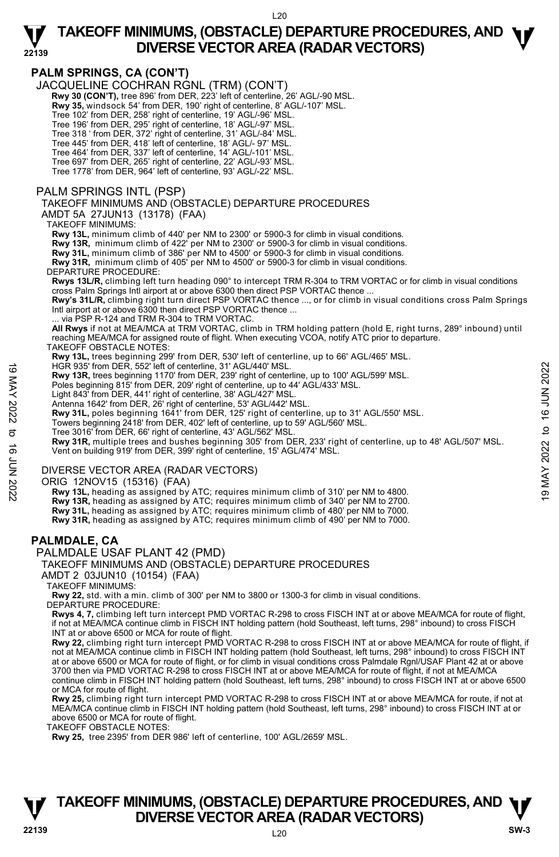# **22139**

# **TAKEOFF MINIMUMS, (OBSTACLE) DEPARTURE PROCEDURES, AND <b>W**<br>DIVERSE VECTOR AREA (RADAR VECTORS) **DIVERSE VECTOR AREA (RADAR VECTORS)**

### **PALM SPRINGS, CA (CON'T)**

JACQUELINE COCHRAN RGNL (TRM) (CON'T)

- **Rwy 30 (CON'T),** tree 896' from DER, 223' left of centerline, 26' AGL/-90 MSL.
- **Rwy 35,** windsock 54' from DER, 190' right of centerline, 8' AGL/-107' MSL.
- Tree 102' from DER, 258' right of centerline, 19' AGL/-96' MSL.
- Tree 196' from DER, 295' right of centerline, 18' AGL/-97' MSL. Tree 318 ' from DER, 372' right of centerline, 31' AGL/-84' MSL.
- Tree 445' from DER, 418' left of centerline, 18' AGL/- 97' MSL.
- 
- Tree 464' from DER, 337' left of centerline, 14' AGL/-101' MSL.
- Tree 697' from DER, 265' right of centerline, 22' AGL/-93' MSL. Tree 1778' from DER, 964' left of centerline, 93' AGL/-22' MSL.

#### PALM SPRINGS INTL (PSP)

#### TAKEOFF MINIMUMS AND (OBSTACLE) DEPARTURE PROCEDURES

AMDT 5A 27JUN13 (13178) (FAA)

#### TAKEOFF MINIMUMS:

**Rwy 13L,** minimum climb of 440' per NM to 2300' or 5900-3 for climb in visual conditions.

**Rwy 13R,** minimum climb of 422' per NM to 2300' or 5900-3 for climb in visual conditions.

**Rwy 31L,** minimum climb of 386' per NM to 4500' or 5900-3 for climb in visual conditions. **Rwy 31R,** minimum climb of 405' per NM to 4500' or 5900-3 for climb in visual conditions.

#### DEPARTURE PROCEDURE:

**Rwys 13L/R,** climbing left turn heading 090° to intercept TRM R-304 to TRM VORTAC or for climb in visual conditions cross Palm Springs Intl airport at or above 6300 then direct PSP VORTAC thence ...

**Rwy's 31L/R,** climbing right turn direct PSP VORTAC thence ..., or for climb in visual conditions cross Palm Springs Intl airport at or above 6300 then direct PSP VORTAC thence ...

via PSP R-124 and TRM R-304 to TRM VORTAC.

**All Rwys** if not at MEA/MCA at TRM VORTAC, climb in TRM holding pattern (hold E, right turns, 289° inbound) until reaching MEA/MCA for assigned route of flight. When executing VCOA, notify ATC prior to departure.

#### TAKEOFF OBSTACLE NOTES:

**Rwy 13L,** trees beginning 299' from DER, 530' left of centerline, up to 66' AGL/465' MSL. HGR 935' from DER, 552' left of centerline, 31' AGL/440' MSL.

- 
- **Rwy 13R,** trees beginning 1170' from DER, 239' right of centerline, up to 100' AGL/599' MSL.
- 
- Poles beginning 815' from DER, 209' right of centerline, up to 44' AGL/433' MSL. Light 843' from DER, 441' right of centerline, 38' AGL/427' MSL.
- Antenna 1642' from DER, 26' right of centerline, 53' AGL/442' MSL.
- **Rwy 31L,** poles beginning 1641' from DER, 125' right of centerline, up to 31' AGL/550' MSL.
- Towers beginning 2418' from DER, 402' left of centerline, up to 59' AGL/560' MSL. Tree 3016' from DER, 66' right of centerline, 43' AGL/562' MSL.
- 

**Rwy 31R,** multiple trees and bushes beginning 305' from DER, 233' right of centerline, up to 48' AGL/507' MSL. Vent on building 919' from DER, 399' right of centerline, 15' AGL/474' MSL. HGR 935' from DER, 552' left of centerline, 31' AGL/440' MSL.<br>
Rwy 13R, trees beginning 1170' from DER, 29' right of centerline, up to 100' AGL/599' MSL.<br>
Poles beginning 815' from DER, 202' right of centerline, to to 44'

#### DIVERSE VECTOR AREA (RADAR VECTORS)

ORIG 12NOV15 (15316) (FAA)

 **Rwy 13L,** heading as assigned by ATC; requires minimum climb of 310' per NM to 4800. **Rwy 13R,** heading as assigned by ATC; requires minimum climb of 340' per NM to 2700. **Rwy 31L,** heading as assigned by ATC; requires minimum climb of 480' per NM to 7000. **Rwy 31R,** heading as assigned by ATC; requires minimum climb of 490' per NM to 7000.

#### **PALMDALE, CA**

PALMDALE USAF PLANT 42 (PMD)

#### TAKEOFF MINIMUMS AND (OBSTACLE) DEPARTURE PROCEDURES

AMDT 2 03JUN10 (10154) (FAA)

TAKEOFF MINIMUMS:

**Rwy 22,** std. with a min. climb of 300' per NM to 3800 or 1300-3 for climb in visual conditions. DEPARTURE PROCEDURE:

**Rwys 4, 7,** climbing left turn intercept PMD VORTAC R-298 to cross FISCH INT at or above MEA/MCA for route of flight, if not at MEA/MCA continue climb in FISCH INT holding pattern (hold Southeast, left turns, 298° inbound) to cross FISCH INT at or above 6500 or MCA for route of flight.

**Rwy 22,** climbing right turn intercept PMD VORTAC R-298 to cross FISCH INT at or above MEA/MCA for route of flight, if not at MEA/MCA continue climb in FISCH INT holding pattern (hold Southeast, left turns, 298° inbound) to cross FISCH INT at or above 6500 or MCA for route of flight, or for climb in visual conditions cross Palmdale Rgnl/USAF Plant 42 at or above 3700 then via PMD VORTAC R-298 to cross FISCH INT at or above MEA/MCA for route of flight, if not at MEA/MCA continue climb in FISCH INT holding pattern (hold Southeast, left turns, 298° inbound) to cross FISCH INT at or above 6500 or MCA for route of flight.

**Rwy 25,** climbing right turn intercept PMD VORTAC R-298 to cross FISCH INT at or above MEA/MCA for route, if not at MEA/MCA continue climb in FISCH INT holding pattern (hold Southeast, left turns, 298° inbound) to cross FISCH INT at or above 6500 or MCA for route of flight.

TAKEOFF OBSTACLE NOTES:

**Rwy 25,** tree 2395' from DER 986' left of centerline, 100' AGL/2659' MSL.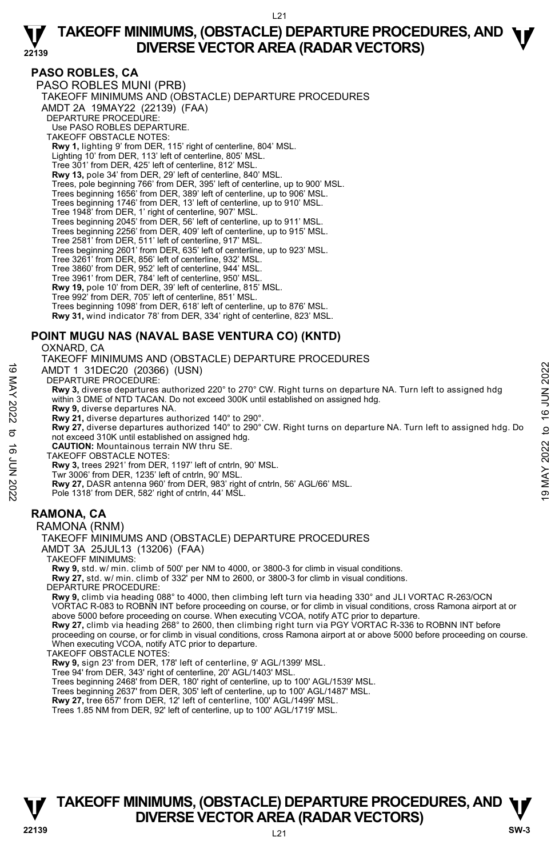#### **PASO ROBLES, CA**

**22139** 

PASO ROBLES MUNI (PRB) TAKEOFF MINIMUMS AND (OBSTACLE) DEPARTURE PROCEDURES AMDT 2A 19MAY22 (22139) (FAA) DEPARTURE PROCEDURE: Use PASO ROBLES DEPARTURE. TAKEOFF OBSTACLE NOTES: **Rwy 1,** lighting 9' from DER, 115' right of centerline, 804' MSL. Lighting 10' from DER, 113' left of centerline, 805' MSL. Tree 301' from DER, 425' left of centerline, 812' MSL. **Rwy 13,** pole 34' from DER, 29' left of centerline, 840' MSL. Trees, pole beginning 766' from DER, 395' left of centerline, up to 900' MSL. Trees beginning 1656' from DER, 389' left of centerline, up to 906' MSL. Trees beginning 1746' from DER, 13' left of centerline, up to 910' MSL. Tree 1948' from DER, 1' right of centerline, 907' MSL. Trees beginning 2045' from DER, 56' left of centerline, up to 911' MSL. Trees beginning 2256' from DER, 409' left of centerline, up to 915' MSL. Tree 2581' from DER, 511' left of centerline, 917' MSL. Trees beginning 2601' from DER, 635' left of centerline, up to 923' MSL. Tree 3261' from DER, 856' left of centerline, 932' MSL. Tree 3860' from DER, 952' left of centerline, 944' MSL. Tree 3961' from DER, 784' left of centerline, 950' MSL. **Rwy 19,** pole 10' from DER, 39' left of centerline, 815' MSL. Tree 992' from DER, 705' left of centerline, 851' MSL. Trees beginning 1098' from DER, 618' left of centerline, up to 876' MSL. **Rwy 31,** wind indicator 78' from DER, 334' right of centerline, 823' MSL.

### **POINT MUGU NAS (NAVAL BASE VENTURA CO) (KNTD)**

OXNARD, CA TAKEOFF MINIMUMS AND (OBSTACLE) DEPARTURE PROCEDURES

AMDT 1 31DEC20 (20366) (USN)

DEPARTURE PROCEDURE:

**Rwy 3,** diverse departures authorized 220° to 270° CW. Right turns on departure NA. Turn left to assigned hdg within 3 DME of NTD TACAN. Do not exceed 300K until established on assigned hdg. 4 MMDT 1 31DEC20 (20366) (USN)<br>
DEPARTURE PROCEDURE:<br>
Notes departures authorized 220° to 270° CW. Right turns on departure NA. Turn left to assigned hdg<br>
Notes of NTD TACAN. Do not exceed 300K until established on assi

- **Rwy 9,** diverse departures NA.
- **Rwy 21,** diverse departures authorized 140° to 290°.
- **Rwy 27,** diverse departures authorized 140° to 290° CW. Right turns on departure NA. Turn left to assigned hdg. Do not exceed 310K until established on assigned hdg. **CAUTION:** Mountainous terrain NW thru SE.
- 
- TAKEOFF OBSTACLE NOTES:
- **Rwy 3,** trees 2921' from DER, 1197' left of cntrln, 90' MSL. Twr 3006' from DER, 1235' left of cntrln, 90' MSL.
- **Rwy 27,** DASR antenna 960' from DER, 983' right of cntrln, 56' AGL/66' MSL.
- Pole 1318' from DER, 582' right of cntrln, 44' MSL.

### **RAMONA, CA**

#### RAMONA (RNM)

### TAKEOFF MINIMUMS AND (OBSTACLE) DEPARTURE PROCEDURES

AMDT 3A 25JUL13 (13206) (FAA)

TAKEOFF MINIMUMS:

**Rwy 9,** std. w/ min. climb of 500' per NM to 4000, or 3800-3 for climb in visual conditions.

**Rwy 27,** std. w/ min. climb of 332' per NM to 2600, or 3800-3 for climb in visual conditions.

DEPARTURE PROCEDURE:

**Rwy 9,** climb via heading 088° to 4000, then climbing left turn via heading 330° and JLI VORTAC R-263/OCN<br>VORTAC R-083 to ROBNN INT before proceeding on course, or for climb in visual conditions, cross Ramona airport at o above 5000 before proceeding on course. When executing VCOA, notify ATC prior to departure. **Rwy 27,** climb via heading 268° to 2600, then climbing right turn via PGY VORTAC R-336 to ROBNN INT before

proceeding on course, or for climb in visual conditions, cross Ramona airport at or above 5000 before proceeding on course. When executing VCOA, notify ATC prior to departure.

TAKEOFF OBSTACLE NOTES:

**Rwy 9,** sign 23' from DER, 178' left of centerline, 9' AGL/1399' MSL. Tree 94' from DER, 343' right of centerline, 20' AGL/1403' MSL.

Trees beginning 2468' from DER, 180' right of centerline, up to 100' AGL/1539' MSL.

Trees beginning 2637' from DER, 305' left of centerline, up to 100' AGL/1487' MSL. **Rwy 27,** tree 657' from DER, 12' left of centerline, 100' AGL/1499' MSL.

Trees 1.85 NM from DER, 92' left of centerline, up to 100' AGL/1719' MSL.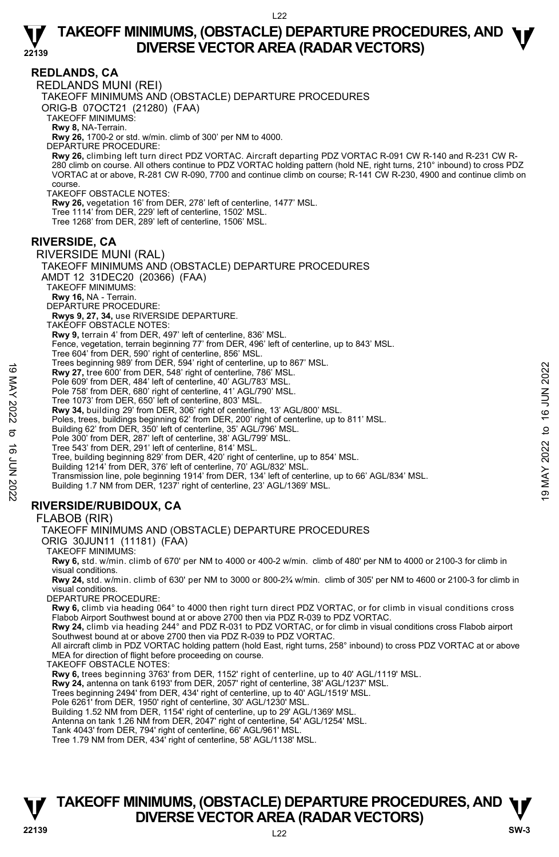

#### **REDLANDS, CA**  REDLANDS MUNI (REI) TAKEOFF MINIMUMS AND (OBSTACLE) DEPARTURE PROCEDURES ORIG-B 07OCT21 (21280) (FAA) TAKEOFF MINIMUMS: **Rwy 8,** NA-Terrain. **Rwy 26,** 1700-2 or std. w/min. climb of 300' per NM to 4000. DEPARTURE PROCEDURE: **Rwy 26,** climbing left turn direct PDZ VORTAC. Aircraft departing PDZ VORTAC R-091 CW R-140 and R-231 CW R-280 climb on course. All others continue to PDZ VORTAC holding pattern (hold NE, right turns, 210° inbound) to cross PDZ<br>VORTAC at or above, R-281 CW R-090, 7700 and continue climb on course; R-141 CW R-230, 4900 and conti course. TAKEOFF OBSTACLE NOTES: **Rwy 26,** vegetation 16' from DER, 278' left of centerline, 1477' MSL. Tree 1114' from DER, 229' left of centerline, 1502' MSL. Tree 1268' from DER, 289' left of centerline, 1506' MSL. **RIVERSIDE, CA**  RIVERSIDE MUNI (RAL) TAKEOFF MINIMUMS AND (OBSTACLE) DEPARTURE PROCEDURES AMDT 12 31DEC20 (20366) (FAA) TAKEOFF MINIMUMS: **Rwy 16,** NA - Terrain. DEPARTURE PROCEDURE: **Rwys 9, 27, 34,** use RIVERSIDE DEPARTURE. TAKEOFF OBSTACLE NOTES: **Rwy 9,** terrain 4' from DER, 497' left of centerline, 836' MSL. Fence, vegetation, terrain beginning 77' from DER, 496' left of centerline, up to 843' MSL. Tree 604' from DER, 590' right of centerline, 856' MSL. Trees beginning 989' from DER, 594' right of centerline, up to 867' MSL. **Rwy 27,** tree 600' from DER, 548' right of centerline, 786' MSL. Pole 609' from DER, 484' left of centerline, 40' AGL/783' MSL Pole 758' from DER, 680' right of centerline, 41' AGL/790' MSL. Tree 1073' from DER, 650' left of centerline, 803' MSL. **Rwy 34,** building 29' from DER, 306' right of centerline, 13' AGL/800' MSL. Poles, trees, buildings beginning 62' from DER, 200' right of centerline, up to 811' MSL. Building 62' from DER, 350' left of centerline, 35' AGL/796' MSL. Pole 300' from DER, 287' left of centerline, 38' AGL/799' MSL. Tree 543' from DER, 291' left of centerline, 814' MSL. Tree, building beginning 829' from DER, 420' right of centerline, up to 854' MSL. Building 1214' from DER, 376' left of centerline, 70' AGL/832' MSL. Transmission line, pole beginning 1914' from DER, 134' left of centerline, up to 66' AGL/834' MSL. Building 1.7 NM from DER, 1237' right of centerline, 23' AGL/1369' MSL. **RIVERSIDE/RUBIDOUX, CA**  FLABOB (RIR) TAKEOFF MINIMUMS AND (OBSTACLE) DEPARTURE PROCEDURES ORIG 30JUN11 (11181) (FAA) TAKEOFF MINIMUMS: **Rwy 6,** std. w/min. climb of 670' per NM to 4000 or 400-2 w/min. climb of 480' per NM to 4000 or 2100-3 for climb in visual conditions. **Rwy 24,** std. w/min. climb of 630' per NM to 3000 or 800-2¾ w/min. climb of 305' per NM to 4600 or 2100-3 for climb in visual conditions. DEPARTURE PROCEDURE: **Rwy 6,** climb via heading 064° to 4000 then right turn direct PDZ VORTAC, or for climb in visual conditions cross Flabob Airport Southwest bound at or above 2700 then via PDZ R-039 to PDZ VORTAC. **Rwy 24,** climb via heading 244° and PDZ R-031 to PDZ VORTAC, or for climb in visual conditions cross Flabob airport Southwest bound at or above 2700 then via PDZ R-039 to PDZ VORTAC. All aircraft climb in PDZ VORTAC holding pattern (hold East, right turns, 258° inbound) to cross PDZ VORTAC at or above MEA for direction of flight before proceeding on course. TAKEOFF OBSTACLE NOTES: **Rwy 6,** trees beginning 3763' from DER, 1152' right of centerline, up to 40' AGL/1119' MSL. **Rwy 24,** antenna on tank 6193' from DER, 2057' right of centerline, 38' AGL/1237' MSL. Trees beginning 2494' from DER, 434' right of centerline, up to 40' AGL/1519' MSL. Pole 6261' from DER, 1950' right of centerline, 30' AGL/1230' MSL. Building 1.52 NM from DER, 1154' right of centerline, up to 29' AGL/1369' MSL. 19 May 27, tree 600 'from DER, 548' right of centerline, 786' MSL.<br>
Pole 609' from DER, 548' right of centerline, 786' MSL.<br>
Pole 609' from DER, 648' right of centerline, 40' AGL/783' MSL.<br>
Pole 609' from DER, 650' left o

Antenna on tank 1.26 NM from DER, 2047' right of centerline, 54' AGL/1254' MSL.

Tank 4043' from DER, 794' right of centerline, 66' AGL/961' MSL.

Tree 1.79 NM from DER, 434' right of centerline, 58' AGL/1138' MSL.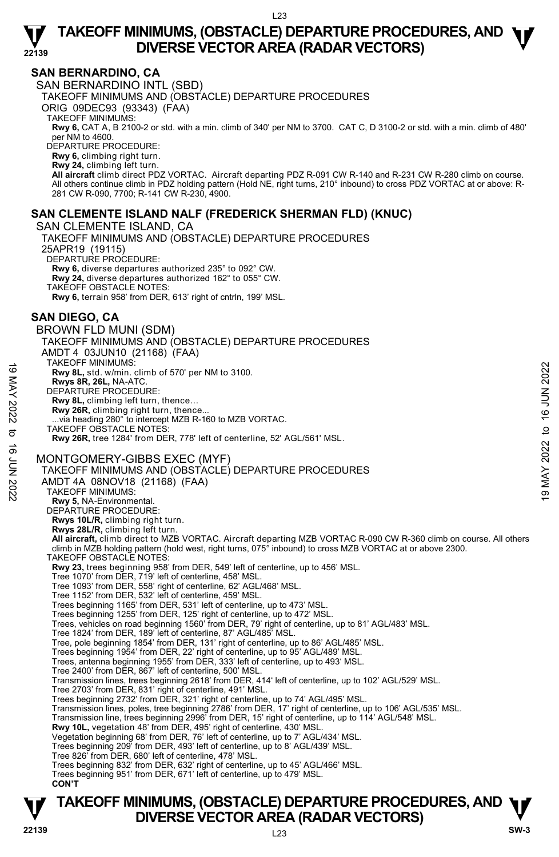

### **SAN BERNARDINO, CA**

**22139** 

SAN BERNARDINO INTL (SBD) TAKEOFF MINIMUMS AND (OBSTACLE) DEPARTURE PROCEDURES ORIG 09DEC93 (93343) (FAA) TAKEOFF MINIMUMS: **Rwy 6,** CAT A, B 2100-2 or std. with a min. climb of 340' per NM to 3700. CAT C, D 3100-2 or std. with a min. climb of 480'<br>per NM to 4600. DEPARTURE PROCEDURE: **Rwy 6,** climbing right turn. **Rwy 24,** climbing left turn. **All aircraft** climb direct PDZ VORTAC. Aircraft departing PDZ R-091 CW R-140 and R-231 CW R-280 climb on course. All others continue climb in PDZ holding pattern (Hold NE, right turns, 210° inbound) to cross PDZ VORTAC at or above: R-281 CW R-090, 7700; R-141 CW R-230, 4900.

### **SAN CLEMENTE ISLAND NALF (FREDERICK SHERMAN FLD) (KNUC)**

SAN CLEMENTE ISLAND, CA TAKEOFF MINIMUMS AND (OBSTACLE) DEPARTURE PROCEDURES 25APR19 (19115) DEPARTURE PROCEDURE: **Rwy 6,** diverse departures authorized 235° to 092° CW. **Rwy 24,** diverse departures authorized 162° to 055° CW. TAKEOFF OBSTACLE NOTES: **Rwy 6,** terrain 958' from DER, 613' right of cntrln, 199' MSL.

### **SAN DIEGO, CA**

BROWN FLD MUNI (SDM) TAKEOFF MINIMUMS AND (OBSTACLE) DEPARTURE PROCEDURES AMDT 4 03JUN10 (21168) (FAA) TAKEOFF MINIMUMS: **Rwy 8L,** std. w/min. climb of 570' per NM to 3100. **Rwys 8R, 26L,** NA-ATC. DEPARTURE PROCEDURE: **Rwy 8L,** climbing left turn, thence… Rwy 26R, climbing right turn, thence. .via heading 280° to intercept MZB R-160 to MZB VORTAC. TAKEOFF OBSTACLE NOTES: **Rwy 26R,** tree 1284' from DER, 778' left of centerline, 52' AGL/561' MSL. MONTGOMERY-GIBBS EXEC (MYF) TAKEOFF MINIMUMS AND (OBSTACLE) DEPARTURE PROCEDURES AMDT 4A 08NOV18 (21168) (FAA) TAKEOFF MINIMUMS: **Rwy 5,** NA-Environmental. DEPARTURE PROCEDURE: **Rwys 10L/R,** climbing right turn. **Rwys 28L/R,** climbing left turn. **All aircraft,** climb direct to MZB VORTAC. Aircraft departing MZB VORTAC R-090 CW R-360 climb on course. All others climb in MZB holding pattern (hold west, right turns, 075° inbound) to cross MZB VORTAC at or above 2300. TAKEOFF OBSTACLE NOTES: **Rwy 23,** trees beginning 958' from DER, 549' left of centerline, up to 456' MSL. Tree 1070' from DER, 719' left of centerline, 458' MSL. Tree 1093' from DER, 558' right of centerline, 62' AGL/468' MSL. Tree 1152' from DER, 532' left of centerline, 459' MSL. Trees beginning 1165' from DER, 531' left of centerline, up to 473' MSL. Trees beginning 1255' from DER, 125' right of centerline, up to 472' MSL. Trees, vehicles on road beginning 1560' from DER, 79' right of centerline, up to 81' AGL/483' MSL. Tree 1824' from DER, 189' left of centerline, 87' AGL/485' MSL. Tree, pole beginning 1854' from DER, 131' right of centerline, up to 86' AGL/485' MSL. Trees beginning 1954' from DER, 22' right of centerline, up to 95' AGL/489' MSL. Trees, antenna beginning 1955' from DER, 333' left of centerline, up to 493' MSL. Tree 2400' from DER, 867' left of centerline, 500' MSL. Transmission lines, trees beginning 2618' from DER, 414' left of centerline, up to 102' AGL/529' MSL. Tree 2703' from DER, 831' right of centerline, 491' MSL. Trees beginning 2732' from DER, 321' right of centerline, up to 74' AGL/495' MSL. Transmission lines, poles, tree beginning 2786' from DER, 17' right of centerline, up to 106' AGL/535' MSL.<br>Transmission line, trees beginning 2996' from DER, 15' right of centerline, up to 114' AGL/548' MSL. **Rwy 10L,** vegetation 48' from DER, 495' right of centerline, 430' MSL. Vegetation beginning 68' from DER, 76' left of centerline, up to 7' AGL/434' MSL. Trees beginning 209' from DER, 493' left of centerline, up to 8' AGL/439' MSL. Tree 826' from DER, 680' left of centerline, 478' MSL. Trees beginning 832' from DER, 632' right of centerline, up to 45' AGL/466' MSL. Trees beginning 951' from DER, 671' left of centerline, up to 479' MSL. **CON'T**  19 MARCOFF MINIMUMIS.<br>
The May 81, std. w/min. climb of 570' per NM to 3100.<br>
News 8R, 26L, NA-ATC.<br>
DEPARTURE PROCEDURE:<br>
New 2028, climbing left turn, thence...<br>
News 26R, climbing ight turn, thence...<br>
TAKEOFF OBSTACLE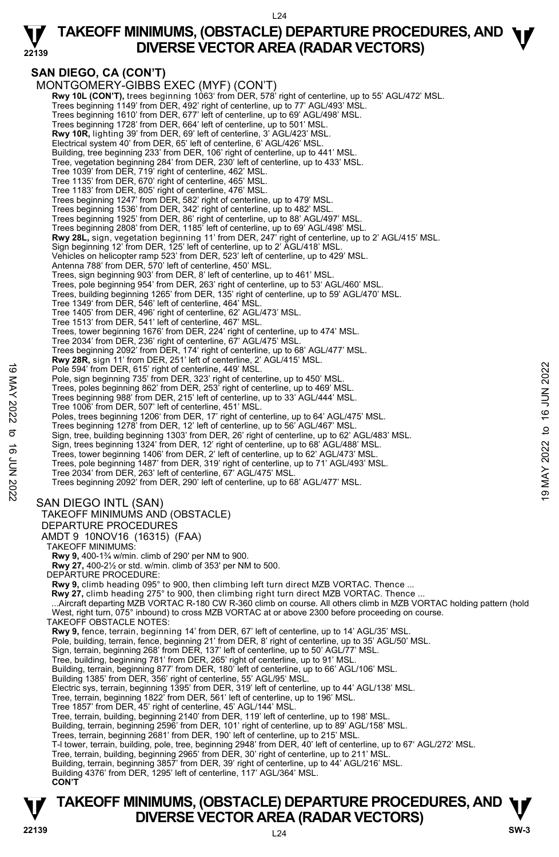

# **TAKEOFF MINIMUMS, (OBSTACLE) DEPARTURE PROCEDURES, AND <b>W**<br>DIVERSE VECTOR AREA (RADAR VECTORS) **DIVERSE VECTOR AREA (RADAR VECTORS)**

### **SAN DIEGO, CA (CON'T)**

MONTGOMERY-GIBBS EXEC (MYF) (CON'T) **Rwy 10L (CON'T),** trees beginning 1063' from DER, 578' right of centerline, up to 55' AGL/472' MSL.<br>Trees beginning 1149' from DER, 492' right of centerline, up to 77' AGL/493' MSL. Trees beginning 1610' from DER, 677' left of centerline, up to 69' AGL/498' MSL. Trees beginning 1728' from DER, 664' left of centerline, up to 501' MSL. **Rwy 10R,** lighting 39' from DER, 69' left of centerline, 3' AGL/423' MSL. Electrical system 40' from DER, 65' left of centerline, 6' AGL/426' MSL. Building, tree beginning 233' from DER, 106' right of centerline, up to 441' MSL. Tree, vegetation beginning 284' from DER, 230' left of centerline, up to 433' MSL. Tree 1039' from DER, 719' right of centerline, 462' MSL. Tree 1135' from DER, 670' right of centerline, 465' MSL. Tree 1183' from DER, 805' right of centerline, 476' MSL.<br>Trees beginning 1247' from DER, 582' right of centerline, up to 479' MSL.<br>Trees beginning 1536' from DER, 342' right of centerline, up to 482' MSL. Trees beginning 1925' from DER, 86' right of centerline, up to 88' AGL/497' MSL. Trees beginning 2808' from DER, 1185' left of centerline, up to 69' AGL/498' MSL.<br>**Rwy 28L,** sign, vegetation beginning 11' from DER, 247' right of centerline, up to 2' AGL/415' MSL. Sign beginning 12' from DER, 125' left of centerline, up to 2' AGL/418' MSL. Vehicles on helicopter ramp 523' from DER, 523' left of centerline, up to 429' MSL. Antenna 788' from DER, 570' left of centerline, 450' MSL. Trees, sign beginning 903' from DER, 8' left of centerline, up to 461' MSL. Trees, pole beginning 954' from DER, 263' right of centerline, up to 53' AGL/460' MSL. Trees, building beginning 1265' from DER, 135' right of centerline, up to 59' AGL/470' MSL. Tree 1349' from DER, 546' left of centerline, 464' MSL. Tree 1405' from DER, 496' right of centerline, 62' AGL/473' MSL. Tree 1513' from DER, 541' left of centerline, 467' MSL. Trees, tower beginning 1676' from DER, 224' right of centerline, up to 474' MSL. Tree 2034' from DER, 236' right of centerline, 67' AGL/475' MSL. Trees beginning 2092' from DER, 174' right of centerline, up to 68' AGL/477' MSL. **Rwy 28R,** sign 11' from DER, 251' left of centerline, 2' AGL/415' MSL. Pole 594' from DER, 615' right of centerline, 449' MSL. Pole, sign beginning 735' from DER, 323' right of centerline, up to 450' MSL Trees, poles beginning 862' from DER, 253' right of centerline, up to 469' MSL. Trees beginning 988' from DER, 215' left of centerline, up to 33' AGL/444' MSL. Tree 1006' from DER, 507' left of centerline, 451' MSL. Poles, trees beginning 1206' from DER, 17' right of centerline, up to 64' AGL/475' MSL. Trees beginning 1278' from DER, 12' left of centerline, up to 56' AGL/467' MSL. Sign, tree, building beginning 1303' from DER, 26' right of centerline, up to 62' AGL/483' MSL. Sign, trees beginning 1324' from DER, 12' right of centerline, up to 68' AGL/488' MSL. Trees, tower beginning 1406' from DER, 2' left of centerline, up to 62' AGL/473' MSL.<br>Trees, pole beginning 1487' from DER, 319' right of centerline, up to 71' AGL/493' MSL.<br>Tree 2034' from DER, 263' left of centerline, 67 Trees beginning 2092' from DER, 290' left of centerline, up to 68' AGL/477' MSL. SAN DIEGO INTL (SAN) TAKEOFF MINIMUMS AND (OBSTACLE) DEPARTURE PROCEDURES AMDT 9 10NOV16 (16315) (FAA) TAKEOFF MINIMUMS: **Rwy 9,** 400-1¾ w/min. climb of 290' per NM to 900. **Rwy 27,** 400-2½ or std. w/min. climb of 353' per NM to 500. DEPARTURE PROCEDURE: **Rwy 9,** climb heading 095° to 900, then climbing left turn direct MZB VORTAC. Thence ... **Rwy 27,** climb heading 275° to 900, then climbing right turn direct MZB VORTAC. Thence ... ...Aircraft departing MZB VORTAC R-180 CW R-360 climb on course. All others climb in MZB VORTAC holding pattern (hold West, right turn, 075° inbound) to cross MZB VORTAC at or above 2300 before proceeding on course. TAKEOFF OBSTACLE NOTES: **Rwy 9,** fence, terrain, beginning 14' from DER, 67' left of centerline, up to 14' AGL/35' MSL.<br>Pole, building, terrain, fence, beginning 21' from DER, 8' right of centerline, up to 35' AGL/50' MSL. Sign, terrain, beginning 268' from DER, 137' left of centerline, up to 50' AGL/77' MSL. Tree, building, beginning 781' from DER, 265' right of centerline, up to 91' MSL. Building, terrain, beginning 877' from DER, 180' left of centerline, up to 66' AGL/106' MSL. Building 1385' from DER, 356' right of centerline, 55' AGL/95' MSL. Electric sys, terrain, beginning 1395' from DER, 319' left of centerline, up to 44' AGL/138' MSL. Tree, terrain, beginning 1822' from DER, 561' left of centerline, up to 196' MSL. Tree 1857' from DER, 45' right of centerline, 45' AGL/144' MSL. Tree, terrain, building, beginning 2140' from DER, 119' left of centerline, up to 198' MSL. Building, terrain, beginning 2596' from DER, 101' right of centerline, up to 89' AGL/158' MSL.<br>Trees, terrain, beginning 2681' from DER, 190' left of centerline, up to 215' MSL. T-l tower, terrain, building, pole, tree, beginning 2948' from DER, 40' left of centerline, up to 67' AGL/272' MSL. Tree, terrain, building, beginning 2965' from DER, 30' right of centerline, up to 211' MSL. Building, terrain, beginning 3857' from DER, 39' right of centerline, up to 44' AGL/216' MSL. Building 4376' from DER, 1295' left of centerline, 117' AGL/364' MSL. **CON'T**  19 May 2022 To DER, 615' right of centerline, 449 MSL.<br>
The say to the spinning 735' from DER, 253' right of centerline, up to 469' MSL.<br>
Trees, poles beginning 862' from DER, 253' right of centerline, up to 469' MSL.<br>
Tr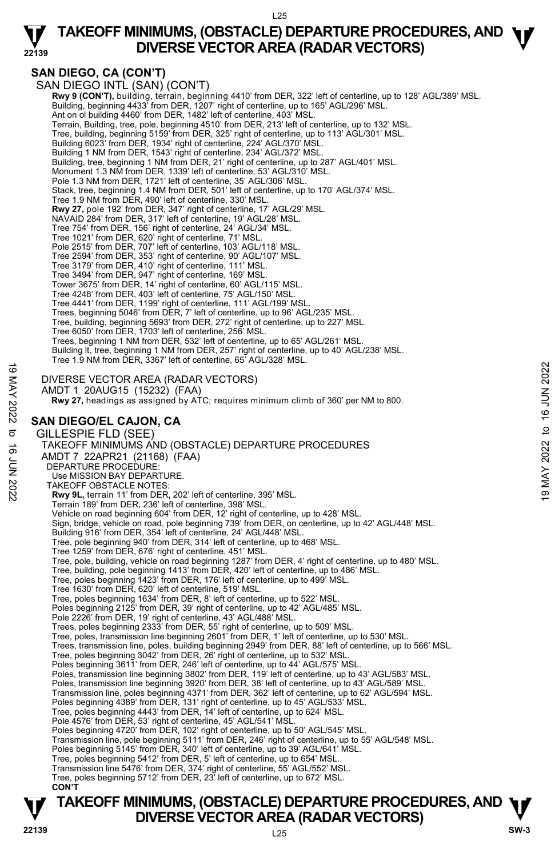

### **SAN DIEGO, CA (CON'T)**

**22139** 

SAN DIEGO INTL (SAN) (CON'T)  **Rwy 9 (CON'T),** building, terrain, beginning 4410' from DER, 322' left of centerline, up to 128' AGL/389' MSL. Building, beginning 4433' from DER, 1207' right of centerline, up to 165' AGL/296' MSL. Ant on ol building 4460' from DER, 1482' left of centerline, 403' MSL. Terrain, Building, tree, pole, beginning 4510' from DER, 213' left of centerline, up to 132' MSL. Tree, building, beginning 5159' from DER, 325' right of centerline, up to 113' AGL/301' MSL. Building 6023' from DER, 1934' right of centerline, 224' AGL/370' MSL. Building 1 NM from DER, 1543' right of centerline, 234' AGL/372' MSL. Building, tree, beginning 1 NM from DER, 21' right of centerline, up to 287' AGL/401' MSL. Monument 1.3 NM from DER, 1339' left of centerline, 53' AGL/310' MSL. Pole 1.3 NM from DER, 1721' left of centerline, 35' AGL/306' MSL. Stack, tree, beginning 1.4 NM from DER, 501' left of centerline, up to 170' AGL/374' MSL. Tree 1.9 NM from DER, 490' left of centerline, 330' MSL. **Rwy 27,** pole 192' from DER, 347' right of centerline, 17' AGL/29' MSL. NAVAID 284' from DER, 317' left of centerline, 19' AGL/28' MSL. Tree 754' from DER, 156' right of centerline, 24' AGL/34' MSL. Tree 1021' from DER, 620' right of centerline, 71' MSL. Pole 2515' from DER, 707' left of centerline, 103' AGL/118' MSL. Tree 2594' from DER, 353' right of centerline, 90' AGL/107' MSL. Tree 3179' from DER, 410' right of centerline, 111' MSL. Tree 3494' from DER, 947' right of centerline, 169' MSL. Tower 3675' from DER, 14' right of centerline, 60' AGL/115' MSL. Tree 4248' from DER, 403' left of centerline, 75' AGL/150' MSL. Tree 4441' from DER, 1199' right of centerline, 111' AGL/199' MSL. Trees, beginning 5046' from DER, 7' left of centerline, up to 96' AGL/235' MSL. Tree, building, beginning 5693' from DER, 272' right of centerline, up to 227' MSL. Tree 6050' from DER, 1703' left of centerline, 256' MSL. Trees, beginning 1 NM from DER, 532' left of centerline, up to 65' AGL/261' MSL. Building lt, tree, beginning 1 NM from DER, 257' right of centerline, up to 40' AGL/238' MSL. Tree 1.9 NM from DER, 3367' left of centerline, 65' AGL/328' MSL. DIVERSE VECTOR AREA (RADAR VECTORS) AMDT 1 20AUG15 (15232) (FAA)  **Rwy 27,** headings as assigned by ATC; requires minimum climb of 360' per NM to 800. **SAN DIEGO/EL CAJON, CA**  GILLESPIE FLD (SEE) TAKEOFF MINIMUMS AND (OBSTACLE) DEPARTURE PROCEDURES AMDT 7 22APR21 (21168) (FAA) DEPARTURE PROCEDURE: Use MISSION BAY DEPARTURE. TAKEOFF OBSTACLE NOTES: **Rwy 9L,** terrain 11' from DER, 202' left of centerline, 395' MSL. Terrain 189' from DER, 236' left of centerline, 398' MSL. Vehicle on road beginning 604' from DER, 12' right of centerline, up to 428' MSL. Sign, bridge, vehicle on road, pole beginning 739' from DER, on centerline, up to 42' AGL/448' MSL. Building 916' from DER, 354' left of centerline, 24' AGL/448' MSL. Tree, pole beginning 940' from DER, 314' left of centerline, up to 468' MSL. Tree 1259' from DER, 676' right of centerline, 451' MSL. Tree, pole, building, vehicle on road beginning 1287' from DER, 4' right of centerline, up to 480' MSL. Tree, building, pole beginning 1413' from DER, 420' left of centerline, up to 486' MSL. Tree, poles beginning 1423' from DER, 176' left of centerline, up to 499' MSL. Tree 1630' from DER, 620' left of centerline, 519' MSL. Tree, poles beginning 1634' from DER, 8' left of centerline, up to 522' MSL. Poles beginning 2125' from DER, 39' right of centerline, up to 42' AGL/485' MSL. Pole 2226' from DER, 19' right of centerline, 43' AGL/488' MSL. Trees, poles beginning 2333' from DER, 55' right of centerline, up to 509' MSL. Tree, poles, transmission line beginning 2601' from DER, 1' left of centerline, up to 530' MSL. Trees, transmission line, poles, building beginning 2949' from DER, 88' left of centerline, up to 566' MSL.<br>Tree, poles beginning 3042' from DER, 26' right of centerline, up to 532' MSL. Poles beginning 3611' from DER, 246' left of centerline, up to 44' AGL/575' MSL. Poles, transmission line beginning 3802' from DER, 119' left of centerline, up to 43' AGL/583' MSL.<br>Poles, transmission line beginning 3920' from DER, 38' left of centerline, up to 43' AGL/589' MSL. Transmission line, poles beginning 4371' from DER, 362' left of centerline, up to 62' AGL/594' MSL. Poles beginning 4389' from DER, 131' right of centerline, up to 45' AGL/533' MSL. Tree, poles beginning 4443' from DER, 14' left of centerline, up to 624' MSL. Pole 4576' from DER, 53' right of centerline, 45' AGL/541' MSL. Poles beginning 4720' from DER, 102' right of centerline, up to 50' AGL/545' MSL. Transmission line, pole beginning 5111' from DER, 246' right of centerline, up to 55' AGL/548' MSL.<br>Poles beginning 5145' from DER, 340' left of centerline, up to 39' AGL/641' MSL. Tree, poles beginning 5412' from DER, 5' left of centerline, up to 654' MSL. Transmission line 5476' from DER, 374' right of centerline, 55' AGL/552' MSL. Tree, poles beginning 5712' from DER, 23' left of centerline, up to 672' MSL. **CON'T** 19 MERSE VECTOR AREA (RADAR VECTORS)<br>
INVERSE VECTOR AREA (RADAR VECTORS)<br>
AMDT 1 20AUG15 (15232) (FAA)<br> **RW 27**, headings as assigned by ATC; requires minimum climb of 360' per NM to 800.<br> **SAN DIEGO/EL CAJON, CA**<br>
GILL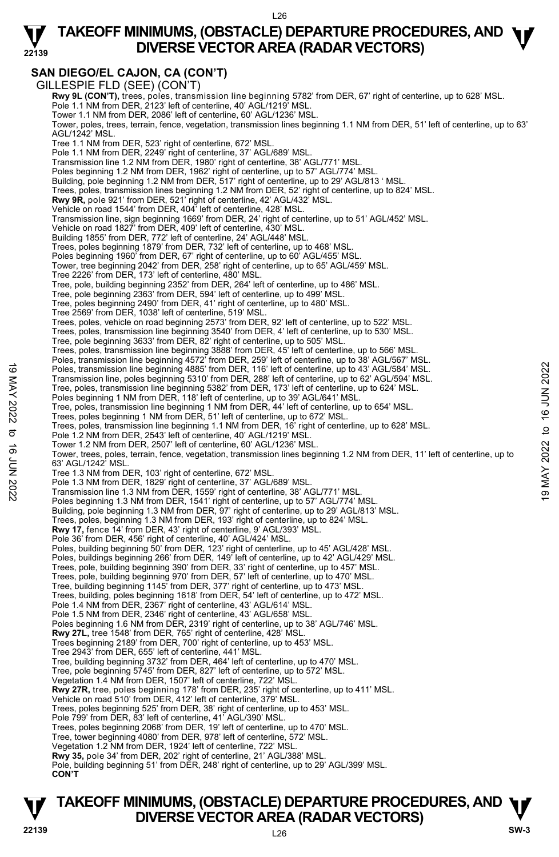### **TAKEOFF MINIMUMS, (OBSTACLE) DEPARTURE PROCEDURES, AND <b>W**<br>DIVERSE VECTOR AREA (RADAR VECTORS) **DIVERSE VECTOR AREA (RADAR VECTORS)**

### **SAN DIEGO/EL CAJON, CA (CON'T)**

**22139** 

GILLESPIE FLD (SEE) (CON'T) **Rwy 9L (CON'T),** trees, poles, transmission line beginning 5782' from DER, 67' right of centerline, up to 628' MSL.<br>Pole 1.1 NM from DER, 2123' left of centerline, 40' AGL/1219' MSL. Tower 1.1 NM from DER, 2086' left of centerline, 60' AGL/1236' MSL. Tower, poles, trees, terrain, fence, vegetation, transmission lines beginning 1.1 NM from DER, 51' left of centerline, up to 63' AGL/1242' MSL. Tree 1.1 NM from DER, 523' right of centerline, 672' MSL. Pole 1.1 NM from DER, 2249' right of centerline, 37' AGL/689' MSL. Transmission line 1.2 NM from DER, 1980' right of centerline, 38' AGL/771' MSL Poles beginning 1.2 NM from DER, 1962' right of centerline, up to 57' AGL/774' MSL. Building, pole beginning 1.2 NM from DER, 517' right of centerline, up to 29' AGL/813 ' MSL. Trees, poles, transmission lines beginning 1.2 NM from DER, 52' right of centerline, up to 824' MSL.<br>**Rwy 9R,** pole 921' from DER, 521' right of centerline, 42' AGL/432' MSL. Vehicle on road 1544' from DER, 404' left of centerline, 428' MSL. Transmission line, sign beginning 1669' from DER, 24' right of centerline, up to 51' AGL/452' MSL. Vehicle on road 1827' from DER, 409' left of centerline, 430' MSL Building 1855' from DER, 772' left of centerline, 24' AGL/448' MSL. Trees, poles beginning 1879' from DER, 732' left of centerline, up to 468' MSL. Poles beginning 1960' from DER, 67' right of centerline, up to 60' AGL/455' MSL. Tower, tree beginning 2042' from DER, 258' right of centerline, up to 65' AGL/459' MSL. Tree 2226' from DER, 173' left of centerline, 480' MSL. Tree, pole, building beginning 2352' from DER, 264' left of centerline, up to 486' MSL. Tree, pole beginning 2363' from DER, 594' left of centerline, up to 499' MSL. Tree, poles beginning 2490' from DER, 41' right of centerline, up to 480' MSL. Tree 2569' from DER, 1038' left of centerline, 519' MSL. Trees, poles, vehicle on road beginning 2573' from DER, 92' left of centerline, up to 522' MSL. Trees, poles, transmission line beginning 3540' from DER, 4' left of centerline, up to 530' MSL. Tree, pole beginning 3633' from DER, 82' right of centerline, up to 505' MSL. Trees, poles, transmission line beginning 3888' from DER, 45' left of centerline, up to 566' MSL. Poles, transmission line beginning 4572' from DER, 259' left of centerline, up to 38' AGL/567' MSL.<br>Poles, transmission line beginning 4885' from DER, 116' left of centerline, up to 43' AGL/584' MSL. Transmission line, poles beginning 5310' from DER, 288' left of centerline, up to 62' AGL/594' MSL. Tree, poles, transmission line beginning 5382' from DER, 173' left of centerline, up to 624' MSL.<br>Poles beginning 1 NM from DER, 118' left of centerline, up to 39' AGL/641' MSL. Tree, poles, transmission line beginning 1 NM from DER, 44' left of centerline, up to 654' MSL. Trees, poles beginning 1 NM from DER, 51' left of centerline, up to 672' MSL. Trees, poles, transmission line beginning 1.1 NM from DER, 16' right of centerline, up to 628' MSL. Pole 1.2 NM from DER, 2543' left of centerline, 40' AGL/1219' MSL. Tower 1.2 NM from DER, 2507' left of centerline, 60' AGL/1236' MSL. Tower, trees, poles, terrain, fence, vegetation, transmission lines beginning 1.2 NM from DER, 11' left of centerline, up to 63' AGL/1242' MSL. Tree 1.3 NM from DER, 103' right of centerline, 672' MSL. Pole 1.3 NM from DER, 1829' right of centerline, 37' AGL/689' MSL Transmission line 1.3 NM from DER, 1559' right of centerline, 38' AGL/771' MSL. Poles beginning 1.3 NM from DER, 1541' right of centerline, up to 57' AGL/774' MSL. Building, pole beginning 1.3 NM from DER, 97' right of centerline, up to 29' AGL/813' MSL. Trees, poles, beginning 1.3 NM from DER, 193' right of centerline, up to 824' MSL.<br>**Rwy 17,** fence 14' from DER, 43' right of centerline, 9' AGL/393' MSL. Pole 36' from DER, 456' right of centerline, 40' AGL/424' MSL. Poles, building beginning 50' from DER, 123' right of centerline, up to 45' AGL/428' MSL. Poles, buildings beginning 266' from DER, 149' left of centerline, up to 42' AGL/429' MSL. Trees, pole, building beginning 390' from DER, 33' right of centerline, up to 457' MSL. Trees, pole, building beginning 970' from DER, 57' left of centerline, up to 470' MSL. Tree, building beginning 1145' from DER, 377' right of centerline, up to 473' MSL. Trees, building, poles beginning 1618' from DER, 54' left of centerline, up to 472' MSL. Pole 1.4 NM from DER, 2367' right of centerline, 43' AGL/614' MSL. Pole 1.5 NM from DER, 2346' right of centerline, 43' AGL/658' MSL. Poles beginning 1.6 NM from DER, 2319' right of centerline, up to 38' AGL/746' MSL. **Rwy 27L,** tree 1548' from DER, 765' right of centerline, 428' MSL. Trees beginning 2189' from DER, 700' right of centerline, up to 453' MSL. Tree 2943' from DER, 655' left of centerline, 441' MSL. Tree, building beginning 3732' from DER, 464' left of centerline, up to 470' MSL. Tree, pole beginning 5745' from DER, 827' left of centerline, up to 572' MSL. Vegetation 1.4 NM from DER, 1507' left of centerline, 722' MSL. **Rwy 27R,** tree, poles beginning 178' from DER, 235' right of centerline, up to 411' MSL. Vehicle on road 510' from DER, 412' left of centerline, 379' MSL. Trees, poles beginning 525' from DER, 38' right of centerline, up to 453' MSL. Pole 799' from DER, 83' left of centerline, 41' AGL/390' MSL. Trees, poles beginning 2068' from DER, 19' left of centerline, up to 470' MSL. Tree, tower beginning 4080' from DER, 978' left of centerline, 572' MSL. Vegetation 1.2 NM from DER, 1924' left of centerline, 722' MSL. **Rwy 35,** pole 34' from DER, 202' right of centerline, 21' AGL/388' MSL. Pole, building beginning 51' from DER, 248' right of centerline, up to 29' AGL/399' MSL. **CON'T** Poles, transmission line beginning 4885' from DER, 116' left of centerline, up to 43' AGL/584' MSL.<br>
Transmission line, poles beginning 5310' from DER, 216' left of centerline, up to 62' AGL/584' MSL.<br>
Tree, poles, transm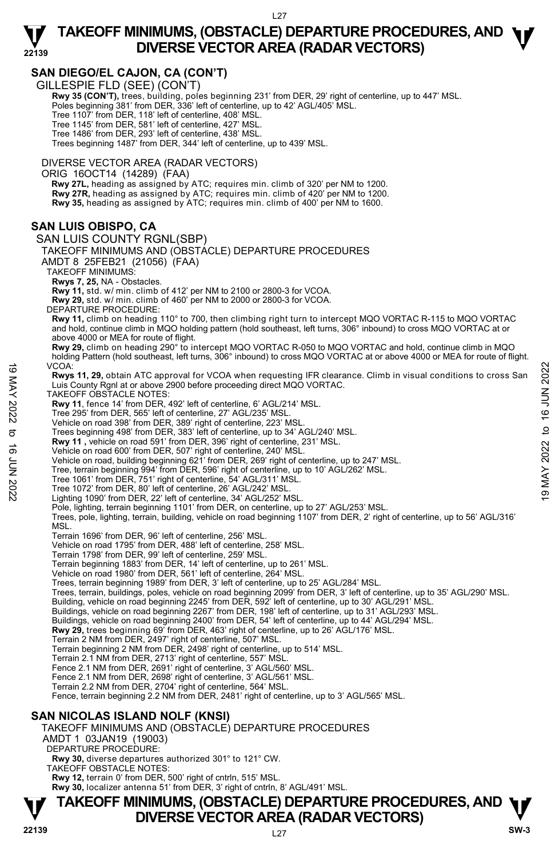### **TAKEOFF MINIMUMS, (OBSTACLE) DEPARTURE PROCEDURES, AND <b>W**<br>DIVERSE VECTOR AREA (RADAR VECTORS) **DIVERSE VECTOR AREA (RADAR VECTORS)**

### **SAN DIEGO/EL CAJON, CA (CON'T)**

GILLESPIE FLD (SEE) (CON'T)

**22139** 

 **Rwy 35 (CON'T),** trees, building, poles beginning 231' from DER, 29' right of centerline, up to 447' MSL. Poles beginning 381' from DER, 336' left of centerline, up to 42' AGL/405' MSL. Tree 1107' from DER, 118' left of centerline, 408' MSL. Tree 1145' from DER, 581' left of centerline, 427' MSL. Tree 1486' from DER, 293' left of centerline, 438' MSL. Trees beginning 1487' from DER, 344' left of centerline, up to 439' MSL.

DIVERSE VECTOR AREA (RADAR VECTORS)

ORIG 16OCT14 (14289) (FAA)

 **Rwy 27L,** heading as assigned by ATC; requires min. climb of 320' per NM to 1200. **Rwy 27R,** heading as assigned by ATC; requires min. climb of 420' per NM to 1200. **Rwy 35,** heading as assigned by ATC; requires min. climb of 400' per NM to 1600.

### **SAN LUIS OBISPO, CA**

SAN LUIS COUNTY RGNL(SBP) TAKEOFF MINIMUMS AND (OBSTACLE) DEPARTURE PROCEDURES AMDT 8 25FEB21 (21056) (FAA) TAKEOFF MINIMUMS: **Rwys 7, 25,** NA - Obstacles. **Rwy 11,** std. w/ min. climb of 412' per NM to 2100 or 2800-3 for VCOA. **Rwy 29,** std. w/ min. climb of 460' per NM to 2000 or 2800-3 for VCOA. DEPARTURE PROCEDURE: **Rwy 11,** climb on heading 110° to 700, then climbing right turn to intercept MQO VORTAC R-115 to MQO VORTAC and hold, continue climb in MQO holding pattern (hold southeast, left turns, 306° inbound) to cross MQO VORTAC at or above 4000 or MEA for route of flight. **Rwy 29,** climb on heading 290° to intercept MQO VORTAC R-050 to MQO VORTAC and hold, continue climb in MQO holding Pattern (hold southeast, left turns, 306° inbound) to cross MQO VORTAC at or above 4000 or MEA for route of flight. VCOA: **Rwys 11, 29,** obtain ATC approval for VCOA when requesting IFR clearance. Climb in visual conditions to cross San Luis County Rgnl at or above 2900 before proceeding direct MQO VORTAC. TAKEOFF OBSTACLE NOTES: **Rwy 11**, fence 14' from DER, 492' left of centerline, 6' AGL/214' MSL. Tree 295' from DER, 565' left of centerline, 27' AGL/235' MSL. Vehicle on road 398' from DER, 389' right of centerline, 223' MSL. Trees beginning 498' from DER, 383' left of centerline, up to 34' AGL/240' MSL. **Rwy 11 ,** vehicle on road 591' from DER, 396' right of centerline, 231' MSL. Vehicle on road 600' from DER, 507' right of centerline, 240' MSL. Vehicle on road, building beginning 621' from DER, 269' right of centerline, up to 247' MSL. Tree, terrain beginning 994' from DER, 596' right of centerline, up to 10' AGL/262' MSL. Tree 1061' from DER, 751' right of centerline, 54' AGL/311' MSL. Tree 1072' from DER, 80' left of centerline, 26' AGL/242' MSL. Lighting 1090' from DER, 22' left of centerline, 34' AGL/252' MSL. Pole, lighting, terrain beginning 1101' from DER, on centerline, up to 27' AGL/253' MSL. Trees, pole, lighting, terrain, building, vehicle on road beginning 1107' from DER, 2' right of centerline, up to 56' AGL/316' MSL. Terrain 1696' from DER, 96' left of centerline, 256' MSL. Vehicle on road 1795' from DER, 488' left of centerline, 258' MSL. Terrain 1798' from DER, 99' left of centerline, 259' MSL. Terrain beginning 1883' from DER, 14' left of centerline, up to 261' MSL. Vehicle on road 1980' from DER, 561' left of centerline, 264' MSL. Trees, terrain beginning 1989' from DER, 3' left of centerline, up to 25' AGL/284' MSL. Trees, terrain, buildings, poles, vehicle on road beginning 2099' from DER, 3' left of centerline, up to 35' AGL/290' MSL. Building, vehicle on road beginning 2245' from DER, 592' left of centerline, up to 30' AGL/291' MSL. Buildings, vehicle on road beginning 2267' from DER, 198' left of centerline, up to 31' AGL/293' MSL. Buildings, vehicle on road beginning 2400' from DER, 54' left of centerline, up to 44' AGL/294' MSL. **Rwy 29,** trees beginning 69' from DER, 463' right of centerline, up to 26' AGL/176' MSL. Terrain 2 NM from DER, 2497' right of centerline, 507' MSL. Terrain beginning 2 NM from DER, 2498' right of centerline, up to 514' MSL. Terrain 2.1 NM from DER, 2713' right of centerline, 557' MSL. Fence 2.1 NM from DER, 2691' right of centerline, 3' AGL/560' MSL. Fence 2.1 NM from DER, 2698' right of centerline, 3' AGL/561' MSL. Terrain 2.2 NM from DER, 2704' right of centerline, 564' MSL. Fence, terrain beginning 2.2 NM from DER, 2481' right of centerline, up to 3' AGL/565' MSL. **SAN NICOLAS ISLAND NOLF (KNSI)**  TAKEOFF MINIMUMS AND (OBSTACLE) DEPARTURE PROCEDURES AMDT 1 03JAN19 (19003) DEPARTURE PROCEDURE: VCOA:<br>
We Says 11, 29, obtain ATC approval for VCOA when requesting IFR clearance. Climb in visual conditions to cross San<br>
Luis County Rgnl at or above 2900 before proceeding direct MQO VORTAC.<br>
TAKEOFF OBSTACLE NOTES,<br>

**Rwy 30,** diverse departures authorized 301° to 121° CW. TAKEOFF OBSTACLE NOTES:

**Rwy 12,** terrain 0' from DER, 500' right of cntrln, 515' MSL.<br>**Rwy 30,** localizer antenna 51' from DER, 3' right of cntrln, 8' AGL/491' MSL.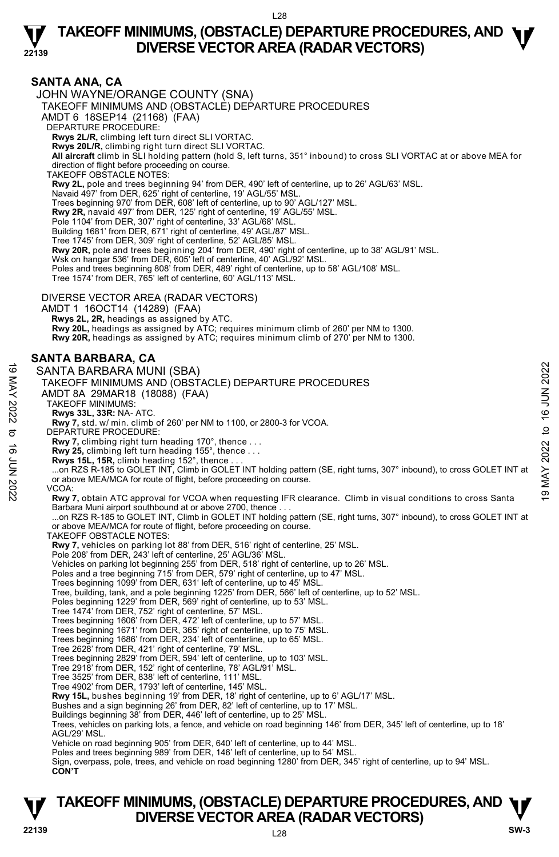

#### **SANTA ANA, CA**  JOHN WAYNE/ORANGE COUNTY (SNA) TAKEOFF MINIMUMS AND (OBSTACLE) DEPARTURE PROCEDURES AMDT 6 18SEP14 (21168) (FAA) DEPARTURE PROCEDURE: **Rwys 2L/R,** climbing left turn direct SLI VORTAC. **Rwys 20L/R,** climbing right turn direct SLI VORTAC. **All aircraft** climb in SLI holding pattern (hold S, left turns, 351° inbound) to cross SLI VORTAC at or above MEA for direction of flight before proceeding on course. TAKEOFF OBSTACLE NOTES: **Rwy 2L,** pole and trees beginning 94' from DER, 490' left of centerline, up to 26' AGL/63' MSL. Navaid 497' from DER, 625' right of centerline, 19' AGL/55' MSL. Trees beginning 970' from DER, 608' left of centerline, up to 90' AGL/127' MSL. **Rwy 2R,** navaid 497' from DER, 125' right of centerline, 19' AGL/55' MSL. Pole 1104' from DER, 307' right of centerline, 33' AGL/68' MSL. Building 1681' from DER, 671' right of centerline, 49' AGL/87' MSL. Tree 1745' from DER, 309' right of centerline, 52' AGL/85' MSL. **Rwy 20R,** pole and trees beginning 204' from DER, 490' right of centerline, up to 38' AGL/91' MSL. Wsk on hangar 536' from DER, 605' left of centerline, 40' AGL/92' MSL Poles and trees beginning 808' from DER, 489' right of centerline, up to 58' AGL/108' MSL. Tree 1574' from DER, 765' left of centerline, 60' AGL/113' MSL. DIVERSE VECTOR AREA (RADAR VECTORS) AMDT 1 16OCT14 (14289) (FAA)  **Rwys 2L, 2R,** headings as assigned by ATC. **Rwy 20L,** headings as assigned by ATC; requires minimum climb of 260' per NM to 1300. **Rwy 20R,** headings as assigned by ATC; requires minimum climb of 270' per NM to 1300. **SANTA BARBARA, CA**  SANTA BARBARA MUNI (SBA) TAKEOFF MINIMUMS AND (OBSTACLE) DEPARTURE PROCEDURES AMDT 8A 29MAR18 (18088) (FAA) TAKEOFF MINIMUMS: **Rwys 33L, 33R:** NA- ATC. **Rwy 7,** std. w/ min. climb of 260' per NM to 1100, or 2800-3 for VCOA. DEPARTURE PROCEDURE: **Rwy 7,** climbing right turn heading 170°, thence . . .  **Rwy 25,** climbing left turn heading 155°, thence . . . **Rwys 15L, 15R,** climb heading 152°, thence . . . ...on RZS R-185 to GOLET INT, Climb in GOLET INT holding pattern (SE, right turns, 307° inbound), to cross GOLET INT at or above MEA/MCA for route of flight, before proceeding on course. VCOA: **Rwy 7,** obtain ATC approval for VCOA when requesting IFR clearance. Climb in visual conditions to cross Santa Barbara Muni airport southbound at or above 2700, thence . . . ...on RZS R-185 to GOLET INT, Climb in GOLET INT holding pattern (SE, right turns, 307° inbound), to cross GOLET INT at or above MEA/MCA for route of flight, before proceeding on course. TAKEOFF OBSTACLE NOTES: **Rwy 7,** vehicles on parking lot 88' from DER, 516' right of centerline, 25' MSL.<br>Pole 208' from DER, 243' left of centerline, 25' AGL/36' MSL. Vehicles on parking lot beginning 255' from DER, 518' right of centerline, up to 26' MSL. Poles and a tree beginning 715' from DER, 579' right of centerline, up to 47' MSL. Trees beginning 1099' from DER, 631' left of centerline, up to 45' MSL. Tree, building, tank, and a pole beginning 1225' from DER, 566' left of centerline, up to 52' MSL. Poles beginning 1229' from DER, 569' right of centerline, up to 53' MSL. Tree 1474' from DER, 752' right of centerline, 57' MSL. Trees beginning 1606' from DER, 472' left of centerline, up to 57' MSL. Trees beginning 1671' from DER, 365' right of centerline, up to 75' MSL. Trees beginning 1686' from DER, 234' left of centerline, up to 65' MSL. Tree 2628' from DER, 421' right of centerline, 79' MSL. Trees beginning 2829' from DER, 594' left of centerline, up to 103' MSL. Tree 2918' from DER, 152' right of centerline, 78' AGL/91' MSL. Tree 3525' from DER, 838' left of centerline, 111' MSL. Tree 4902' from DER, 1793' left of centerline, 145' MSL. **Rwy 15L,** bushes beginning 19' from DER, 18' right of centerline, up to 6' AGL/17' MSL. Bushes and a sign beginning 26' from DER, 82' left of centerline, up to 17' MSL. Buildings beginning 38' from DER, 446' left of centerline, up to 25' MSL. Trees, vehicles on parking lots, a fence, and vehicle on road beginning 146' from DER, 345' left of centerline, up to 18' AGL/29' MSL. Vehicle on road beginning 905' from DER, 640' left of centerline, up to 44' MSL. Poles and trees beginning 989' from DER, 146' left of centerline, up to 54' MSL. Sign, overpass, pole, trees, and vehicle on road beginning 1280' from DER, 345' right of centerline, up to 94' MSL.  **CON'T** CONTENTA BARBARA MUNI (SBA)<br>
TAKEOFF MINIMUMS AND (OBSTACLE) DEPARTURE PROCEDURES<br>
TAKEOFF MINIMUMS AND (OBSTACLE) DEPARTURE PROCEDURES<br>
TAKEOFF MINIMUMS:<br>
TAKEOFF MINIMUMS:<br>
TAKEOFF MINIMUMS:<br>
TAKEOFF MINIMUMS:<br>
TAKEOF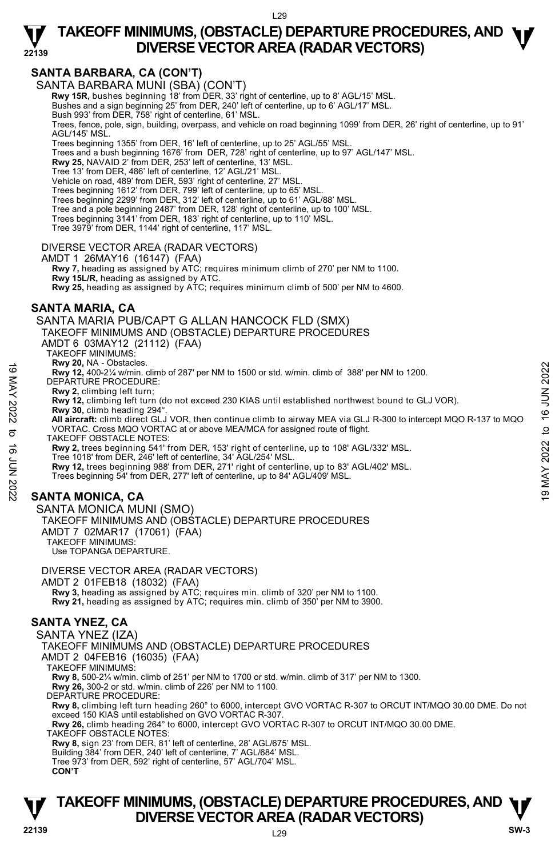### **SANTA BARBARA, CA (CON'T)**

**22139** 

SANTA BARBARA MUNI (SBA) (CON'T)

**Rwy 15R,** bushes beginning 18' from DER, 33' right of centerline, up to 8' AGL/15' MSL.

Bushes and a sign beginning 25' from DER, 240' left of centerline, up to 6' AGL/17' MSL.

Bush 993' from DER, 758' right of centerline, 61' MSL.

Trees, fence, pole, sign, building, overpass, and vehicle on road beginning 1099' from DER, 26' right of centerline, up to 91' AGL/145' MSL.

Trees beginning 1355' from DER, 16' left of centerline, up to 25' AGL/55' MSL. Trees and a bush beginning 1676' from DER, 728' right of centerline, up to 97' AGL/147' MSL.

**Rwy 25,** NAVAID 2' from DER, 253' left of centerline, 13' MSL.

Tree 13' from DER, 486' left of centerline, 12' AGL/21' MSL.

Vehicle on road, 489' from DER, 593' right of centerline, 27' MSL.

Trees beginning 1612' from DER, 799' left of centerline, up to 65' MSL. Trees beginning 2299' from DER, 312' left of centerline, up to 61' AGL/88' MSL.

Tree and a pole beginning 2487' from DER, 128' right of centerline, up to 100' MSL.

Trees beginning 3141' from DER, 183' right of centerline, up to 110' MSL.

Tree 3979' from DER, 1144' right of centerline, 117' MSL.

#### DIVERSE VECTOR AREA (RADAR VECTORS)

AMDT 1 26MAY16 (16147) (FAA)

 **Rwy 7,** heading as assigned by ATC; requires minimum climb of 270' per NM to 1100. **Rwy 15L/R,** heading as assigned by ATC.

**Rwy 25,** heading as assigned by ATC; requires minimum climb of 500' per NM to 4600.

#### **SANTA MARIA, CA**

SANTA MARIA PUB/CAPT G ALLAN HANCOCK FLD (SMX)

TAKEOFF MINIMUMS:

**Rwy 20,** NA - Obstacles.

**Rwy 12,** 400-2¼ w/min. climb of 287' per NM to 1500 or std. w/min. climb of 388' per NM to 1200.

DEPARTURE PROCEDURE:

**Rwy 2,** climbing left turn;

**Rwy 12,** climbing left turn (do not exceed 230 KIAS until established northwest bound to GLJ VOR). **Rwy 30,** climb heading 294°.

 **All aircraft:** climb direct GLJ VOR, then continue climb to airway MEA via GLJ R-300 to intercept MQO R-137 to MQO VORTAC. Cross MQO VORTAC at or above MEA/MCA for assigned route of flight. Note that the probability of the stabilished northwest bound to 1200.<br>
The proper Section CEDURE:<br>
Note 12 A 400-2% w/min. climb of 287' per NM to 1500 or std. w/min. climb of 388' per NM to 1200.<br>
Note 18 A W 2, climbing

TAKEOFF OBSTACLE NOTES:

**Rwy 2,** trees beginning 541' from DER, 153' right of centerline, up to 108' AGL/332' MSL.<br>Tree 1018' from DER, 246' left of centerline, 34' AGL/254' MSL.

**Rwy 12,** trees beginning 988' from DER, 271' right of centerline, up to 83' AGL/402' MSL.

Trees beginning 54' from DER, 277' left of centerline, up to 84' AGL/409' MSL.

### **SANTA MONICA, CA**

SANTA MONICA MUNI (SMO) TAKEOFF MINIMUMS AND (OBSTACLE) DEPARTURE PROCEDURES AMDT 7 02MAR17 (17061) (FAA) TAKEOFF MINIMUMS:

Use TOPANGA DEPARTURE.

DIVERSE VECTOR AREA (RADAR VECTORS)

AMDT 2 01FEB18 (18032) (FAA)

 **Rwy 3,** heading as assigned by ATC; requires min. climb of 320' per NM to 1100. **Rwy 21,** heading as assigned by ATC; requires min. climb of 350' per NM to 3900.

### **SANTA YNEZ, CA**

SANTA YNEZ (IZA)

TAKEOFF MINIMUMS AND (OBSTACLE) DEPARTURE PROCEDURES

AMDT 2 04FEB16 (16035) (FAA)

TAKEOFF MINIMUMS:

**Rwy 8,** 500-2¼ w/min. climb of 251' per NM to 1700 or std. w/min. climb of 317' per NM to 1300.

**Rwy 26,** 300-2 or std. w/min. climb of 226' per NM to 1100.

DEPARTURE PROCEDURE:

**Rwy 8,** climbing left turn heading 260° to 6000, intercept GVO VORTAC R-307 to ORCUT INT/MQO 30.00 DME. Do not<br>exceed 150 KIAS until established on GVO VORTAC R-307.

 $129$ 

**Rwy 26,** climb heading 264° to 6000, intercept GVO VORTAC R-307 to ORCUT INT/MQO 30.00 DME.

TAKEOFF OBSTACLE NOTES:

**Rwy 8,** sign 23' from DER, 81' left of centerline, 28' AGL/675' MSL. Building 384' from DER, 240' left of centerline, 7' AGL/684' MSL.

Tree 973' from DER, 592' right of centerline, 57' AGL/704' MSL.

 **CON'T**



TAKEOFF MINIMUMS AND (OBSTACLE) DEPARTURE PROCEDURES AMDT 6 03MAY12 (21112) (FAA)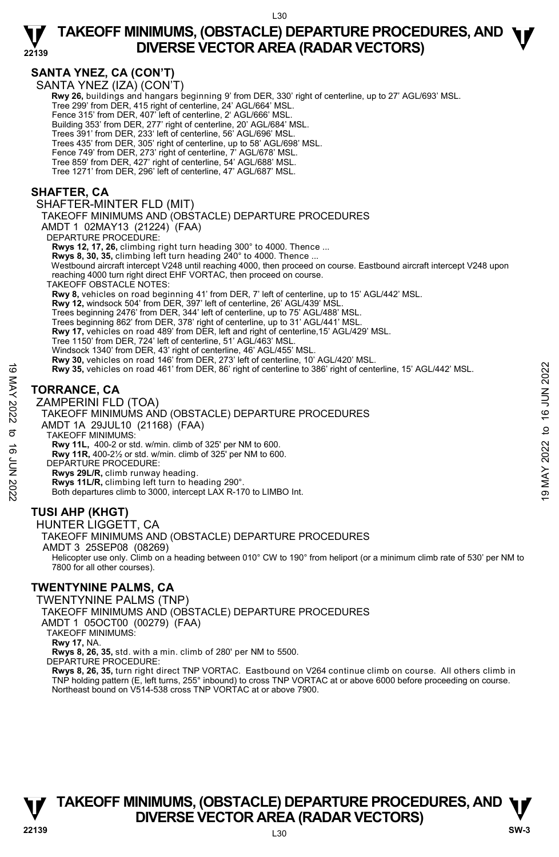### **SANTA YNEZ, CA (CON'T)**

**22139** 

SANTA YNEŹ (IZA) (CON'T)

 **Rwy 26,** buildings and hangars beginning 9' from DER, 330' right of centerline, up to 27' AGL/693' MSL. Tree 299' from DER, 415 right of centerline, 24' AGL/664' MSL. Fence 315' from DER, 407' left of centerline, 2' AGL/666' MSL. Building 353' from DER, 277' right of centerline, 20' AGL/684' MSL. Trees 391' from DER, 233' left of centerline, 56' AGL/696' MSL. Trees 435' from DER, 305' right of centerline, up to 58' AGL/698' MSL. Fence 749' from DER, 273' right of centerline, 7' AGL/678' MSL. Tree 859' from DER, 427' right of centerline, 54' AGL/688' MSL. Tree 1271' from DER, 296' left of centerline, 47' AGL/687' MSL. **SHAFTER, CA** 

#### SHAFTER-MINTER FLD (MIT)

TAKEOFF MINIMUMS AND (OBSTACLE) DEPARTURE PROCEDURES

AMDT 1 02MAY13 (21224) (FAA)

DEPARTURE PROCEDURE:

**Rwys 12, 17, 26,** climbing right turn heading 300° to 4000. Thence ...

Rwys 8, 30, 35, climbing left turn heading 240° to 4000. Thence

 Westbound aircraft intercept V248 until reaching 4000, then proceed on course. Eastbound aircraft intercept V248 upon reaching 4000 turn right direct EHF VORTAC, then proceed on course.

TAKEOFF OBSTACLE NOTES:

**Rwy 8,** vehicles on road beginning 41' from DER, 7' left of centerline, up to 15' AGL/442' MSL. **Rwy 12,** windsock 504' from DER, 397' left of centerline, 26' AGL/439' MSL.

Trees beginning 2476' from DER, 344' left of centerline, up to 75' AGL/488' MSL.

Trees beginning 862' from DER, 378' right of centerline, up to 31' AGL/441' MSL. **Rwy 17,** vehicles on road 489' from DER, left and right of centerline,15' AGL/429' MSL.

Tree 1150' from DER, 724' left of centerline, 51' AGL/463' MSL.

Windsock 1340' from DER, 43' right of centerline, 46' AGL/455' MSL.

**Rwy 30,** vehicles on road 146' from DER, 273' left of centerline, 10' AGL/420' MSL.<br>**Rwy 35,** vehicles on road 461' from DER, 86' right of centerline to 386' right of centerline, 15' AGL/442' MSL.

### **TORRANCE, CA**

ZAMPERINI FLD (TOA) TAKEOFF MINIMUMS AND (OBSTACLE) DEPARTURE PROCEDURES AMDT 1A 29JUL10 (21168) (FAA) TAKEOFF MINIMUMS: **Rwy 11L,** 400-2 or std. w/min. climb of 325' per NM to 600. **Rwy 11R,** 400-2½ or std. w/min. climb of 325' per NM to 600. DEPARTURE PROCEDURE: **Rwys 29L/R,** climb runway heading. **Rwys 11L/R,** climbing left turn to heading 290°. Both departures climb to 3000, intercept LAX R-170 to LIMBO Int. 19 May 35, vehicles on road 461' from DER, 86' right of centerline to 386' right of centerline, 15' AGL/442' MSL.<br>
TORRANCE, CA<br>
TAKEOFF MINIMUMS AND (OBSTACLE) DEPARTURE PROCEDURES<br>
MIDT 1A 29JUL10 (21168) (FAA)<br>
TAKEOF

### **TUSI AHP (KHGT)**

#### HUNTER LIGGETT, CA

TAKEOFF MINIMUMS AND (OBSTACLE) DEPARTURE PROCEDURES

AMDT 3 25SEP08 (08269)

 Helicopter use only. Climb on a heading between 010° CW to 190° from heliport (or a minimum climb rate of 530' per NM to 7800 for all other courses).

### **TWENTYNINE PALMS, CA**

TWENTYNINE PALMS (TNP)

TAKEOFF MINIMUMS AND (OBSTACLE) DEPARTURE PROCEDURES

AMDT 1 05OCT00 (00279) (FAA)

TAKEOFF MINIMUMS:

**Rwy 17,** NA.

**Rwys 8, 26, 35,** std. with a min. climb of 280' per NM to 5500.

DEPARTURE PROCEDURE:

**Rwys 8, 26, 35,** turn right direct TNP VORTAC. Eastbound on V264 continue climb on course. All others climb in TNP holding pattern (E, left turns, 255° inbound) to cross TNP VORTAC at or above 6000 before proceeding on course. Northeast bound on V514-538 cross TNP VORTAC at or above 7900.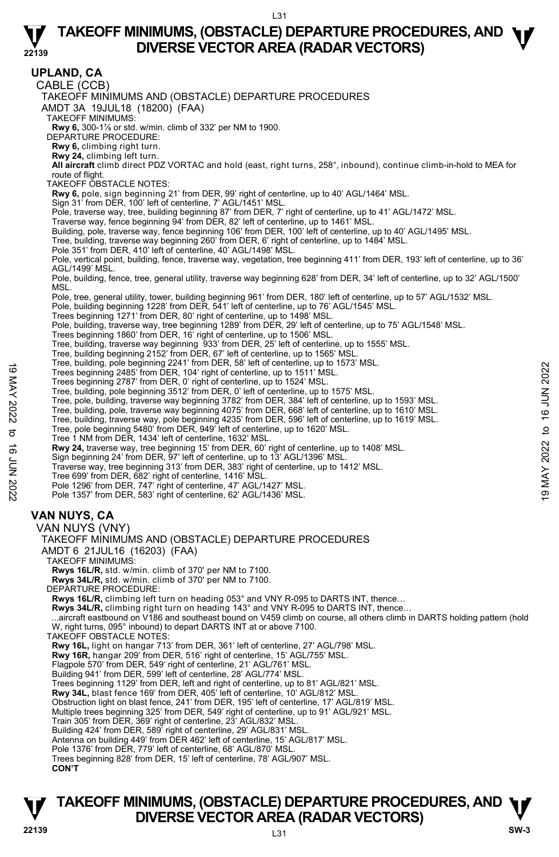**22139 TAKEOFF MINIMUMS, (OBSTACLE) DEPARTURE PROCEDURES, AND**  $\Psi$ **UPLAND, CA**  CABLE (CCB) TAKEOFF MINIMUMS AND (OBSTACLE) DEPARTURE PROCEDURES AMDT 3A 19JUL18 (18200) (FAA) TAKEOFF MINIMUMS: **Rwy 6,** 300-1⅞ or std. w/min. climb of 332' per NM to 1900. DEPARTURE PROCEDURE: **Rwy 6,** climbing right turn. **Rwy 24,** climbing left turn. **All aircraft** climb direct PDZ VORTAC and hold (east, right turns, 258°, inbound), continue climb-in-hold to MEA for route of flight. TAKEOFF OBSTACLE NOTES: **Rwy 6,** pole, sign beginning 21' from DER, 99' right of centerline, up to 40' AGL/1464' MSL.<br>Sign 31' from DER, 100' left of centerline, 7' AGL/1451' MSL. Pole, traverse way, tree, building beginning 87' from DER, 7' right of centerline, up to 41' AGL/1472' MSL. Traverse way, fence beginning 94' from DER, 82' left of centerline, up to 1461' MSL. Building, pole, traverse way, fence beginning 106' from DER, 100' left of centerline, up to 40' AGL/1495' MSL. Tree, building, traverse way beginning 260' from DER, 6' right of centerline, up to 1484' MSL. Pole 351' from DER, 410' left of centerline, 40' AGL/1498' MSL. Pole, vertical point, building, fence, traverse way, vegetation, tree beginning 411' from DER, 193' left of centerline, up to 36' AGL/1499' MSL. Pole, building, fence, tree, general utility, traverse way beginning 628' from DER, 34' left of centerline, up to 32' AGL/1500' MSL. Pole, tree, general utility, tower, building beginning 961' from DER, 180' left of centerline, up to 57' AGL/1532' MSL. Pole, building beginning 1228' from DER, 541' left of centerline, up to 76' AGL/1545' MSL. Trees beginning 1271' from DER, 80' right of centerline, up to 1498' MSL. Pole, building, traverse way, tree beginning 1289' from DER, 29' left of centerline, up to 75' AGL/1548' MSL.<br>Trees beginning 1860' from DER, 16' right of centerline, up to 1506' MSL. Tree, building, traverse way beginning 933' from DER, 25' left of centerline, up to 1555' MSL. Tree, building beginning 2152' from DER, 67' left of centerline, up to 1565' MSL. Tree, building, pole beginning 2241' from DER, 58' left of centerline, up to 1573' MSL. Trees beginning 2485' from DER, 104' right of centerline, up to 1511' MSL. Trees beginning 2787' from DER, 0' right of centerline, up to 1524' MSL. Tree, building, pole beginning 3512' from DER, 0' left of centerline, up to 1575' MSL. Tree, pole, building, traverse way beginning 3782' from DER, 384' left of centerline, up to 1593' MSL.<br>Tree, building, pole, traverse way beginning 4075' from DER, 668' left of centerline, up to 1610' MSL.<br>Tree, puilding, Tree 1 NM from DER, 1434' left of centerline, 1632' MSL. **Rwy 24,** traverse way, tree beginning 15' from DER, 60' right of centerline, up to 1408' MSL.<br>Sign beginning 24' from DER, 97' left of centerline, up to 13' AGL/1396' MSL. Traverse way, tree beginning 313' from DER, 383' right of centerline, up to 1412' MSL. Tree 699' from DER, 682' right of centerline, 1416' MSL. Pole 1296' from DER, 747' right of centerline, 47' AGL/1427' MSL. Pole 1357' from DER, 583' right of centerline, 62' AGL/1436' MSL. **VAN NUYS, CA**  VAN NUYS (VNY) TAKEOFF MINIMUMS AND (OBSTACLE) DEPARTURE PROCEDURES AMDT 6 21JUL16 (16203) (FAA) TAKEOFF MINIMUMS: **Rwys 16L/R,** std. w/min. climb of 370' per NM to 7100. **Rwys 34L/R,** std. w/min. climb of 370' per NM to 7100. DEPARTURE PROCEDURE: **Rwys 16L/R,** climbing left turn on heading 053° and VNY R-095 to DARTS INT, thence… Rwys 34L/R, climbing right turn on heading 143° and VNY R-095 to DARTS INT, thence...<br>...aircraft eastbound on V186 and southeast bound on V459 climb on course, all others climb in DARTS holding pattern (hold W, right turns, 095° inbound) to depart DARTS INT at or above 7100. TAKEOFF OBSTACLE NOTES: **Rwy 16L,** light on hangar 713' from DER, 361' left of centerline, 27' AGL/798' MSL. **Rwy 16R,** hangar 209' from DER, 516' right of centerline, 15' AGL/755' MSL. Flagpole 570' from DER, 549' right of centerline, 21' AGL/761' MSL. Building 941' from DER, 599' left of centerline, 28' AGL/774' MSL. Trees beginning 1129' from DER, left and right of centerline, up to 81' AGL/821' MSL. **Rwy 34L,** blast fence 169' from DER, 405' left of centerline, 10' AGL/812' MSL. Obstruction light on blast fence, 241' from DER, 195' left of centerline, 17' AGL/819' MSL. Multiple trees beginning 325' from DER, 549' right of centerline, up to 91' AGL/921' MSL. Train 305' from DER, 369' right of centerline, 23' AGL/832' MSL. Building 424' from DER, 589' right of centerline, 29' AGL/831' MSL. Antenna on building 449' from DER 462' left of centerline, 15' AGL/817' MSL. Pole 1376' from DER, 779' left of centerline, 68' AGL/870' MSL. Trees beginning 828' from DER, 15' left of centerline, 78' AGL/907' MSL. **CON'T**  Tree, building, pole beginning 241 Tom DER, 110 Tors and to dente the pub 1573 MSL.<br>
Trees beginning 2787' from DER, 0' right of centerline, up to 1524' MSL.<br>
Tree, building, pole beginning 3782' from DER, 0' left of cente